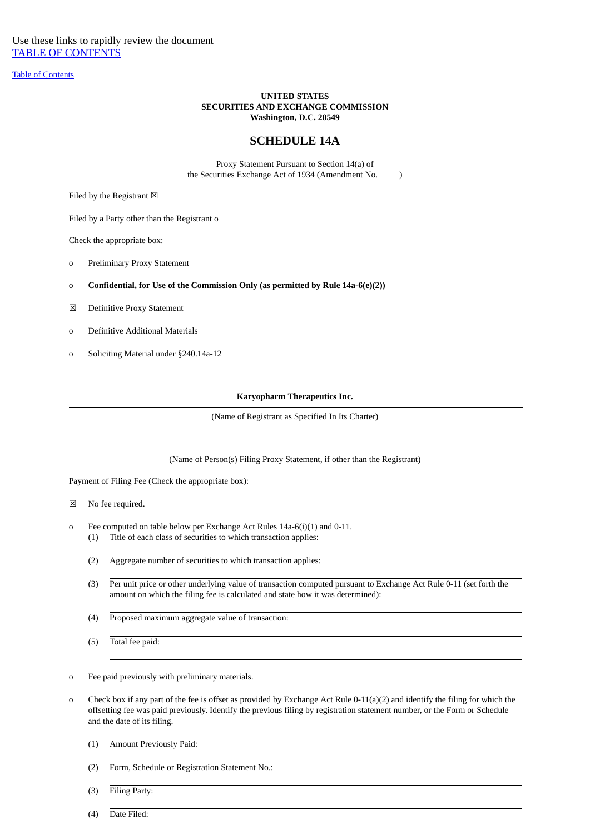Use these links to rapidly review the document [TABLE OF CONTENTS](#page-3-0)

[Table of Contents](#page-3-0)

# **UNITED STATES SECURITIES AND EXCHANGE COMMISSION Washington, D.C. 20549**

# **SCHEDULE 14A**

Proxy Statement Pursuant to Section 14(a) of the Securities Exchange Act of 1934 (Amendment No. )

Filed by the Registrant  $\boxtimes$ 

Filed by a Party other than the Registrant o

Check the appropriate box:

- o Preliminary Proxy Statement
- o **Confidential, for Use of the Commission Only (as permitted by Rule 14a-6(e)(2))**
- ☒ Definitive Proxy Statement
- o Definitive Additional Materials
- o Soliciting Material under §240.14a-12

# **Karyopharm Therapeutics Inc.**

(Name of Registrant as Specified In Its Charter)

(Name of Person(s) Filing Proxy Statement, if other than the Registrant)

Payment of Filing Fee (Check the appropriate box):

☒ No fee required.

- o Fee computed on table below per Exchange Act Rules 14a-6(i)(1) and 0-11.
	- (1) Title of each class of securities to which transaction applies:
	- (2) Aggregate number of securities to which transaction applies:
	- (3) Per unit price or other underlying value of transaction computed pursuant to Exchange Act Rule 0-11 (set forth the amount on which the filing fee is calculated and state how it was determined):
	- (4) Proposed maximum aggregate value of transaction:
	- (5) Total fee paid:

o Fee paid previously with preliminary materials.

- o Check box if any part of the fee is offset as provided by Exchange Act Rule 0-11(a)(2) and identify the filing for which the offsetting fee was paid previously. Identify the previous filing by registration statement number, or the Form or Schedule and the date of its filing.
	- (1) Amount Previously Paid:
	- (2) Form, Schedule or Registration Statement No.:
	- (3) Filing Party:

(4) Date Filed: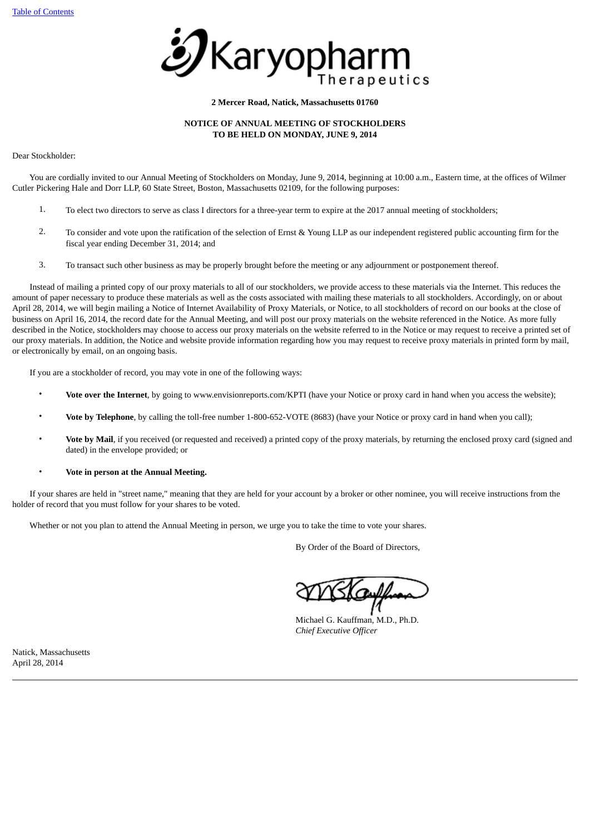

# **2 Mercer Road, Natick, Massachusetts 01760**

# **NOTICE OF ANNUAL MEETING OF STOCKHOLDERS TO BE HELD ON MONDAY, JUNE 9, 2014**

Dear Stockholder:

 You are cordially invited to our Annual Meeting of Stockholders on Monday, June 9, 2014, beginning at 10:00 a.m., Eastern time, at the offices of Wilmer Cutler Pickering Hale and Dorr LLP, 60 State Street, Boston, Massachusetts 02109, for the following purposes:

- 1. To elect two directors to serve as class I directors for a three-year term to expire at the 2017 annual meeting of stockholders;
- 2. To consider and vote upon the ratification of the selection of Ernst & Young LLP as our independent registered public accounting firm for the fiscal year ending December 31, 2014; and
- 3. To transact such other business as may be properly brought before the meeting or any adjournment or postponement thereof.

 Instead of mailing a printed copy of our proxy materials to all of our stockholders, we provide access to these materials via the Internet. This reduces the amount of paper necessary to produce these materials as well as the costs associated with mailing these materials to all stockholders. Accordingly, on or about April 28, 2014, we will begin mailing a Notice of Internet Availability of Proxy Materials, or Notice, to all stockholders of record on our books at the close of business on April 16, 2014, the record date for the Annual Meeting, and will post our proxy materials on the website referenced in the Notice. As more fully described in the Notice, stockholders may choose to access our proxy materials on the website referred to in the Notice or may request to receive a printed set of our proxy materials. In addition, the Notice and website provide information regarding how you may request to receive proxy materials in printed form by mail, or electronically by email, on an ongoing basis.

If you are a stockholder of record, you may vote in one of the following ways:

- **Vote over the Internet**, by going to www.envisionreports.com/KPTI (have your Notice or proxy card in hand when you access the website);
- **Vote by Telephone**, by calling the toll-free number 1-800-652-VOTE (8683) (have your Notice or proxy card in hand when you call);
- **Vote by Mail**, if you received (or requested and received) a printed copy of the proxy materials, by returning the enclosed proxy card (signed and dated) in the envelope provided; or
- **Vote in person at the Annual Meeting.**

 If your shares are held in "street name," meaning that they are held for your account by a broker or other nominee, you will receive instructions from the holder of record that you must follow for your shares to be voted.

Whether or not you plan to attend the Annual Meeting in person, we urge you to take the time to vote your shares.

By Order of the Board of Directors,

Michael G. Kauffman, M.D., Ph.D. *Chief Executive Officer*

Natick, Massachusetts April 28, 2014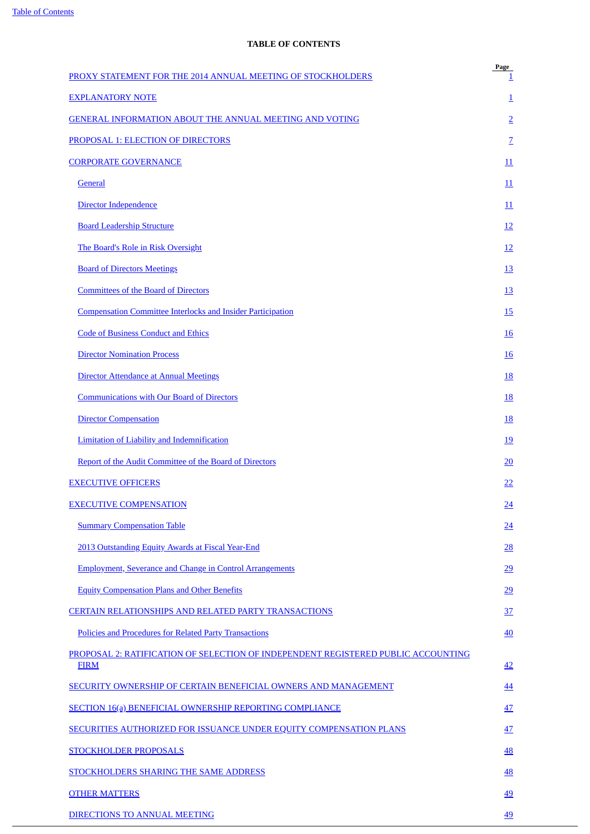# **TABLE OF CONTENTS**

<span id="page-3-0"></span>

| PROXY STATEMENT FOR THE 2014 ANNUAL MEETING OF STOCKHOLDERS                                      | Page<br>1       |
|--------------------------------------------------------------------------------------------------|-----------------|
| <b>EXPLANATORY NOTE</b>                                                                          | $\overline{1}$  |
| <b>GENERAL INFORMATION ABOUT THE ANNUAL MEETING AND VOTING</b>                                   | $\overline{2}$  |
| PROPOSAL 1: ELECTION OF DIRECTORS                                                                | $\overline{Z}$  |
| <b>CORPORATE GOVERNANCE</b>                                                                      | 11              |
| General                                                                                          | 11              |
| Director Independence                                                                            | 11              |
| <b>Board Leadership Structure</b>                                                                | 12              |
| The Board's Role in Risk Oversight                                                               | <u>12</u>       |
| <b>Board of Directors Meetings</b>                                                               | <u>13</u>       |
| <b>Committees of the Board of Directors</b>                                                      | <u>13</u>       |
| <b>Compensation Committee Interlocks and Insider Participation</b>                               | <u>15</u>       |
| <b>Code of Business Conduct and Ethics</b>                                                       | <u>16</u>       |
| <b>Director Nomination Process</b>                                                               | <u>16</u>       |
| Director Attendance at Annual Meetings                                                           | <u>18</u>       |
| <b>Communications with Our Board of Directors</b>                                                | <u>18</u>       |
| <b>Director Compensation</b>                                                                     | <u>18</u>       |
| <b>Limitation of Liability and Indemnification</b>                                               | <u>19</u>       |
| Report of the Audit Committee of the Board of Directors                                          | 20              |
| <b>EXECUTIVE OFFICERS</b>                                                                        | <u>22</u>       |
| <b>EXECUTIVE COMPENSATION</b>                                                                    | $\overline{24}$ |
| <b>Summary Compensation Table</b>                                                                | 24              |
| 2013 Outstanding Equity Awards at Fiscal Year-End                                                | 28              |
| <b>Employment, Severance and Change in Control Arrangements</b>                                  | 29              |
| <b>Equity Compensation Plans and Other Benefits</b>                                              | 29              |
| CERTAIN RELATIONSHIPS AND RELATED PARTY TRANSACTIONS                                             | <u>37</u>       |
| <b>Policies and Procedures for Related Party Transactions</b>                                    | 40              |
| PROPOSAL 2: RATIFICATION OF SELECTION OF INDEPENDENT REGISTERED PUBLIC ACCOUNTING<br><b>FIRM</b> | 42              |
| SECURITY OWNERSHIP OF CERTAIN BENEFICIAL OWNERS AND MANAGEMENT                                   | $\overline{44}$ |
| <b>SECTION 16(a) BENEFICIAL OWNERSHIP REPORTING COMPLIANCE</b>                                   | 47              |
| <b>SECURITIES AUTHORIZED FOR ISSUANCE UNDER EQUITY COMPENSATION PLANS</b>                        | 47              |
| <b>STOCKHOLDER PROPOSALS</b>                                                                     | 48              |
| STOCKHOLDERS SHARING THE SAME ADDRESS                                                            | 48              |
| <b>OTHER MATTERS</b>                                                                             | 49              |
| DIRECTIONS TO ANNUAL MEETING                                                                     | <u>49</u>       |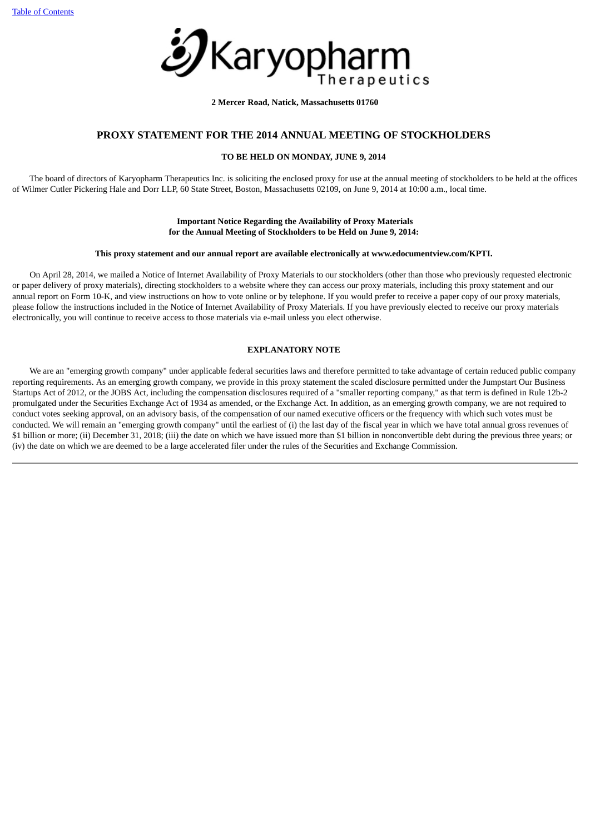

**2 Mercer Road, Natick, Massachusetts 01760**

# **PROXY STATEMENT FOR THE 2014 ANNUAL MEETING OF STOCKHOLDERS**

# **TO BE HELD ON MONDAY, JUNE 9, 2014**

<span id="page-4-0"></span> The board of directors of Karyopharm Therapeutics Inc. is soliciting the enclosed proxy for use at the annual meeting of stockholders to be held at the offices of Wilmer Cutler Pickering Hale and Dorr LLP, 60 State Street, Boston, Massachusetts 02109, on June 9, 2014 at 10:00 a.m., local time.

# **Important Notice Regarding the Availability of Proxy Materials for the Annual Meeting of Stockholders to be Held on June 9, 2014:**

# **This proxy statement and our annual report are available electronically at www.edocumentview.com/KPTI.**

 On April 28, 2014, we mailed a Notice of Internet Availability of Proxy Materials to our stockholders (other than those who previously requested electronic or paper delivery of proxy materials), directing stockholders to a website where they can access our proxy materials, including this proxy statement and our annual report on Form 10-K, and view instructions on how to vote online or by telephone. If you would prefer to receive a paper copy of our proxy materials, please follow the instructions included in the Notice of Internet Availability of Proxy Materials. If you have previously elected to receive our proxy materials electronically, you will continue to receive access to those materials via e-mail unless you elect otherwise.

# **EXPLANATORY NOTE**

<span id="page-4-1"></span> We are an "emerging growth company" under applicable federal securities laws and therefore permitted to take advantage of certain reduced public company reporting requirements. As an emerging growth company, we provide in this proxy statement the scaled disclosure permitted under the Jumpstart Our Business Startups Act of 2012, or the JOBS Act, including the compensation disclosures required of a "smaller reporting company," as that term is defined in Rule 12b-2 promulgated under the Securities Exchange Act of 1934 as amended, or the Exchange Act. In addition, as an emerging growth company, we are not required to conduct votes seeking approval, on an advisory basis, of the compensation of our named executive officers or the frequency with which such votes must be conducted. We will remain an "emerging growth company" until the earliest of (i) the last day of the fiscal year in which we have total annual gross revenues of \$1 billion or more; (ii) December 31, 2018; (iii) the date on which we have issued more than \$1 billion in nonconvertible debt during the previous three years; or (iv) the date on which we are deemed to be a large accelerated filer under the rules of the Securities and Exchange Commission.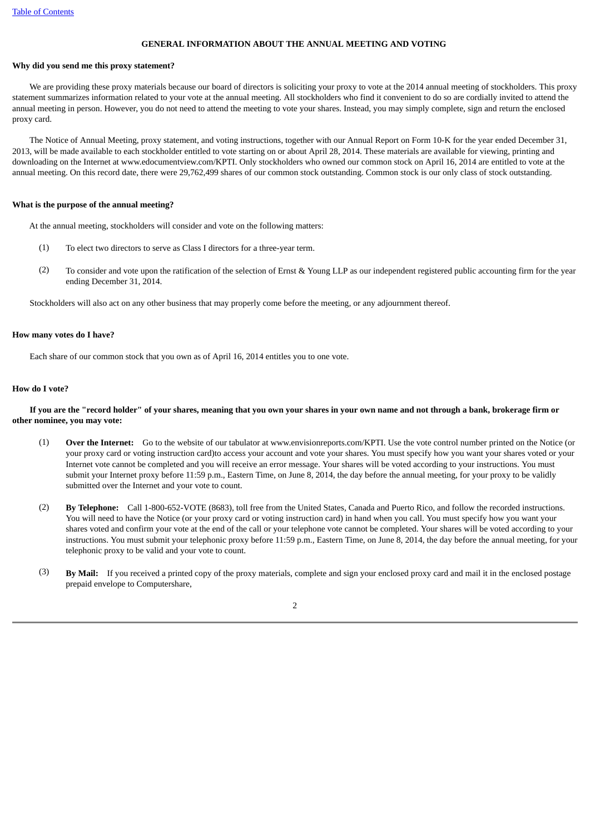# **GENERAL INFORMATION ABOUT THE ANNUAL MEETING AND VOTING**

# <span id="page-5-0"></span>**Why did you send me this proxy statement?**

 We are providing these proxy materials because our board of directors is soliciting your proxy to vote at the 2014 annual meeting of stockholders. This proxy statement summarizes information related to your vote at the annual meeting. All stockholders who find it convenient to do so are cordially invited to attend the annual meeting in person. However, you do not need to attend the meeting to vote your shares. Instead, you may simply complete, sign and return the enclosed proxy card.

 The Notice of Annual Meeting, proxy statement, and voting instructions, together with our Annual Report on Form 10-K for the year ended December 31, 2013, will be made available to each stockholder entitled to vote starting on or about April 28, 2014. These materials are available for viewing, printing and downloading on the Internet at www.edocumentview.com/KPTI. Only stockholders who owned our common stock on April 16, 2014 are entitled to vote at the annual meeting. On this record date, there were 29,762,499 shares of our common stock outstanding. Common stock is our only class of stock outstanding.

# **What is the purpose of the annual meeting?**

At the annual meeting, stockholders will consider and vote on the following matters:

- (1) To elect two directors to serve as Class I directors for a three-year term.
- (2) To consider and vote upon the ratification of the selection of Ernst & Young LLP as our independent registered public accounting firm for the year ending December 31, 2014.

Stockholders will also act on any other business that may properly come before the meeting, or any adjournment thereof.

#### **How many votes do I have?**

Each share of our common stock that you own as of April 16, 2014 entitles you to one vote.

#### **How do I vote?**

 **If you are the "record holder" of your shares, meaning that you own your shares in your own name and not through a bank, brokerage firm or other nominee, you may vote:**

- (1) **Over the Internet:** Go to the website of our tabulator at www.envisionreports.com/KPTI. Use the vote control number printed on the Notice (or your proxy card or voting instruction card)to access your account and vote your shares. You must specify how you want your shares voted or your Internet vote cannot be completed and you will receive an error message. Your shares will be voted according to your instructions. You must submit your Internet proxy before 11:59 p.m., Eastern Time, on June 8, 2014, the day before the annual meeting, for your proxy to be validly submitted over the Internet and your vote to count.
- (2) **By Telephone:** Call 1-800-652-VOTE (8683), toll free from the United States, Canada and Puerto Rico, and follow the recorded instructions. You will need to have the Notice (or your proxy card or voting instruction card) in hand when you call. You must specify how you want your shares voted and confirm your vote at the end of the call or your telephone vote cannot be completed. Your shares will be voted according to your instructions. You must submit your telephonic proxy before 11:59 p.m., Eastern Time, on June 8, 2014, the day before the annual meeting, for your telephonic proxy to be valid and your vote to count.
- (3) **By Mail:** If you received a printed copy of the proxy materials, complete and sign your enclosed proxy card and mail it in the enclosed postage prepaid envelope to Computershare,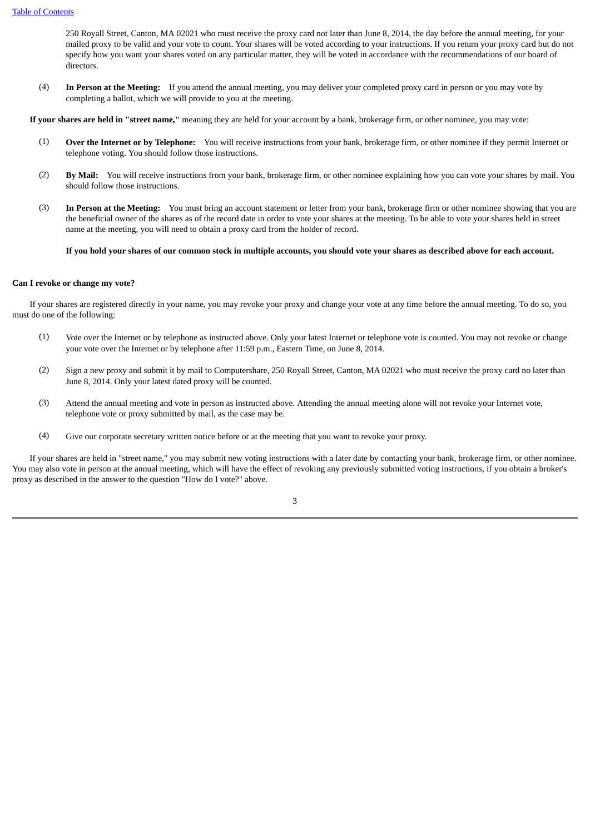250 Royall Street, Canton, MA 02021 who must receive the proxy card not later than June 8, 2014, the day before the annual meeting, for your mailed proxy to be valid and your vote to count. Your shares will be voted according to your instructions. If you return your proxy card but do not specify how you want your shares voted on any particular matter, they will be voted in accordance with the recommendations of our board of directors.

(4) **In Person at the Meeting:** If you attend the annual meeting, you may deliver your completed proxy card in person or you may vote by completing a ballot, which we will provide to you at the meeting.

**If your shares are held in "street name,"** meaning they are held for your account by a bank, brokerage firm, or other nominee, you may vote:

- (1) **Over the Internet or by Telephone:** You will receive instructions from your bank, brokerage firm, or other nominee if they permit Internet or telephone voting. You should follow those instructions.
- (2) **By Mail:** You will receive instructions from your bank, brokerage firm, or other nominee explaining how you can vote your shares by mail. You should follow those instructions.
- (3) **In Person at the Meeting:** You must bring an account statement or letter from your bank, brokerage firm or other nominee showing that you are the beneficial owner of the shares as of the record date in order to vote your shares at the meeting. To be able to vote your shares held in street name at the meeting, you will need to obtain a proxy card from the holder of record.

#### **If you hold your shares of our common stock in multiple accounts, you should vote your shares as described above for each account.**

#### **Can I revoke or change my vote?**

 If your shares are registered directly in your name, you may revoke your proxy and change your vote at any time before the annual meeting. To do so, you must do one of the following:

- (1) Vote over the Internet or by telephone as instructed above. Only your latest Internet or telephone vote is counted. You may not revoke or change your vote over the Internet or by telephone after 11:59 p.m., Eastern Time, on June 8, 2014.
- (2) Sign a new proxy and submit it by mail to Computershare, 250 Royall Street, Canton, MA 02021 who must receive the proxy card no later than June 8, 2014. Only your latest dated proxy will be counted.
- (3) Attend the annual meeting and vote in person as instructed above. Attending the annual meeting alone will not revoke your Internet vote, telephone vote or proxy submitted by mail, as the case may be.
- (4) Give our corporate secretary written notice before or at the meeting that you want to revoke your proxy.

 If your shares are held in "street name," you may submit new voting instructions with a later date by contacting your bank, brokerage firm, or other nominee. You may also vote in person at the annual meeting, which will have the effect of revoking any previously submitted voting instructions, if you obtain a broker's proxy as described in the answer to the question "How do I vote?" above.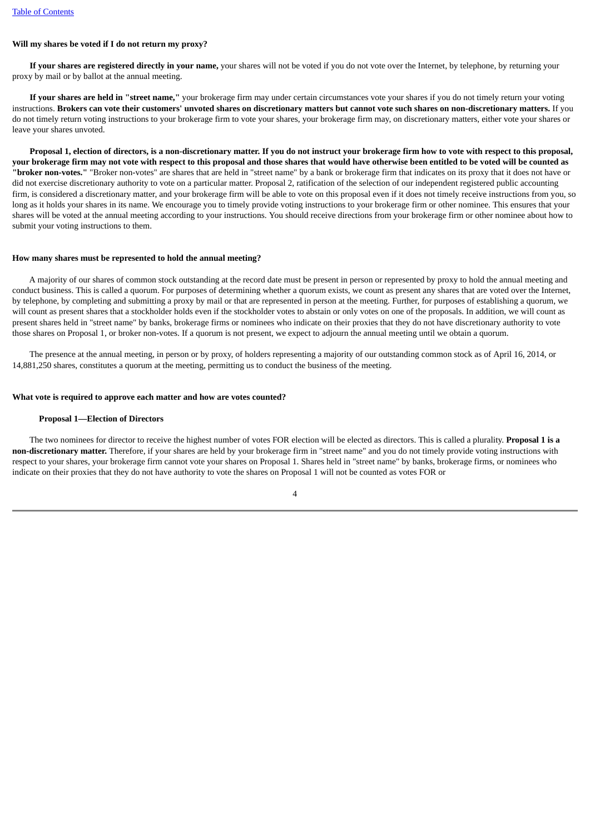# **Will my shares be voted if I do not return my proxy?**

 **If your shares are registered directly in your name,** your shares will not be voted if you do not vote over the Internet, by telephone, by returning your proxy by mail or by ballot at the annual meeting.

 **If your shares are held in "street name,"** your brokerage firm may under certain circumstances vote your shares if you do not timely return your voting instructions. **Brokers can vote their customers' unvoted shares on discretionary matters but cannot vote such shares on non-discretionary matters.** If you do not timely return voting instructions to your brokerage firm to vote your shares, your brokerage firm may, on discretionary matters, either vote your shares or leave your shares unvoted.

 **Proposal 1, election of directors, is a non-discretionary matter. If you do not instruct your brokerage firm how to vote with respect to this proposal, your brokerage firm may not vote with respect to this proposal and those shares that would have otherwise been entitled to be voted will be counted as "broker non-votes."** "Broker non-votes" are shares that are held in "street name" by a bank or brokerage firm that indicates on its proxy that it does not have or did not exercise discretionary authority to vote on a particular matter. Proposal 2, ratification of the selection of our independent registered public accounting firm, is considered a discretionary matter, and your brokerage firm will be able to vote on this proposal even if it does not timely receive instructions from you, so long as it holds your shares in its name. We encourage you to timely provide voting instructions to your brokerage firm or other nominee. This ensures that your shares will be voted at the annual meeting according to your instructions. You should receive directions from your brokerage firm or other nominee about how to submit your voting instructions to them.

#### **How many shares must be represented to hold the annual meeting?**

 A majority of our shares of common stock outstanding at the record date must be present in person or represented by proxy to hold the annual meeting and conduct business. This is called a quorum. For purposes of determining whether a quorum exists, we count as present any shares that are voted over the Internet, by telephone, by completing and submitting a proxy by mail or that are represented in person at the meeting. Further, for purposes of establishing a quorum, we will count as present shares that a stockholder holds even if the stockholder votes to abstain or only votes on one of the proposals. In addition, we will count as present shares held in "street name" by banks, brokerage firms or nominees who indicate on their proxies that they do not have discretionary authority to vote those shares on Proposal 1, or broker non-votes. If a quorum is not present, we expect to adjourn the annual meeting until we obtain a quorum.

 The presence at the annual meeting, in person or by proxy, of holders representing a majority of our outstanding common stock as of April 16, 2014, or 14,881,250 shares, constitutes a quorum at the meeting, permitting us to conduct the business of the meeting.

#### **What vote is required to approve each matter and how are votes counted?**

#### **Proposal 1—Election of Directors**

 The two nominees for director to receive the highest number of votes FOR election will be elected as directors. This is called a plurality. **Proposal 1 is a non-discretionary matter.** Therefore, if your shares are held by your brokerage firm in "street name" and you do not timely provide voting instructions with respect to your shares, your brokerage firm cannot vote your shares on Proposal 1. Shares held in "street name" by banks, brokerage firms, or nominees who indicate on their proxies that they do not have authority to vote the shares on Proposal 1 will not be counted as votes FOR or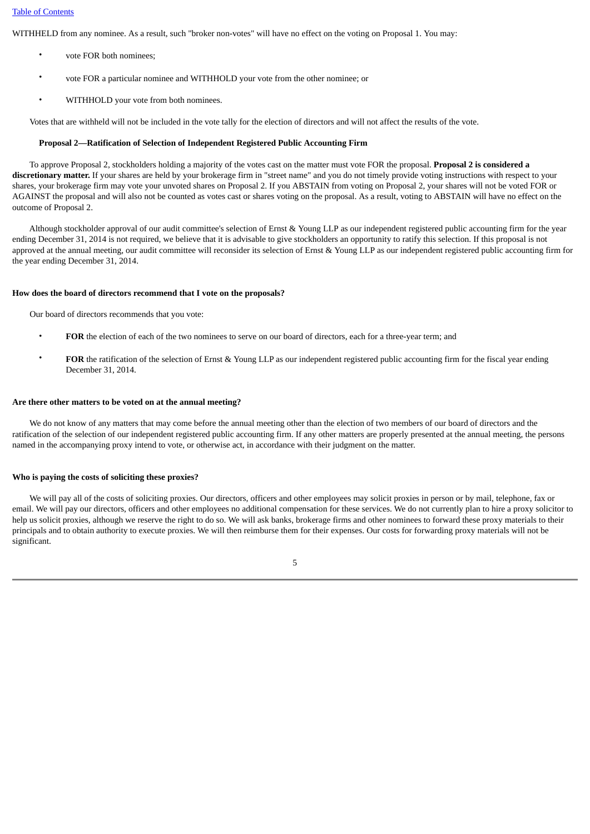WITHHELD from any nominee. As a result, such "broker non-votes" will have no effect on the voting on Proposal 1. You may:

- vote FOR both nominees;
- vote FOR a particular nominee and WITHHOLD your vote from the other nominee; or
- WITHHOLD your vote from both nominees.

Votes that are withheld will not be included in the vote tally for the election of directors and will not affect the results of the vote.

#### **Proposal 2—Ratification of Selection of Independent Registered Public Accounting Firm**

 To approve Proposal 2, stockholders holding a majority of the votes cast on the matter must vote FOR the proposal. **Proposal 2 is considered a discretionary matter.** If your shares are held by your brokerage firm in "street name" and you do not timely provide voting instructions with respect to your shares, your brokerage firm may vote your unvoted shares on Proposal 2. If you ABSTAIN from voting on Proposal 2, your shares will not be voted FOR or AGAINST the proposal and will also not be counted as votes cast or shares voting on the proposal. As a result, voting to ABSTAIN will have no effect on the outcome of Proposal 2.

 Although stockholder approval of our audit committee's selection of Ernst & Young LLP as our independent registered public accounting firm for the year ending December 31, 2014 is not required, we believe that it is advisable to give stockholders an opportunity to ratify this selection. If this proposal is not approved at the annual meeting, our audit committee will reconsider its selection of Ernst & Young LLP as our independent registered public accounting firm for the year ending December 31, 2014.

#### **How does the board of directors recommend that I vote on the proposals?**

Our board of directors recommends that you vote:

- **FOR** the election of each of the two nominees to serve on our board of directors, each for a three-year term; and
- **FOR** the ratification of the selection of Ernst & Young LLP as our independent registered public accounting firm for the fiscal year ending December 31, 2014.

#### **Are there other matters to be voted on at the annual meeting?**

 We do not know of any matters that may come before the annual meeting other than the election of two members of our board of directors and the ratification of the selection of our independent registered public accounting firm. If any other matters are properly presented at the annual meeting, the persons named in the accompanying proxy intend to vote, or otherwise act, in accordance with their judgment on the matter.

# **Who is paying the costs of soliciting these proxies?**

 We will pay all of the costs of soliciting proxies. Our directors, officers and other employees may solicit proxies in person or by mail, telephone, fax or email. We will pay our directors, officers and other employees no additional compensation for these services. We do not currently plan to hire a proxy solicitor to help us solicit proxies, although we reserve the right to do so. We will ask banks, brokerage firms and other nominees to forward these proxy materials to their principals and to obtain authority to execute proxies. We will then reimburse them for their expenses. Our costs for forwarding proxy materials will not be significant.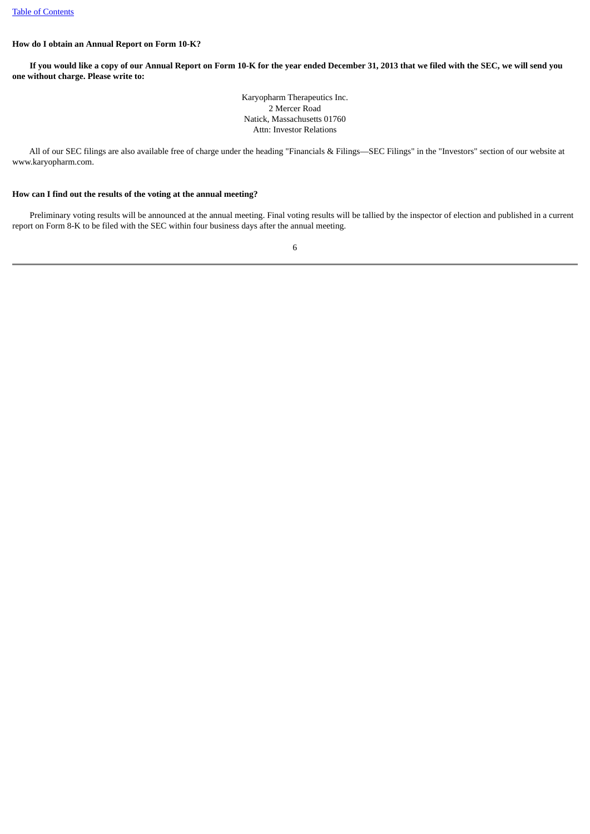# **How do I obtain an Annual Report on Form 10-K?**

 **If you would like a copy of our Annual Report on Form 10-K for the year ended December 31, 2013 that we filed with the SEC, we will send you one without charge. Please write to:**

> Karyopharm Therapeutics Inc. 2 Mercer Road Natick, Massachusetts 01760 Attn: Investor Relations

 All of our SEC filings are also available free of charge under the heading "Financials & Filings—SEC Filings" in the "Investors" section of our website at www.karyopharm.com.

# **How can I find out the results of the voting at the annual meeting?**

Preliminary voting results will be announced at the annual meeting. Final voting results will be tallied by the inspector of election and published in a current report on Form 8-K to be filed with the SEC within four business days after the annual meeting.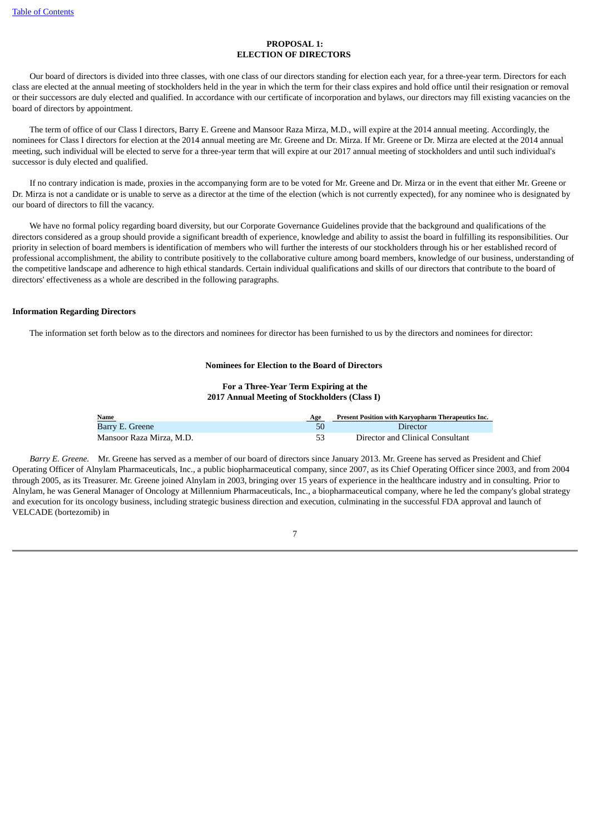# **PROPOSAL 1: ELECTION OF DIRECTORS**

<span id="page-10-0"></span> Our board of directors is divided into three classes, with one class of our directors standing for election each year, for a three-year term. Directors for each class are elected at the annual meeting of stockholders held in the year in which the term for their class expires and hold office until their resignation or removal or their successors are duly elected and qualified. In accordance with our certificate of incorporation and bylaws, our directors may fill existing vacancies on the board of directors by appointment.

 The term of office of our Class I directors, Barry E. Greene and Mansoor Raza Mirza, M.D., will expire at the 2014 annual meeting. Accordingly, the nominees for Class I directors for election at the 2014 annual meeting are Mr. Greene and Dr. Mirza. If Mr. Greene or Dr. Mirza are elected at the 2014 annual meeting, such individual will be elected to serve for a three-year term that will expire at our 2017 annual meeting of stockholders and until such individual's successor is duly elected and qualified.

 If no contrary indication is made, proxies in the accompanying form are to be voted for Mr. Greene and Dr. Mirza or in the event that either Mr. Greene or Dr. Mirza is not a candidate or is unable to serve as a director at the time of the election (which is not currently expected), for any nominee who is designated by our board of directors to fill the vacancy.

 We have no formal policy regarding board diversity, but our Corporate Governance Guidelines provide that the background and qualifications of the directors considered as a group should provide a significant breadth of experience, knowledge and ability to assist the board in fulfilling its responsibilities. Our priority in selection of board members is identification of members who will further the interests of our stockholders through his or her established record of professional accomplishment, the ability to contribute positively to the collaborative culture among board members, knowledge of our business, understanding of the competitive landscape and adherence to high ethical standards. Certain individual qualifications and skills of our directors that contribute to the board of directors' effectiveness as a whole are described in the following paragraphs.

# **Information Regarding Directors**

The information set forth below as to the directors and nominees for director has been furnished to us by the directors and nominees for director:

# **Nominees for Election to the Board of Directors**

**For a Three-Year Term Expiring at the 2017 Annual Meeting of Stockholders (Class I)** 

| Name                     | Age | Present Position with Karyopharm Therapeutics Inc. |
|--------------------------|-----|----------------------------------------------------|
| Barry E. Greene          | 50  | Director                                           |
| Mansoor Raza Mirza, M.D. | 53  | Director and Clinical Consultant                   |

 *Barry E. Greene.* Mr. Greene has served as a member of our board of directors since January 2013. Mr. Greene has served as President and Chief Operating Officer of Alnylam Pharmaceuticals, Inc., a public biopharmaceutical company, since 2007, as its Chief Operating Officer since 2003, and from 2004 through 2005, as its Treasurer. Mr. Greene joined Alnylam in 2003, bringing over 15 years of experience in the healthcare industry and in consulting. Prior to Alnylam, he was General Manager of Oncology at Millennium Pharmaceuticals, Inc., a biopharmaceutical company, where he led the company's global strategy and execution for its oncology business, including strategic business direction and execution, culminating in the successful FDA approval and launch of VELCADE (bortezomib) in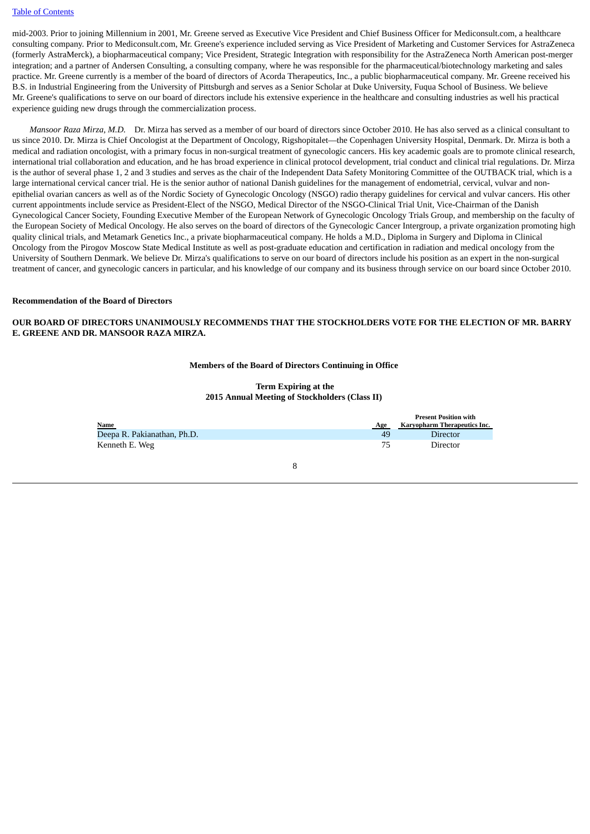mid-2003. Prior to joining Millennium in 2001, Mr. Greene served as Executive Vice President and Chief Business Officer for Mediconsult.com, a healthcare consulting company. Prior to Mediconsult.com, Mr. Greene's experience included serving as Vice President of Marketing and Customer Services for AstraZeneca (formerly AstraMerck), a biopharmaceutical company; Vice President, Strategic Integration with responsibility for the AstraZeneca North American post-merger integration; and a partner of Andersen Consulting, a consulting company, where he was responsible for the pharmaceutical/biotechnology marketing and sales practice. Mr. Greene currently is a member of the board of directors of Acorda Therapeutics, Inc., a public biopharmaceutical company. Mr. Greene received his B.S. in Industrial Engineering from the University of Pittsburgh and serves as a Senior Scholar at Duke University, Fuqua School of Business. We believe Mr. Greene's qualifications to serve on our board of directors include his extensive experience in the healthcare and consulting industries as well his practical experience guiding new drugs through the commercialization process.

 *Mansoor Raza Mirza, M.D.* Dr. Mirza has served as a member of our board of directors since October 2010. He has also served as a clinical consultant to us since 2010. Dr. Mirza is Chief Oncologist at the Department of Oncology, Rigshopitalet—the Copenhagen University Hospital, Denmark. Dr. Mirza is both a medical and radiation oncologist, with a primary focus in non-surgical treatment of gynecologic cancers. His key academic goals are to promote clinical research, international trial collaboration and education, and he has broad experience in clinical protocol development, trial conduct and clinical trial regulations. Dr. Mirza is the author of several phase 1, 2 and 3 studies and serves as the chair of the Independent Data Safety Monitoring Committee of the OUTBACK trial, which is a large international cervical cancer trial. He is the senior author of national Danish guidelines for the management of endometrial, cervical, vulvar and nonepithelial ovarian cancers as well as of the Nordic Society of Gynecologic Oncology (NSGO) radio therapy guidelines for cervical and vulvar cancers. His other current appointments include service as President-Elect of the NSGO, Medical Director of the NSGO-Clinical Trial Unit, Vice-Chairman of the Danish Gynecological Cancer Society, Founding Executive Member of the European Network of Gynecologic Oncology Trials Group, and membership on the faculty of the European Society of Medical Oncology. He also serves on the board of directors of the Gynecologic Cancer Intergroup, a private organization promoting high quality clinical trials, and Metamark Genetics Inc., a private biopharmaceutical company. He holds a M.D., Diploma in Surgery and Diploma in Clinical Oncology from the Pirogov Moscow State Medical Institute as well as post-graduate education and certification in radiation and medical oncology from the University of Southern Denmark. We believe Dr. Mirza's qualifications to serve on our board of directors include his position as an expert in the non-surgical treatment of cancer, and gynecologic cancers in particular, and his knowledge of our company and its business through service on our board since October 2010.

# **Recommendation of the Board of Directors**

# **OUR BOARD OF DIRECTORS UNANIMOUSLY RECOMMENDS THAT THE STOCKHOLDERS VOTE FOR THE ELECTION OF MR. BARRY E. GREENE AND DR. MANSOOR RAZA MIRZA.**

#### **Members of the Board of Directors Continuing in Office**

# **Term Expiring at the 2015 Annual Meeting of Stockholders (Class II)**

| <b>Name</b>                 | Age | <b>Present Position with</b><br>Karyopharm Therapeutics Inc. |
|-----------------------------|-----|--------------------------------------------------------------|
| Deepa R. Pakianathan, Ph.D. | 49  | <b>Director</b>                                              |
| Kenneth E. Weg              | 75  | <b>Director</b>                                              |
|                             |     |                                                              |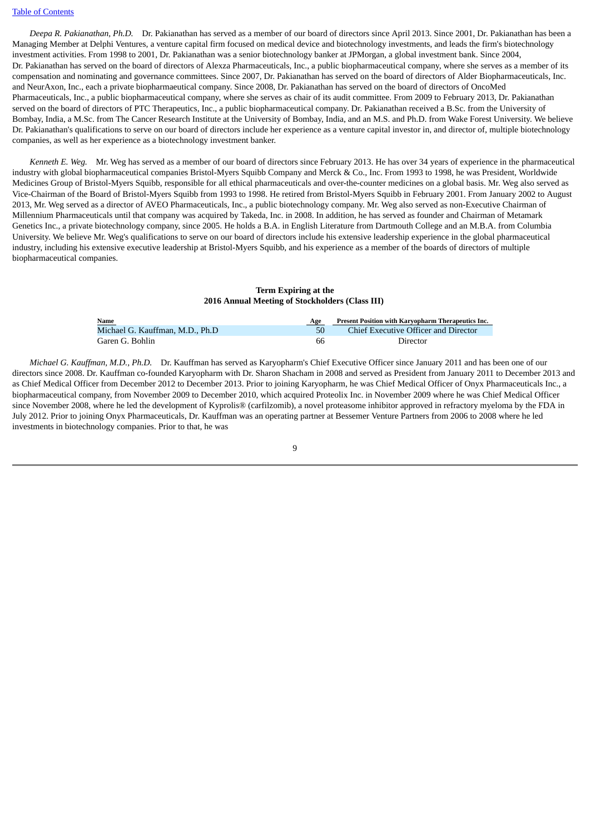*Deepa R. Pakianathan, Ph.D.* Dr. Pakianathan has served as a member of our board of directors since April 2013. Since 2001, Dr. Pakianathan has been a Managing Member at Delphi Ventures, a venture capital firm focused on medical device and biotechnology investments, and leads the firm's biotechnology investment activities. From 1998 to 2001, Dr. Pakianathan was a senior biotechnology banker at JPMorgan, a global investment bank. Since 2004, Dr. Pakianathan has served on the board of directors of Alexza Pharmaceuticals, Inc., a public biopharmaceutical company, where she serves as a member of its compensation and nominating and governance committees. Since 2007, Dr. Pakianathan has served on the board of directors of Alder Biopharmaceuticals, Inc. and NeurAxon, Inc., each a private biopharmaeutical company. Since 2008, Dr. Pakianathan has served on the board of directors of OncoMed Pharmaceuticals, Inc., a public biopharmaceutical company, where she serves as chair of its audit committee. From 2009 to February 2013, Dr. Pakianathan served on the board of directors of PTC Therapeutics, Inc., a public biopharmaceutical company. Dr. Pakianathan received a B.Sc. from the University of Bombay, India, a M.Sc. from The Cancer Research Institute at the University of Bombay, India, and an M.S. and Ph.D. from Wake Forest University. We believe Dr. Pakianathan's qualifications to serve on our board of directors include her experience as a venture capital investor in, and director of, multiple biotechnology companies, as well as her experience as a biotechnology investment banker.

 *Kenneth E. Weg.* Mr. Weg has served as a member of our board of directors since February 2013. He has over 34 years of experience in the pharmaceutical industry with global biopharmaceutical companies Bristol-Myers Squibb Company and Merck & Co., Inc. From 1993 to 1998, he was President, Worldwide Medicines Group of Bristol-Myers Squibb, responsible for all ethical pharmaceuticals and over-the-counter medicines on a global basis. Mr. Weg also served as Vice-Chairman of the Board of Bristol-Myers Squibb from 1993 to 1998. He retired from Bristol-Myers Squibb in February 2001. From January 2002 to August 2013, Mr. Weg served as a director of AVEO Pharmaceuticals, Inc., a public biotechnology company. Mr. Weg also served as non-Executive Chairman of Millennium Pharmaceuticals until that company was acquired by Takeda, Inc. in 2008. In addition, he has served as founder and Chairman of Metamark Genetics Inc., a private biotechnology company, since 2005. He holds a B.A. in English Literature from Dartmouth College and an M.B.A. from Columbia University. We believe Mr. Weg's qualifications to serve on our board of directors include his extensive leadership experience in the global pharmaceutical industry, including his extensive executive leadership at Bristol-Myers Squibb, and his experience as a member of the boards of directors of multiple biopharmaceutical companies.

# **Term Expiring at the 2016 Annual Meeting of Stockholders (Class III)**

| Name                            | Age | Present Position with Karyopharm Therapeutics Inc. |
|---------------------------------|-----|----------------------------------------------------|
| Michael G. Kauffman, M.D., Ph.D | 50  | Chief Executive Officer and Director               |
| Garen G. Bohlin                 | 66  | Director                                           |

 *Michael G. Kauffman, M.D., Ph.D.* Dr. Kauffman has served as Karyopharm's Chief Executive Officer since January 2011 and has been one of our directors since 2008. Dr. Kauffman co-founded Karyopharm with Dr. Sharon Shacham in 2008 and served as President from January 2011 to December 2013 and as Chief Medical Officer from December 2012 to December 2013. Prior to joining Karyopharm, he was Chief Medical Officer of Onyx Pharmaceuticals Inc., a biopharmaceutical company, from November 2009 to December 2010, which acquired Proteolix Inc. in November 2009 where he was Chief Medical Officer since November 2008, where he led the development of Kyprolis® (carfilzomib), a novel proteasome inhibitor approved in refractory myeloma by the FDA in July 2012. Prior to joining Onyx Pharmaceuticals, Dr. Kauffman was an operating partner at Bessemer Venture Partners from 2006 to 2008 where he led investments in biotechnology companies. Prior to that, he was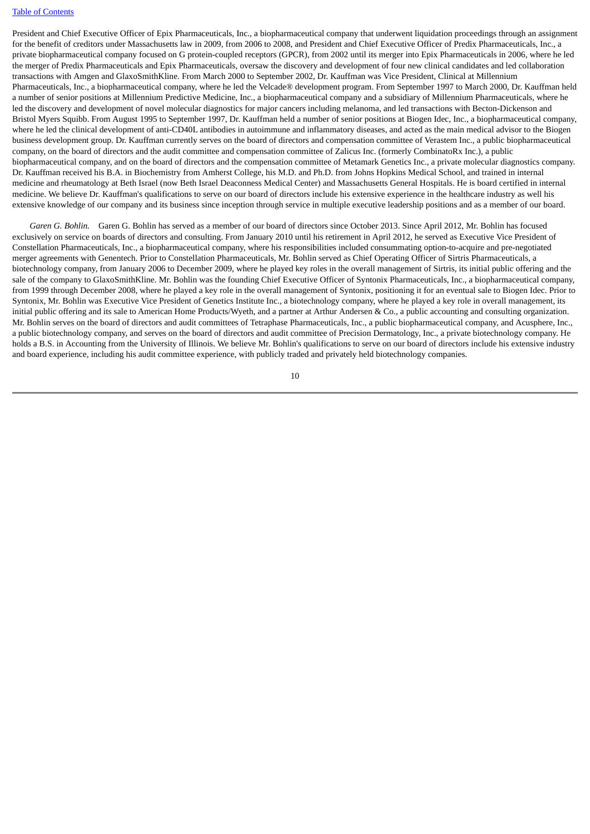#### [Table of Contents](#page-3-0)

President and Chief Executive Officer of Epix Pharmaceuticals, Inc., a biopharmaceutical company that underwent liquidation proceedings through an assignment for the benefit of creditors under Massachusetts law in 2009, from 2006 to 2008, and President and Chief Executive Officer of Predix Pharmaceuticals, Inc., a private biopharmaceutical company focused on G protein-coupled receptors (GPCR), from 2002 until its merger into Epix Pharmaceuticals in 2006, where he led the merger of Predix Pharmaceuticals and Epix Pharmaceuticals, oversaw the discovery and development of four new clinical candidates and led collaboration transactions with Amgen and GlaxoSmithKline. From March 2000 to September 2002, Dr. Kauffman was Vice President, Clinical at Millennium Pharmaceuticals, Inc., a biopharmaceutical company, where he led the Velcade® development program. From September 1997 to March 2000, Dr. Kauffman held a number of senior positions at Millennium Predictive Medicine, Inc., a biopharmaceutical company and a subsidiary of Millennium Pharmaceuticals, where he led the discovery and development of novel molecular diagnostics for major cancers including melanoma, and led transactions with Becton-Dickenson and Bristol Myers Squibb. From August 1995 to September 1997, Dr. Kauffman held a number of senior positions at Biogen Idec, Inc., a biopharmaceutical company, where he led the clinical development of anti-CD40L antibodies in autoimmune and inflammatory diseases, and acted as the main medical advisor to the Biogen business development group. Dr. Kauffman currently serves on the board of directors and compensation committee of Verastem Inc., a public biopharmaceutical company, on the board of directors and the audit committee and compensation committee of Zalicus Inc. (formerly CombinatoRx Inc.), a public biopharmaceutical company, and on the board of directors and the compensation committee of Metamark Genetics Inc., a private molecular diagnostics company. Dr. Kauffman received his B.A. in Biochemistry from Amherst College, his M.D. and Ph.D. from Johns Hopkins Medical School, and trained in internal medicine and rheumatology at Beth Israel (now Beth Israel Deaconness Medical Center) and Massachusetts General Hospitals. He is board certified in internal medicine. We believe Dr. Kauffman's qualifications to serve on our board of directors include his extensive experience in the healthcare industry as well his extensive knowledge of our company and its business since inception through service in multiple executive leadership positions and as a member of our board.

 *Garen G. Bohlin.* Garen G. Bohlin has served as a member of our board of directors since October 2013. Since April 2012, Mr. Bohlin has focused exclusively on service on boards of directors and consulting. From January 2010 until his retirement in April 2012, he served as Executive Vice President of Constellation Pharmaceuticals, Inc., a biopharmaceutical company, where his responsibilities included consummating option-to-acquire and pre-negotiated merger agreements with Genentech. Prior to Constellation Pharmaceuticals, Mr. Bohlin served as Chief Operating Officer of Sirtris Pharmaceuticals, a biotechnology company, from January 2006 to December 2009, where he played key roles in the overall management of Sirtris, its initial public offering and the sale of the company to GlaxoSmithKline. Mr. Bohlin was the founding Chief Executive Officer of Syntonix Pharmaceuticals, Inc., a biopharmaceutical company, from 1999 through December 2008, where he played a key role in the overall management of Syntonix, positioning it for an eventual sale to Biogen Idec. Prior to Syntonix, Mr. Bohlin was Executive Vice President of Genetics Institute Inc., a biotechnology company, where he played a key role in overall management, its initial public offering and its sale to American Home Products/Wyeth, and a partner at Arthur Andersen & Co., a public accounting and consulting organization. Mr. Bohlin serves on the board of directors and audit committees of Tetraphase Pharmaceuticals, Inc., a public biopharmaceutical company, and Acusphere, Inc., a public biotechnology company, and serves on the board of directors and audit committee of Precision Dermatology, Inc., a private biotechnology company. He holds a B.S. in Accounting from the University of Illinois. We believe Mr. Bohlin's qualifications to serve on our board of directors include his extensive industry and board experience, including his audit committee experience, with publicly traded and privately held biotechnology companies.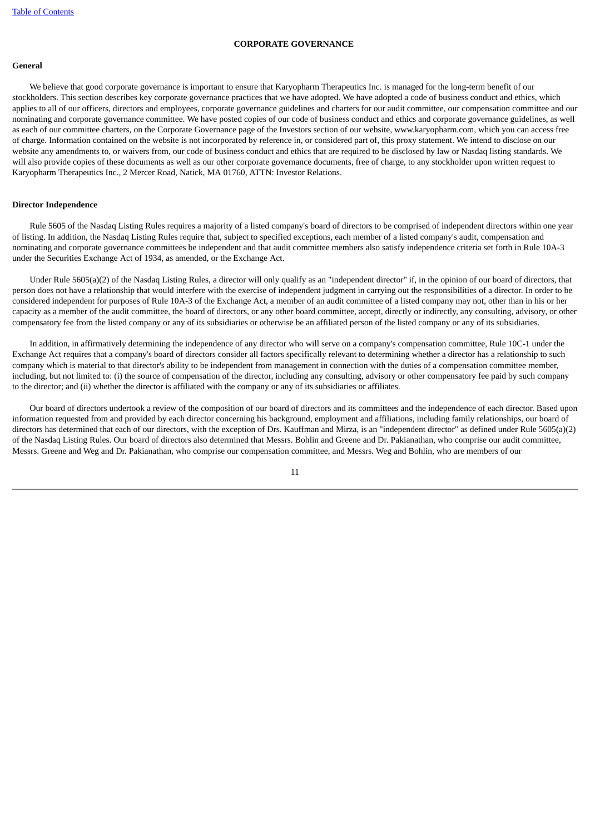# **CORPORATE GOVERNANCE**

#### <span id="page-14-1"></span><span id="page-14-0"></span>**General**

 We believe that good corporate governance is important to ensure that Karyopharm Therapeutics Inc. is managed for the long-term benefit of our stockholders. This section describes key corporate governance practices that we have adopted. We have adopted a code of business conduct and ethics, which applies to all of our officers, directors and employees, corporate governance guidelines and charters for our audit committee, our compensation committee and our nominating and corporate governance committee. We have posted copies of our code of business conduct and ethics and corporate governance guidelines, as well as each of our committee charters, on the Corporate Governance page of the Investors section of our website, www.karyopharm.com, which you can access free of charge. Information contained on the website is not incorporated by reference in, or considered part of, this proxy statement. We intend to disclose on our website any amendments to, or waivers from, our code of business conduct and ethics that are required to be disclosed by law or Nasdaq listing standards. We will also provide copies of these documents as well as our other corporate governance documents, free of charge, to any stockholder upon written request to Karyopharm Therapeutics Inc., 2 Mercer Road, Natick, MA 01760, ATTN: Investor Relations.

#### <span id="page-14-2"></span>**Director Independence**

 Rule 5605 of the Nasdaq Listing Rules requires a majority of a listed company's board of directors to be comprised of independent directors within one year of listing. In addition, the Nasdaq Listing Rules require that, subject to specified exceptions, each member of a listed company's audit, compensation and nominating and corporate governance committees be independent and that audit committee members also satisfy independence criteria set forth in Rule 10A-3 under the Securities Exchange Act of 1934, as amended, or the Exchange Act.

 Under Rule 5605(a)(2) of the Nasdaq Listing Rules, a director will only qualify as an "independent director" if, in the opinion of our board of directors, that person does not have a relationship that would interfere with the exercise of independent judgment in carrying out the responsibilities of a director. In order to be considered independent for purposes of Rule 10A-3 of the Exchange Act, a member of an audit committee of a listed company may not, other than in his or her capacity as a member of the audit committee, the board of directors, or any other board committee, accept, directly or indirectly, any consulting, advisory, or other compensatory fee from the listed company or any of its subsidiaries or otherwise be an affiliated person of the listed company or any of its subsidiaries.

 In addition, in affirmatively determining the independence of any director who will serve on a company's compensation committee, Rule 10C-1 under the Exchange Act requires that a company's board of directors consider all factors specifically relevant to determining whether a director has a relationship to such company which is material to that director's ability to be independent from management in connection with the duties of a compensation committee member, including, but not limited to: (i) the source of compensation of the director, including any consulting, advisory or other compensatory fee paid by such company to the director; and (ii) whether the director is affiliated with the company or any of its subsidiaries or affiliates.

 Our board of directors undertook a review of the composition of our board of directors and its committees and the independence of each director. Based upon information requested from and provided by each director concerning his background, employment and affiliations, including family relationships, our board of directors has determined that each of our directors, with the exception of Drs. Kauffman and Mirza, is an "independent director" as defined under Rule 5605(a)(2) of the Nasdaq Listing Rules. Our board of directors also determined that Messrs. Bohlin and Greene and Dr. Pakianathan, who comprise our audit committee, Messrs. Greene and Weg and Dr. Pakianathan, who comprise our compensation committee, and Messrs. Weg and Bohlin, who are members of our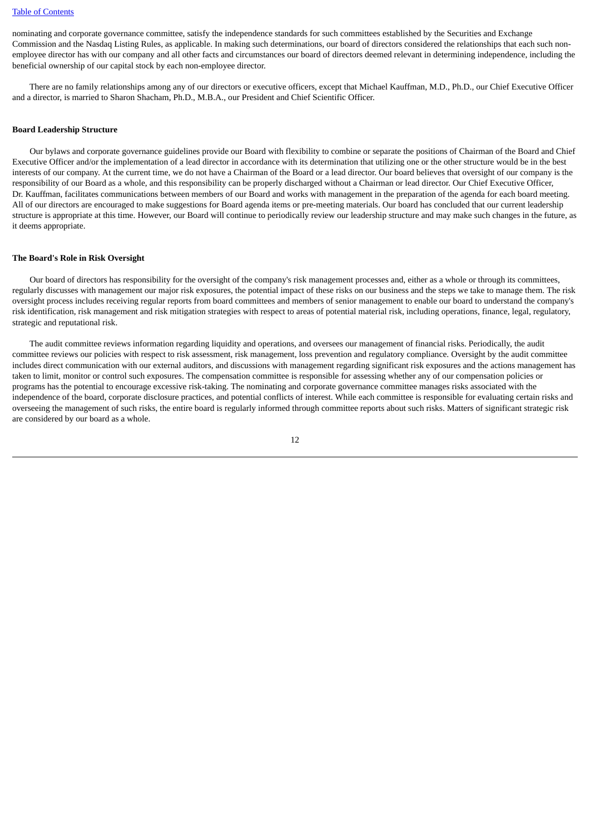#### [Table of Contents](#page-3-0)

nominating and corporate governance committee, satisfy the independence standards for such committees established by the Securities and Exchange Commission and the Nasdaq Listing Rules, as applicable. In making such determinations, our board of directors considered the relationships that each such nonemployee director has with our company and all other facts and circumstances our board of directors deemed relevant in determining independence, including the beneficial ownership of our capital stock by each non-employee director.

 There are no family relationships among any of our directors or executive officers, except that Michael Kauffman, M.D., Ph.D., our Chief Executive Officer and a director, is married to Sharon Shacham, Ph.D., M.B.A., our President and Chief Scientific Officer.

#### <span id="page-15-0"></span>**Board Leadership Structure**

 Our bylaws and corporate governance guidelines provide our Board with flexibility to combine or separate the positions of Chairman of the Board and Chief Executive Officer and/or the implementation of a lead director in accordance with its determination that utilizing one or the other structure would be in the best interests of our company. At the current time, we do not have a Chairman of the Board or a lead director. Our board believes that oversight of our company is the responsibility of our Board as a whole, and this responsibility can be properly discharged without a Chairman or lead director. Our Chief Executive Officer, Dr. Kauffman, facilitates communications between members of our Board and works with management in the preparation of the agenda for each board meeting. All of our directors are encouraged to make suggestions for Board agenda items or pre-meeting materials. Our board has concluded that our current leadership structure is appropriate at this time. However, our Board will continue to periodically review our leadership structure and may make such changes in the future, as it deems appropriate.

#### <span id="page-15-1"></span>**The Board's Role in Risk Oversight**

 Our board of directors has responsibility for the oversight of the company's risk management processes and, either as a whole or through its committees, regularly discusses with management our major risk exposures, the potential impact of these risks on our business and the steps we take to manage them. The risk oversight process includes receiving regular reports from board committees and members of senior management to enable our board to understand the company's risk identification, risk management and risk mitigation strategies with respect to areas of potential material risk, including operations, finance, legal, regulatory, strategic and reputational risk.

 The audit committee reviews information regarding liquidity and operations, and oversees our management of financial risks. Periodically, the audit committee reviews our policies with respect to risk assessment, risk management, loss prevention and regulatory compliance. Oversight by the audit committee includes direct communication with our external auditors, and discussions with management regarding significant risk exposures and the actions management has taken to limit, monitor or control such exposures. The compensation committee is responsible for assessing whether any of our compensation policies or programs has the potential to encourage excessive risk-taking. The nominating and corporate governance committee manages risks associated with the independence of the board, corporate disclosure practices, and potential conflicts of interest. While each committee is responsible for evaluating certain risks and overseeing the management of such risks, the entire board is regularly informed through committee reports about such risks. Matters of significant strategic risk are considered by our board as a whole.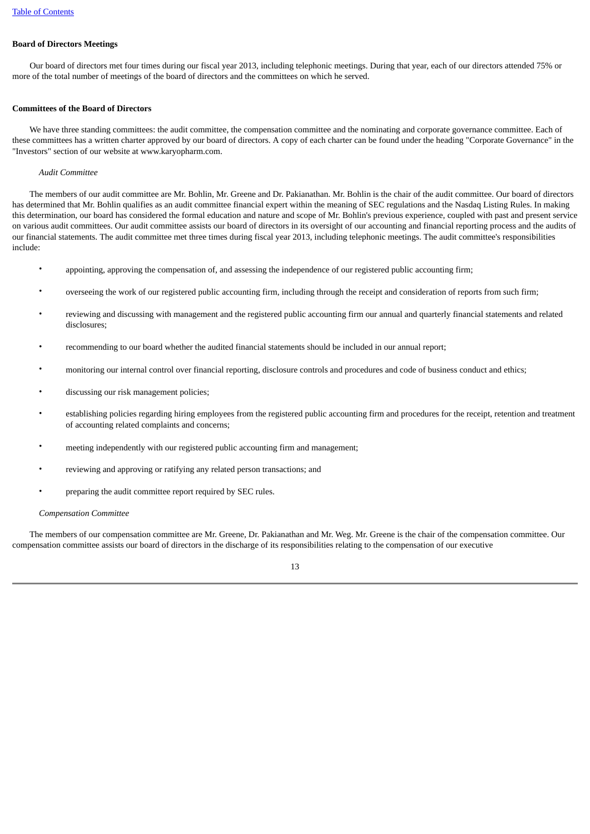# <span id="page-16-0"></span>**Board of Directors Meetings**

 Our board of directors met four times during our fiscal year 2013, including telephonic meetings. During that year, each of our directors attended 75% or more of the total number of meetings of the board of directors and the committees on which he served.

# <span id="page-16-1"></span>**Committees of the Board of Directors**

 We have three standing committees: the audit committee, the compensation committee and the nominating and corporate governance committee. Each of these committees has a written charter approved by our board of directors. A copy of each charter can be found under the heading "Corporate Governance" in the "Investors" section of our website at www.karyopharm.com.

# *Audit Committee*

 The members of our audit committee are Mr. Bohlin, Mr. Greene and Dr. Pakianathan. Mr. Bohlin is the chair of the audit committee. Our board of directors has determined that Mr. Bohlin qualifies as an audit committee financial expert within the meaning of SEC regulations and the Nasdaq Listing Rules. In making this determination, our board has considered the formal education and nature and scope of Mr. Bohlin's previous experience, coupled with past and present service on various audit committees. Our audit committee assists our board of directors in its oversight of our accounting and financial reporting process and the audits of our financial statements. The audit committee met three times during fiscal year 2013, including telephonic meetings. The audit committee's responsibilities include:

- appointing, approving the compensation of, and assessing the independence of our registered public accounting firm;
- overseeing the work of our registered public accounting firm, including through the receipt and consideration of reports from such firm;
- reviewing and discussing with management and the registered public accounting firm our annual and quarterly financial statements and related disclosures;
- recommending to our board whether the audited financial statements should be included in our annual report;
- monitoring our internal control over financial reporting, disclosure controls and procedures and code of business conduct and ethics;
- discussing our risk management policies;
- establishing policies regarding hiring employees from the registered public accounting firm and procedures for the receipt, retention and treatment of accounting related complaints and concerns;
- meeting independently with our registered public accounting firm and management;
- reviewing and approving or ratifying any related person transactions; and
- preparing the audit committee report required by SEC rules.

# *Compensation Committee*

 The members of our compensation committee are Mr. Greene, Dr. Pakianathan and Mr. Weg. Mr. Greene is the chair of the compensation committee. Our compensation committee assists our board of directors in the discharge of its responsibilities relating to the compensation of our executive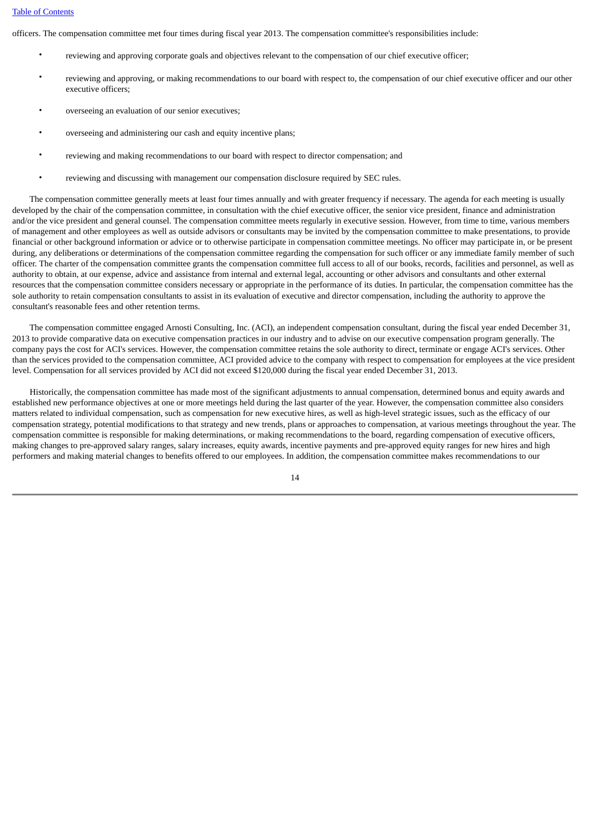# [Table of Contents](#page-3-0)

officers. The compensation committee met four times during fiscal year 2013. The compensation committee's responsibilities include:

- reviewing and approving corporate goals and objectives relevant to the compensation of our chief executive officer;
- reviewing and approving, or making recommendations to our board with respect to, the compensation of our chief executive officer and our other executive officers;
- overseeing an evaluation of our senior executives;
- overseeing and administering our cash and equity incentive plans;
- reviewing and making recommendations to our board with respect to director compensation; and
- reviewing and discussing with management our compensation disclosure required by SEC rules.

 The compensation committee generally meets at least four times annually and with greater frequency if necessary. The agenda for each meeting is usually developed by the chair of the compensation committee, in consultation with the chief executive officer, the senior vice president, finance and administration and/or the vice president and general counsel. The compensation committee meets regularly in executive session. However, from time to time, various members of management and other employees as well as outside advisors or consultants may be invited by the compensation committee to make presentations, to provide financial or other background information or advice or to otherwise participate in compensation committee meetings. No officer may participate in, or be present during, any deliberations or determinations of the compensation committee regarding the compensation for such officer or any immediate family member of such officer. The charter of the compensation committee grants the compensation committee full access to all of our books, records, facilities and personnel, as well as authority to obtain, at our expense, advice and assistance from internal and external legal, accounting or other advisors and consultants and other external resources that the compensation committee considers necessary or appropriate in the performance of its duties. In particular, the compensation committee has the sole authority to retain compensation consultants to assist in its evaluation of executive and director compensation, including the authority to approve the consultant's reasonable fees and other retention terms.

 The compensation committee engaged Arnosti Consulting, Inc. (ACI), an independent compensation consultant, during the fiscal year ended December 31, 2013 to provide comparative data on executive compensation practices in our industry and to advise on our executive compensation program generally. The company pays the cost for ACI's services. However, the compensation committee retains the sole authority to direct, terminate or engage ACI's services. Other than the services provided to the compensation committee, ACI provided advice to the company with respect to compensation for employees at the vice president level. Compensation for all services provided by ACI did not exceed \$120,000 during the fiscal year ended December 31, 2013.

 Historically, the compensation committee has made most of the significant adjustments to annual compensation, determined bonus and equity awards and established new performance objectives at one or more meetings held during the last quarter of the year. However, the compensation committee also considers matters related to individual compensation, such as compensation for new executive hires, as well as high-level strategic issues, such as the efficacy of our compensation strategy, potential modifications to that strategy and new trends, plans or approaches to compensation, at various meetings throughout the year. The compensation committee is responsible for making determinations, or making recommendations to the board, regarding compensation of executive officers, making changes to pre-approved salary ranges, salary increases, equity awards, incentive payments and pre-approved equity ranges for new hires and high performers and making material changes to benefits offered to our employees. In addition, the compensation committee makes recommendations to our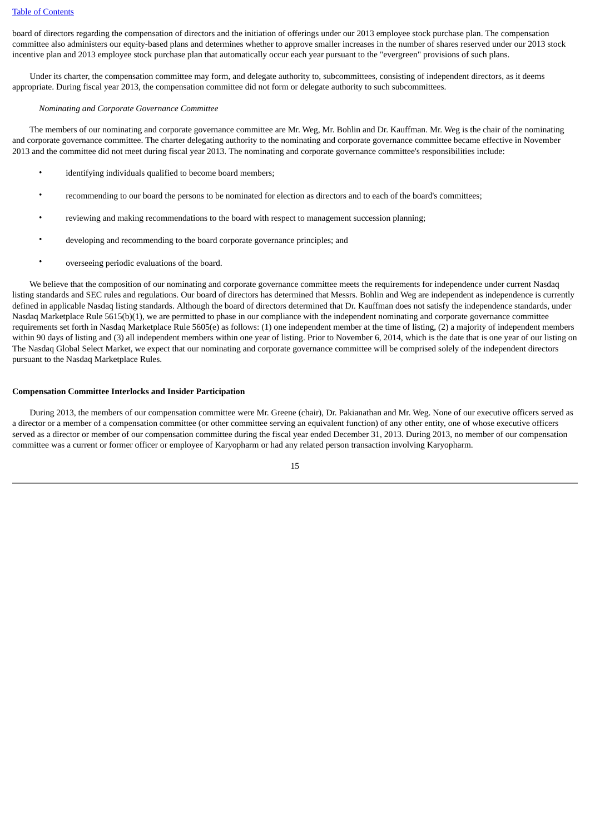board of directors regarding the compensation of directors and the initiation of offerings under our 2013 employee stock purchase plan. The compensation committee also administers our equity-based plans and determines whether to approve smaller increases in the number of shares reserved under our 2013 stock incentive plan and 2013 employee stock purchase plan that automatically occur each year pursuant to the "evergreen" provisions of such plans.

 Under its charter, the compensation committee may form, and delegate authority to, subcommittees, consisting of independent directors, as it deems appropriate. During fiscal year 2013, the compensation committee did not form or delegate authority to such subcommittees.

#### *Nominating and Corporate Governance Committee*

 The members of our nominating and corporate governance committee are Mr. Weg, Mr. Bohlin and Dr. Kauffman. Mr. Weg is the chair of the nominating and corporate governance committee. The charter delegating authority to the nominating and corporate governance committee became effective in November 2013 and the committee did not meet during fiscal year 2013. The nominating and corporate governance committee's responsibilities include:

- identifying individuals qualified to become board members;
- recommending to our board the persons to be nominated for election as directors and to each of the board's committees;
- reviewing and making recommendations to the board with respect to management succession planning;
- developing and recommending to the board corporate governance principles; and
- overseeing periodic evaluations of the board.

 We believe that the composition of our nominating and corporate governance committee meets the requirements for independence under current Nasdaq listing standards and SEC rules and regulations. Our board of directors has determined that Messrs. Bohlin and Weg are independent as independence is currently defined in applicable Nasdaq listing standards. Although the board of directors determined that Dr. Kauffman does not satisfy the independence standards, under Nasdaq Marketplace Rule 5615(b)(1), we are permitted to phase in our compliance with the independent nominating and corporate governance committee requirements set forth in Nasdaq Marketplace Rule 5605(e) as follows: (1) one independent member at the time of listing, (2) a majority of independent members within 90 days of listing and (3) all independent members within one year of listing. Prior to November 6, 2014, which is the date that is one year of our listing on The Nasdaq Global Select Market, we expect that our nominating and corporate governance committee will be comprised solely of the independent directors pursuant to the Nasdaq Marketplace Rules.

# <span id="page-18-0"></span>**Compensation Committee Interlocks and Insider Participation**

 During 2013, the members of our compensation committee were Mr. Greene (chair), Dr. Pakianathan and Mr. Weg. None of our executive officers served as a director or a member of a compensation committee (or other committee serving an equivalent function) of any other entity, one of whose executive officers served as a director or member of our compensation committee during the fiscal year ended December 31, 2013. During 2013, no member of our compensation committee was a current or former officer or employee of Karyopharm or had any related person transaction involving Karyopharm.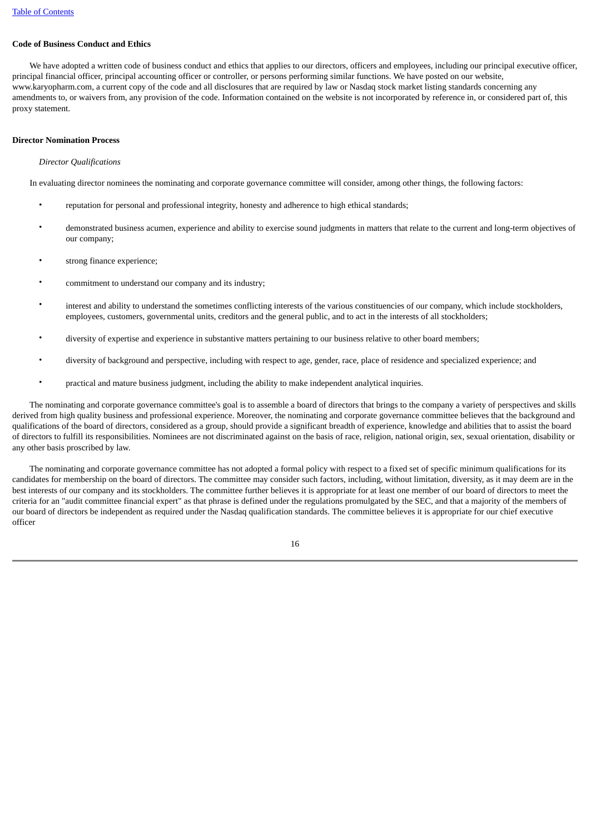# <span id="page-19-0"></span>**Code of Business Conduct and Ethics**

 We have adopted a written code of business conduct and ethics that applies to our directors, officers and employees, including our principal executive officer, principal financial officer, principal accounting officer or controller, or persons performing similar functions. We have posted on our website, www.karyopharm.com, a current copy of the code and all disclosures that are required by law or Nasdaq stock market listing standards concerning any amendments to, or waivers from, any provision of the code. Information contained on the website is not incorporated by reference in, or considered part of, this proxy statement.

# <span id="page-19-1"></span>**Director Nomination Process**

# *Director Qualifications*

In evaluating director nominees the nominating and corporate governance committee will consider, among other things, the following factors:

- reputation for personal and professional integrity, honesty and adherence to high ethical standards;
- demonstrated business acumen, experience and ability to exercise sound judgments in matters that relate to the current and long-term objectives of our company;
- strong finance experience;
- commitment to understand our company and its industry;
- interest and ability to understand the sometimes conflicting interests of the various constituencies of our company, which include stockholders, employees, customers, governmental units, creditors and the general public, and to act in the interests of all stockholders;
- diversity of expertise and experience in substantive matters pertaining to our business relative to other board members;
- diversity of background and perspective, including with respect to age, gender, race, place of residence and specialized experience; and
- practical and mature business judgment, including the ability to make independent analytical inquiries.

 The nominating and corporate governance committee's goal is to assemble a board of directors that brings to the company a variety of perspectives and skills derived from high quality business and professional experience. Moreover, the nominating and corporate governance committee believes that the background and qualifications of the board of directors, considered as a group, should provide a significant breadth of experience, knowledge and abilities that to assist the board of directors to fulfill its responsibilities. Nominees are not discriminated against on the basis of race, religion, national origin, sex, sexual orientation, disability or any other basis proscribed by law.

 The nominating and corporate governance committee has not adopted a formal policy with respect to a fixed set of specific minimum qualifications for its candidates for membership on the board of directors. The committee may consider such factors, including, without limitation, diversity, as it may deem are in the best interests of our company and its stockholders. The committee further believes it is appropriate for at least one member of our board of directors to meet the criteria for an "audit committee financial expert" as that phrase is defined under the regulations promulgated by the SEC, and that a majority of the members of our board of directors be independent as required under the Nasdaq qualification standards. The committee believes it is appropriate for our chief executive officer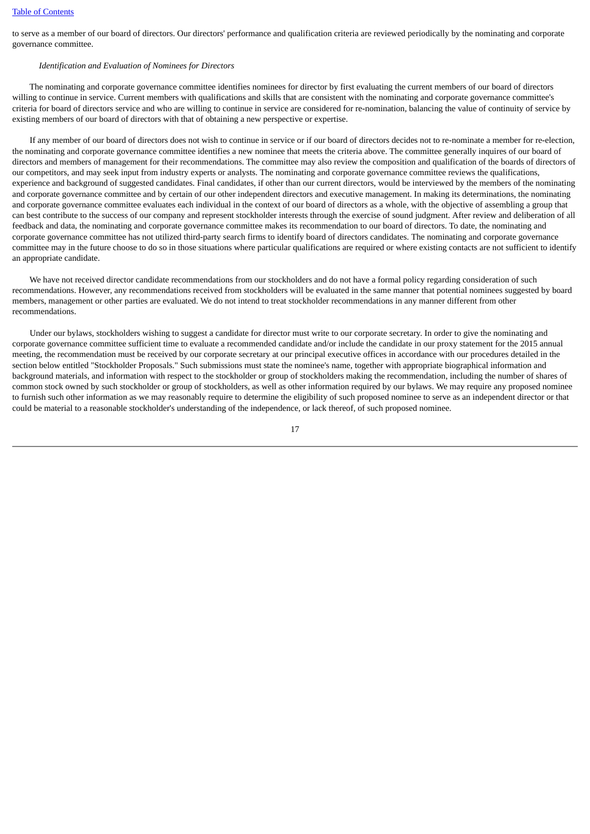to serve as a member of our board of directors. Our directors' performance and qualification criteria are reviewed periodically by the nominating and corporate governance committee.

# *Identification and Evaluation of Nominees for Directors*

 The nominating and corporate governance committee identifies nominees for director by first evaluating the current members of our board of directors willing to continue in service. Current members with qualifications and skills that are consistent with the nominating and corporate governance committee's criteria for board of directors service and who are willing to continue in service are considered for re-nomination, balancing the value of continuity of service by existing members of our board of directors with that of obtaining a new perspective or expertise.

 If any member of our board of directors does not wish to continue in service or if our board of directors decides not to re-nominate a member for re-election, the nominating and corporate governance committee identifies a new nominee that meets the criteria above. The committee generally inquires of our board of directors and members of management for their recommendations. The committee may also review the composition and qualification of the boards of directors of our competitors, and may seek input from industry experts or analysts. The nominating and corporate governance committee reviews the qualifications, experience and background of suggested candidates. Final candidates, if other than our current directors, would be interviewed by the members of the nominating and corporate governance committee and by certain of our other independent directors and executive management. In making its determinations, the nominating and corporate governance committee evaluates each individual in the context of our board of directors as a whole, with the objective of assembling a group that can best contribute to the success of our company and represent stockholder interests through the exercise of sound judgment. After review and deliberation of all feedback and data, the nominating and corporate governance committee makes its recommendation to our board of directors. To date, the nominating and corporate governance committee has not utilized third-party search firms to identify board of directors candidates. The nominating and corporate governance committee may in the future choose to do so in those situations where particular qualifications are required or where existing contacts are not sufficient to identify an appropriate candidate.

 We have not received director candidate recommendations from our stockholders and do not have a formal policy regarding consideration of such recommendations. However, any recommendations received from stockholders will be evaluated in the same manner that potential nominees suggested by board members, management or other parties are evaluated. We do not intend to treat stockholder recommendations in any manner different from other recommendations.

 Under our bylaws, stockholders wishing to suggest a candidate for director must write to our corporate secretary. In order to give the nominating and corporate governance committee sufficient time to evaluate a recommended candidate and/or include the candidate in our proxy statement for the 2015 annual meeting, the recommendation must be received by our corporate secretary at our principal executive offices in accordance with our procedures detailed in the section below entitled "Stockholder Proposals." Such submissions must state the nominee's name, together with appropriate biographical information and background materials, and information with respect to the stockholder or group of stockholders making the recommendation, including the number of shares of common stock owned by such stockholder or group of stockholders, as well as other information required by our bylaws. We may require any proposed nominee to furnish such other information as we may reasonably require to determine the eligibility of such proposed nominee to serve as an independent director or that could be material to a reasonable stockholder's understanding of the independence, or lack thereof, of such proposed nominee.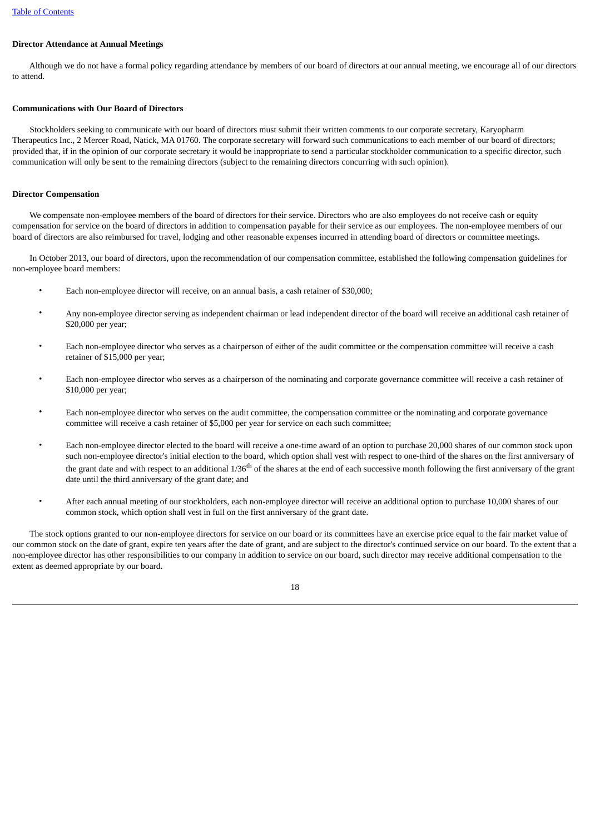# <span id="page-21-0"></span>**Director Attendance at Annual Meetings**

 Although we do not have a formal policy regarding attendance by members of our board of directors at our annual meeting, we encourage all of our directors to attend.

# <span id="page-21-1"></span>**Communications with Our Board of Directors**

 Stockholders seeking to communicate with our board of directors must submit their written comments to our corporate secretary, Karyopharm Therapeutics Inc., 2 Mercer Road, Natick, MA 01760. The corporate secretary will forward such communications to each member of our board of directors; provided that, if in the opinion of our corporate secretary it would be inappropriate to send a particular stockholder communication to a specific director, such communication will only be sent to the remaining directors (subject to the remaining directors concurring with such opinion).

#### <span id="page-21-2"></span>**Director Compensation**

 We compensate non-employee members of the board of directors for their service. Directors who are also employees do not receive cash or equity compensation for service on the board of directors in addition to compensation payable for their service as our employees. The non-employee members of our board of directors are also reimbursed for travel, lodging and other reasonable expenses incurred in attending board of directors or committee meetings.

 In October 2013, our board of directors, upon the recommendation of our compensation committee, established the following compensation guidelines for non-employee board members:

- Each non-employee director will receive, on an annual basis, a cash retainer of \$30,000;
- Any non-employee director serving as independent chairman or lead independent director of the board will receive an additional cash retainer of \$20,000 per year;
- Each non-employee director who serves as a chairperson of either of the audit committee or the compensation committee will receive a cash retainer of \$15,000 per year;
- Each non-employee director who serves as a chairperson of the nominating and corporate governance committee will receive a cash retainer of \$10,000 per year;
- Each non-employee director who serves on the audit committee, the compensation committee or the nominating and corporate governance committee will receive a cash retainer of \$5,000 per year for service on each such committee;
- Each non-employee director elected to the board will receive a one-time award of an option to purchase 20,000 shares of our common stock upon such non-employee director's initial election to the board, which option shall vest with respect to one-third of the shares on the first anniversary of the grant date and with respect to an additional 1/36<sup>th</sup> of the shares at the end of each successive month following the first anniversary of the grant date until the third anniversary of the grant date; and
- After each annual meeting of our stockholders, each non-employee director will receive an additional option to purchase 10,000 shares of our common stock, which option shall vest in full on the first anniversary of the grant date.

 The stock options granted to our non-employee directors for service on our board or its committees have an exercise price equal to the fair market value of our common stock on the date of grant, expire ten years after the date of grant, and are subject to the director's continued service on our board. To the extent that a non-employee director has other responsibilities to our company in addition to service on our board, such director may receive additional compensation to the extent as deemed appropriate by our board.

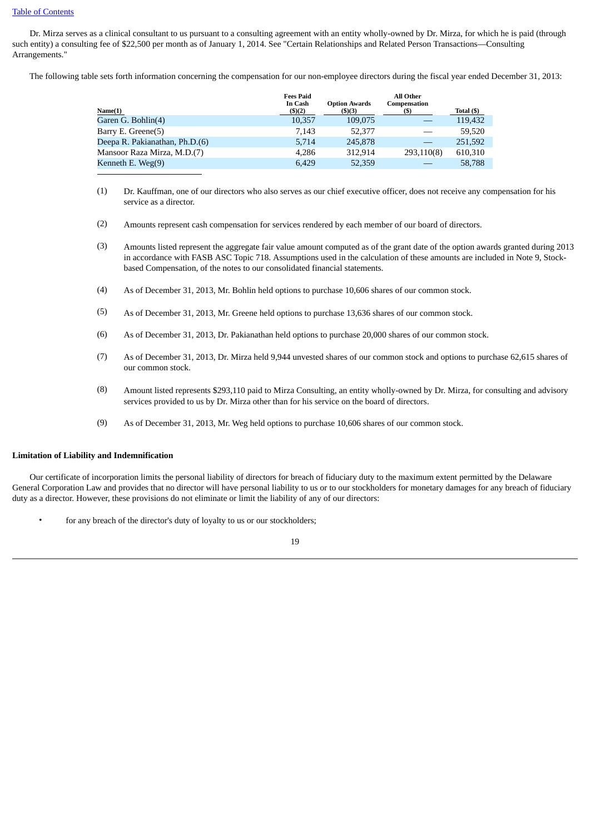Dr. Mirza serves as a clinical consultant to us pursuant to a consulting agreement with an entity wholly-owned by Dr. Mirza, for which he is paid (through such entity) a consulting fee of \$22,500 per month as of January 1, 2014. See "Certain Relationships and Related Person Transactions—Consulting Arrangements."

The following table sets forth information concerning the compensation for our non-employee directors during the fiscal year ended December 31, 2013:

|                                | <b>Fees Paid</b><br>In Cash | <b>Option Awards</b> | <b>All Other</b><br>Compensation |            |
|--------------------------------|-----------------------------|----------------------|----------------------------------|------------|
| Name(1)                        | (3)(2)                      | $($ \$ $)(3)$        |                                  | Total (\$) |
| Garen G. Bohlin(4)             | 10.357                      | 109,075              |                                  | 119,432    |
| Barry E. Greene(5)             | 7.143                       | 52,377               |                                  | 59.520     |
| Deepa R. Pakianathan, Ph.D.(6) | 5,714                       | 245,878              |                                  | 251,592    |
| Mansoor Raza Mirza, M.D.(7)    | 4,286                       | 312.914              | 293,110(8)                       | 610,310    |
| Kenneth E. Weg $(9)$           | 6.429                       | 52,359               |                                  | 58,788     |
|                                |                             |                      |                                  |            |

- (1) Dr. Kauffman, one of our directors who also serves as our chief executive officer, does not receive any compensation for his service as a director.
- (2) Amounts represent cash compensation for services rendered by each member of our board of directors.
- (3) Amounts listed represent the aggregate fair value amount computed as of the grant date of the option awards granted during 2013 in accordance with FASB ASC Topic 718. Assumptions used in the calculation of these amounts are included in Note 9, Stockbased Compensation, of the notes to our consolidated financial statements.
- (4) As of December 31, 2013, Mr. Bohlin held options to purchase 10,606 shares of our common stock.
- (5) As of December 31, 2013, Mr. Greene held options to purchase 13,636 shares of our common stock.
- (6) As of December 31, 2013, Dr. Pakianathan held options to purchase 20,000 shares of our common stock.
- (7) As of December 31, 2013, Dr. Mirza held 9,944 unvested shares of our common stock and options to purchase 62,615 shares of our common stock.
- (8) Amount listed represents \$293,110 paid to Mirza Consulting, an entity wholly-owned by Dr. Mirza, for consulting and advisory services provided to us by Dr. Mirza other than for his service on the board of directors.
- (9) As of December 31, 2013, Mr. Weg held options to purchase 10,606 shares of our common stock.

# <span id="page-22-0"></span>**Limitation of Liability and Indemnification**

 Our certificate of incorporation limits the personal liability of directors for breach of fiduciary duty to the maximum extent permitted by the Delaware General Corporation Law and provides that no director will have personal liability to us or to our stockholders for monetary damages for any breach of fiduciary duty as a director. However, these provisions do not eliminate or limit the liability of any of our directors:

for any breach of the director's duty of loyalty to us or our stockholders;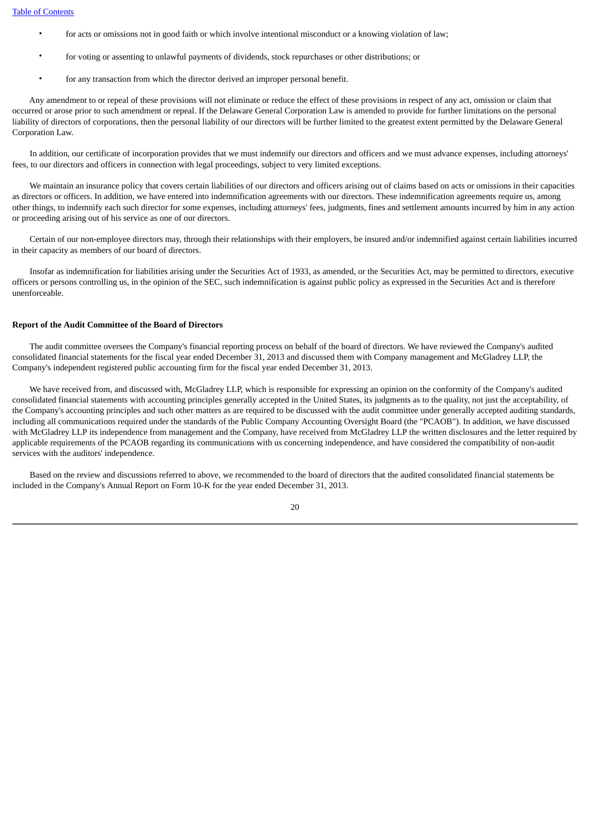- for acts or omissions not in good faith or which involve intentional misconduct or a knowing violation of law;
- for voting or assenting to unlawful payments of dividends, stock repurchases or other distributions; or
- for any transaction from which the director derived an improper personal benefit.

 Any amendment to or repeal of these provisions will not eliminate or reduce the effect of these provisions in respect of any act, omission or claim that occurred or arose prior to such amendment or repeal. If the Delaware General Corporation Law is amended to provide for further limitations on the personal liability of directors of corporations, then the personal liability of our directors will be further limited to the greatest extent permitted by the Delaware General Corporation Law.

 In addition, our certificate of incorporation provides that we must indemnify our directors and officers and we must advance expenses, including attorneys' fees, to our directors and officers in connection with legal proceedings, subject to very limited exceptions.

 We maintain an insurance policy that covers certain liabilities of our directors and officers arising out of claims based on acts or omissions in their capacities as directors or officers. In addition, we have entered into indemnification agreements with our directors. These indemnification agreements require us, among other things, to indemnify each such director for some expenses, including attorneys' fees, judgments, fines and settlement amounts incurred by him in any action or proceeding arising out of his service as one of our directors.

 Certain of our non-employee directors may, through their relationships with their employers, be insured and/or indemnified against certain liabilities incurred in their capacity as members of our board of directors.

 Insofar as indemnification for liabilities arising under the Securities Act of 1933, as amended, or the Securities Act, may be permitted to directors, executive officers or persons controlling us, in the opinion of the SEC, such indemnification is against public policy as expressed in the Securities Act and is therefore unenforceable.

#### <span id="page-23-0"></span>**Report of the Audit Committee of the Board of Directors**

 The audit committee oversees the Company's financial reporting process on behalf of the board of directors. We have reviewed the Company's audited consolidated financial statements for the fiscal year ended December 31, 2013 and discussed them with Company management and McGladrey LLP, the Company's independent registered public accounting firm for the fiscal year ended December 31, 2013.

 We have received from, and discussed with, McGladrey LLP, which is responsible for expressing an opinion on the conformity of the Company's audited consolidated financial statements with accounting principles generally accepted in the United States, its judgments as to the quality, not just the acceptability, of the Company's accounting principles and such other matters as are required to be discussed with the audit committee under generally accepted auditing standards, including all communications required under the standards of the Public Company Accounting Oversight Board (the "PCAOB"). In addition, we have discussed with McGladrey LLP its independence from management and the Company, have received from McGladrey LLP the written disclosures and the letter required by applicable requirements of the PCAOB regarding its communications with us concerning independence, and have considered the compatibility of non-audit services with the auditors' independence.

 Based on the review and discussions referred to above, we recommended to the board of directors that the audited consolidated financial statements be included in the Company's Annual Report on Form 10-K for the year ended December 31, 2013.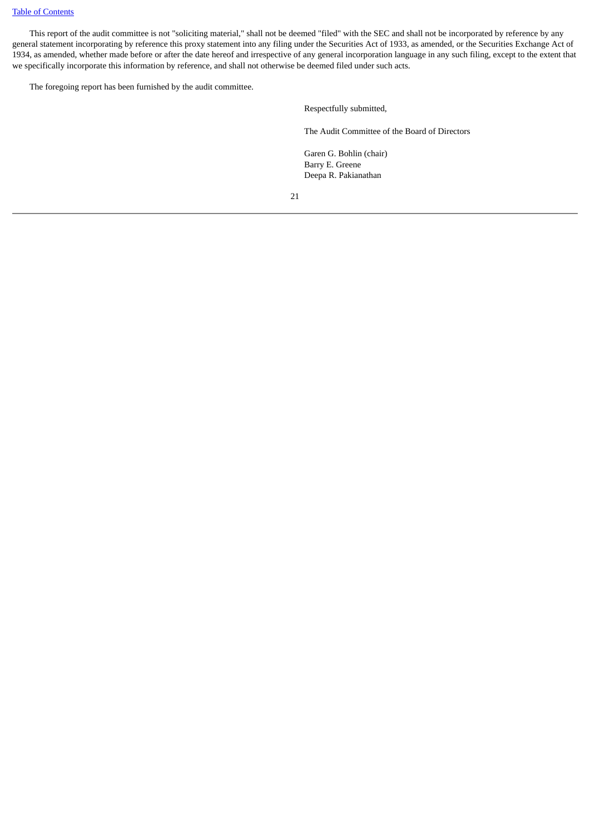# [Table of Contents](#page-3-0)

 This report of the audit committee is not "soliciting material," shall not be deemed "filed" with the SEC and shall not be incorporated by reference by any general statement incorporating by reference this proxy statement into any filing under the Securities Act of 1933, as amended, or the Securities Exchange Act of 1934, as amended, whether made before or after the date hereof and irrespective of any general incorporation language in any such filing, except to the extent that we specifically incorporate this information by reference, and shall not otherwise be deemed filed under such acts.

The foregoing report has been furnished by the audit committee.

Respectfully submitted,

The Audit Committee of the Board of Directors

Garen G. Bohlin (chair) Barry E. Greene Deepa R. Pakianathan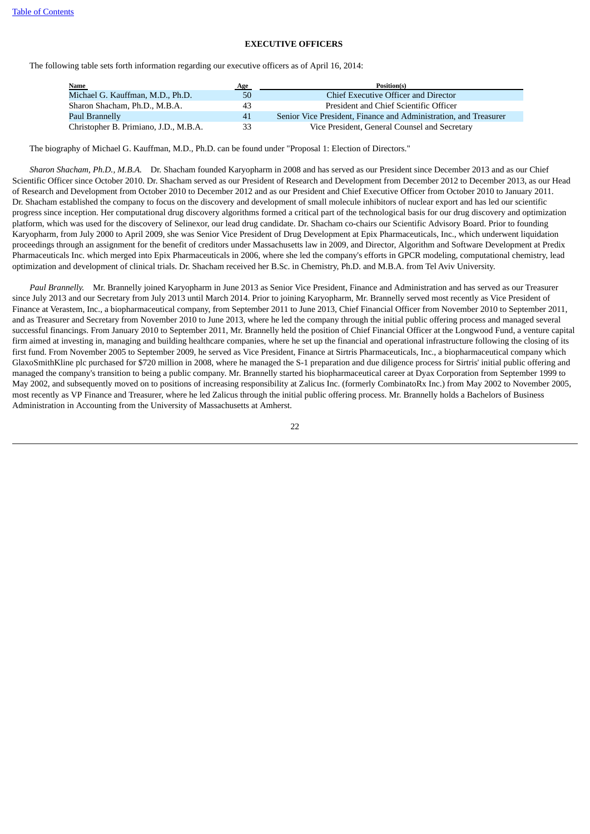# **EXECUTIVE OFFICERS**

<span id="page-25-0"></span>The following table sets forth information regarding our executive officers as of April 16, 2014:

| <b>Name</b>                           | Age | Position(s)                                                      |
|---------------------------------------|-----|------------------------------------------------------------------|
| Michael G. Kauffman, M.D., Ph.D.      | 50  | Chief Executive Officer and Director                             |
| Sharon Shacham, Ph.D., M.B.A.         | 43  | President and Chief Scientific Officer                           |
| Paul Brannelly                        | 41  | Senior Vice President, Finance and Administration, and Treasurer |
| Christopher B. Primiano, J.D., M.B.A. | 33  | Vice President, General Counsel and Secretary                    |

The biography of Michael G. Kauffman, M.D., Ph.D. can be found under "Proposal 1: Election of Directors."

 *Sharon Shacham, Ph.D., M.B.A.* Dr. Shacham founded Karyopharm in 2008 and has served as our President since December 2013 and as our Chief Scientific Officer since October 2010. Dr. Shacham served as our President of Research and Development from December 2012 to December 2013, as our Head of Research and Development from October 2010 to December 2012 and as our President and Chief Executive Officer from October 2010 to January 2011. Dr. Shacham established the company to focus on the discovery and development of small molecule inhibitors of nuclear export and has led our scientific progress since inception. Her computational drug discovery algorithms formed a critical part of the technological basis for our drug discovery and optimization platform, which was used for the discovery of Selinexor, our lead drug candidate. Dr. Shacham co-chairs our Scientific Advisory Board. Prior to founding Karyopharm, from July 2000 to April 2009, she was Senior Vice President of Drug Development at Epix Pharmaceuticals, Inc., which underwent liquidation proceedings through an assignment for the benefit of creditors under Massachusetts law in 2009, and Director, Algorithm and Software Development at Predix Pharmaceuticals Inc. which merged into Epix Pharmaceuticals in 2006, where she led the company's efforts in GPCR modeling, computational chemistry, lead optimization and development of clinical trials. Dr. Shacham received her B.Sc. in Chemistry, Ph.D. and M.B.A. from Tel Aviv University.

 *Paul Brannelly.* Mr. Brannelly joined Karyopharm in June 2013 as Senior Vice President, Finance and Administration and has served as our Treasurer since July 2013 and our Secretary from July 2013 until March 2014. Prior to joining Karyopharm, Mr. Brannelly served most recently as Vice President of Finance at Verastem, Inc., a biopharmaceutical company, from September 2011 to June 2013, Chief Financial Officer from November 2010 to September 2011, and as Treasurer and Secretary from November 2010 to June 2013, where he led the company through the initial public offering process and managed several successful financings. From January 2010 to September 2011, Mr. Brannelly held the position of Chief Financial Officer at the Longwood Fund, a venture capital firm aimed at investing in, managing and building healthcare companies, where he set up the financial and operational infrastructure following the closing of its first fund. From November 2005 to September 2009, he served as Vice President, Finance at Sirtris Pharmaceuticals, Inc., a biopharmaceutical company which GlaxoSmithKline plc purchased for \$720 million in 2008, where he managed the S-1 preparation and due diligence process for Sirtris' initial public offering and managed the company's transition to being a public company. Mr. Brannelly started his biopharmaceutical career at Dyax Corporation from September 1999 to May 2002, and subsequently moved on to positions of increasing responsibility at Zalicus Inc. (formerly CombinatoRx Inc.) from May 2002 to November 2005, most recently as VP Finance and Treasurer, where he led Zalicus through the initial public offering process. Mr. Brannelly holds a Bachelors of Business Administration in Accounting from the University of Massachusetts at Amherst.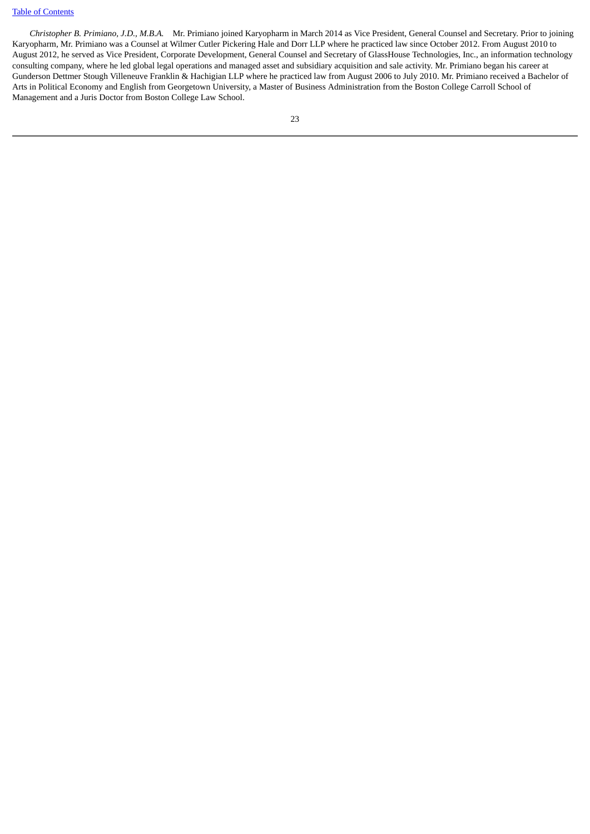# [Table of Contents](#page-3-0)

 *Christopher B. Primiano, J.D., M.B.A.* Mr. Primiano joined Karyopharm in March 2014 as Vice President, General Counsel and Secretary. Prior to joining Karyopharm, Mr. Primiano was a Counsel at Wilmer Cutler Pickering Hale and Dorr LLP where he practiced law since October 2012. From August 2010 to August 2012, he served as Vice President, Corporate Development, General Counsel and Secretary of GlassHouse Technologies, Inc., an information technology consulting company, where he led global legal operations and managed asset and subsidiary acquisition and sale activity. Mr. Primiano began his career at Gunderson Dettmer Stough Villeneuve Franklin & Hachigian LLP where he practiced law from August 2006 to July 2010. Mr. Primiano received a Bachelor of Arts in Political Economy and English from Georgetown University, a Master of Business Administration from the Boston College Carroll School of Management and a Juris Doctor from Boston College Law School.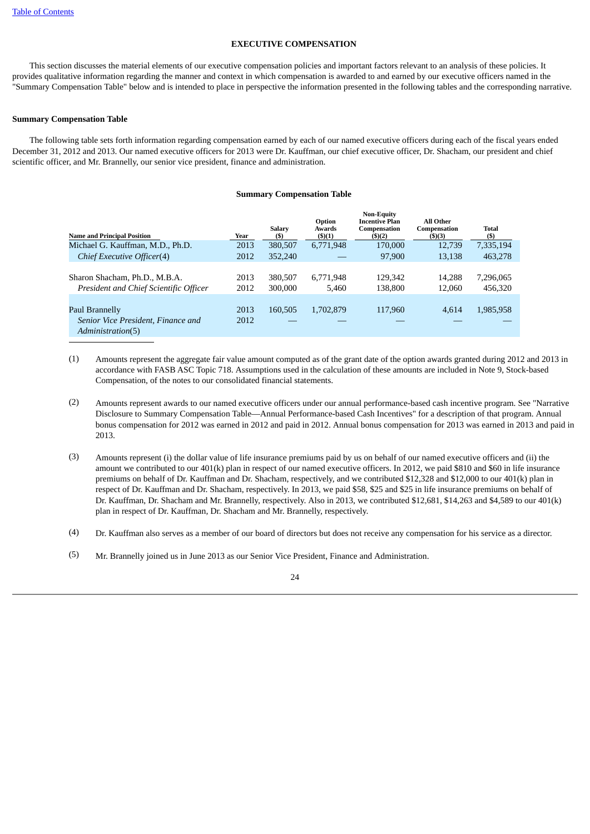#### **EXECUTIVE COMPENSATION**

<span id="page-27-0"></span> This section discusses the material elements of our executive compensation policies and important factors relevant to an analysis of these policies. It provides qualitative information regarding the manner and context in which compensation is awarded to and earned by our executive officers named in the "Summary Compensation Table" below and is intended to place in perspective the information presented in the following tables and the corresponding narrative.

### <span id="page-27-1"></span>**Summary Compensation Table**

 The following table sets forth information regarding compensation earned by each of our named executive officers during each of the fiscal years ended December 31, 2012 and 2013. Our named executive officers for 2013 were Dr. Kauffman, our chief executive officer, Dr. Shacham, our president and chief scientific officer, and Mr. Brannelly, our senior vice president, finance and administration.

#### **Summary Compensation Table**

| <b>Name and Principal Position</b>                                      | Year         | <b>Salary</b><br>(S) | Option<br><b>Awards</b><br>$($ \$ $)(1)$ | <b>Non-Equity</b><br><b>Incentive Plan</b><br>Compensation<br>(5)(2) | All Other<br>Compensation<br>$($ \$)(3) | Total<br>(S)         |
|-------------------------------------------------------------------------|--------------|----------------------|------------------------------------------|----------------------------------------------------------------------|-----------------------------------------|----------------------|
| Michael G. Kauffman, M.D., Ph.D.                                        | 2013         | 380,507              | 6,771,948                                | 170,000                                                              | 12.739                                  | 7,335,194            |
| Chief Executive Officer(4)                                              | 2012         | 352,240              |                                          | 97,900                                                               | 13,138                                  | 463,278              |
| Sharon Shacham, Ph.D., M.B.A.<br>President and Chief Scientific Officer | 2013<br>2012 | 380,507<br>300,000   | 6,771,948<br>5.460                       | 129,342<br>138.800                                                   | 14,288<br>12.060                        | 7,296,065<br>456,320 |
| Paul Brannelly                                                          | 2013         | 160,505              | 1,702,879                                | 117,960                                                              | 4.614                                   | 1,985,958            |
| Senior Vice President, Finance and<br>Administration(5)                 | 2012         |                      |                                          |                                                                      |                                         |                      |

(1) Amounts represent the aggregate fair value amount computed as of the grant date of the option awards granted during 2012 and 2013 in accordance with FASB ASC Topic 718. Assumptions used in the calculation of these amounts are included in Note 9, Stock-based Compensation, of the notes to our consolidated financial statements.

- (2) Amounts represent awards to our named executive officers under our annual performance-based cash incentive program. See "Narrative Disclosure to Summary Compensation Table—Annual Performance-based Cash Incentives" for a description of that program. Annual bonus compensation for 2012 was earned in 2012 and paid in 2012. Annual bonus compensation for 2013 was earned in 2013 and paid in 2013.
- (3) Amounts represent (i) the dollar value of life insurance premiums paid by us on behalf of our named executive officers and (ii) the amount we contributed to our 401(k) plan in respect of our named executive officers. In 2012, we paid \$810 and \$60 in life insurance premiums on behalf of Dr. Kauffman and Dr. Shacham, respectively, and we contributed \$12,328 and \$12,000 to our 401(k) plan in respect of Dr. Kauffman and Dr. Shacham, respectively. In 2013, we paid \$58, \$25 and \$25 in life insurance premiums on behalf of Dr. Kauffman, Dr. Shacham and Mr. Brannelly, respectively. Also in 2013, we contributed \$12,681, \$14,263 and \$4,589 to our 401(k) plan in respect of Dr. Kauffman, Dr. Shacham and Mr. Brannelly, respectively.

(4) Dr. Kauffman also serves as a member of our board of directors but does not receive any compensation for his service as a director.

(5) Mr. Brannelly joined us in June 2013 as our Senior Vice President, Finance and Administration.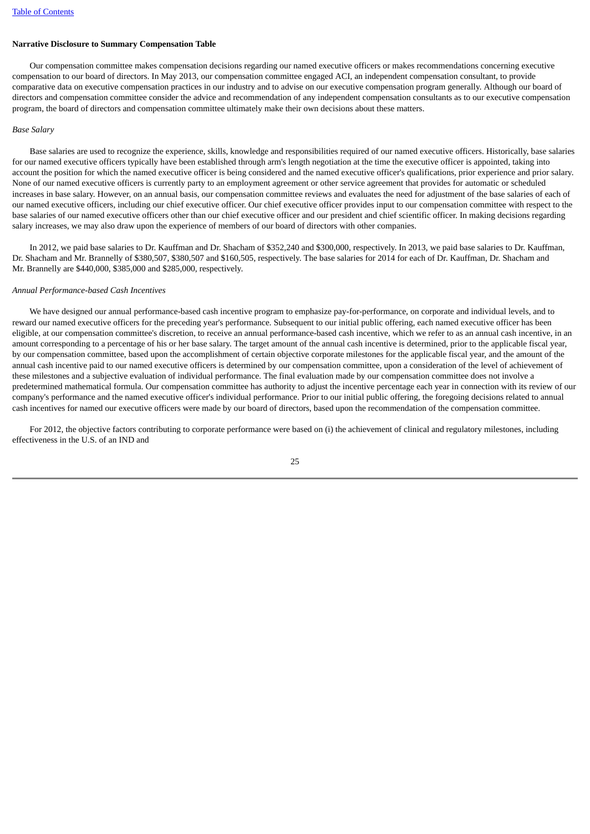# **Narrative Disclosure to Summary Compensation Table**

 Our compensation committee makes compensation decisions regarding our named executive officers or makes recommendations concerning executive compensation to our board of directors. In May 2013, our compensation committee engaged ACI, an independent compensation consultant, to provide comparative data on executive compensation practices in our industry and to advise on our executive compensation program generally. Although our board of directors and compensation committee consider the advice and recommendation of any independent compensation consultants as to our executive compensation program, the board of directors and compensation committee ultimately make their own decisions about these matters.

#### *Base Salary*

 Base salaries are used to recognize the experience, skills, knowledge and responsibilities required of our named executive officers. Historically, base salaries for our named executive officers typically have been established through arm's length negotiation at the time the executive officer is appointed, taking into account the position for which the named executive officer is being considered and the named executive officer's qualifications, prior experience and prior salary. None of our named executive officers is currently party to an employment agreement or other service agreement that provides for automatic or scheduled increases in base salary. However, on an annual basis, our compensation committee reviews and evaluates the need for adjustment of the base salaries of each of our named executive officers, including our chief executive officer. Our chief executive officer provides input to our compensation committee with respect to the base salaries of our named executive officers other than our chief executive officer and our president and chief scientific officer. In making decisions regarding salary increases, we may also draw upon the experience of members of our board of directors with other companies.

 In 2012, we paid base salaries to Dr. Kauffman and Dr. Shacham of \$352,240 and \$300,000, respectively. In 2013, we paid base salaries to Dr. Kauffman, Dr. Shacham and Mr. Brannelly of \$380,507, \$380,507 and \$160,505, respectively. The base salaries for 2014 for each of Dr. Kauffman, Dr. Shacham and Mr. Brannelly are \$440,000, \$385,000 and \$285,000, respectively.

#### *Annual Performance-based Cash Incentives*

 We have designed our annual performance-based cash incentive program to emphasize pay-for-performance, on corporate and individual levels, and to reward our named executive officers for the preceding year's performance. Subsequent to our initial public offering, each named executive officer has been eligible, at our compensation committee's discretion, to receive an annual performance-based cash incentive, which we refer to as an annual cash incentive, in an amount corresponding to a percentage of his or her base salary. The target amount of the annual cash incentive is determined, prior to the applicable fiscal year, by our compensation committee, based upon the accomplishment of certain objective corporate milestones for the applicable fiscal year, and the amount of the annual cash incentive paid to our named executive officers is determined by our compensation committee, upon a consideration of the level of achievement of these milestones and a subjective evaluation of individual performance. The final evaluation made by our compensation committee does not involve a predetermined mathematical formula. Our compensation committee has authority to adjust the incentive percentage each year in connection with its review of our company's performance and the named executive officer's individual performance. Prior to our initial public offering, the foregoing decisions related to annual cash incentives for named our executive officers were made by our board of directors, based upon the recommendation of the compensation committee.

 For 2012, the objective factors contributing to corporate performance were based on (i) the achievement of clinical and regulatory milestones, including effectiveness in the U.S. of an IND and

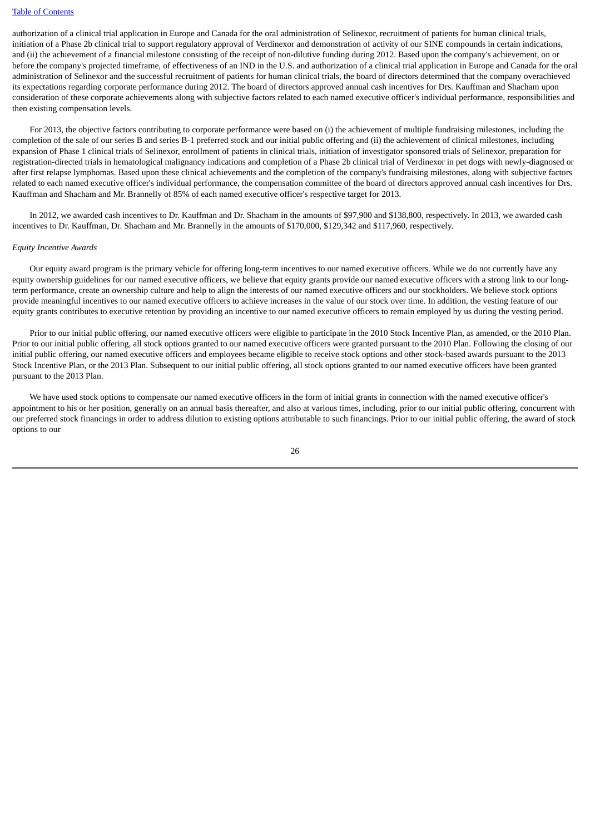#### [Table of Contents](#page-3-0)

authorization of a clinical trial application in Europe and Canada for the oral administration of Selinexor, recruitment of patients for human clinical trials, initiation of a Phase 2b clinical trial to support regulatory approval of Verdinexor and demonstration of activity of our SINE compounds in certain indications, and (ii) the achievement of a financial milestone consisting of the receipt of non-dilutive funding during 2012. Based upon the company's achievement, on or before the company's projected timeframe, of effectiveness of an IND in the U.S. and authorization of a clinical trial application in Europe and Canada for the oral administration of Selinexor and the successful recruitment of patients for human clinical trials, the board of directors determined that the company overachieved its expectations regarding corporate performance during 2012. The board of directors approved annual cash incentives for Drs. Kauffman and Shacham upon consideration of these corporate achievements along with subjective factors related to each named executive officer's individual performance, responsibilities and then existing compensation levels.

 For 2013, the objective factors contributing to corporate performance were based on (i) the achievement of multiple fundraising milestones, including the completion of the sale of our series B and series B-1 preferred stock and our initial public offering and (ii) the achievement of clinical milestones, including expansion of Phase 1 clinical trials of Selinexor, enrollment of patients in clinical trials, initiation of investigator sponsored trials of Selinexor, preparation for registration-directed trials in hematological malignancy indications and completion of a Phase 2b clinical trial of Verdinexor in pet dogs with newly-diagnosed or after first relapse lymphomas. Based upon these clinical achievements and the completion of the company's fundraising milestones, along with subjective factors related to each named executive officer's individual performance, the compensation committee of the board of directors approved annual cash incentives for Drs. Kauffman and Shacham and Mr. Brannelly of 85% of each named executive officer's respective target for 2013.

 In 2012, we awarded cash incentives to Dr. Kauffman and Dr. Shacham in the amounts of \$97,900 and \$138,800, respectively. In 2013, we awarded cash incentives to Dr. Kauffman, Dr. Shacham and Mr. Brannelly in the amounts of \$170,000, \$129,342 and \$117,960, respectively.

#### *Equity Incentive Awards*

 Our equity award program is the primary vehicle for offering long-term incentives to our named executive officers. While we do not currently have any equity ownership guidelines for our named executive officers, we believe that equity grants provide our named executive officers with a strong link to our longterm performance, create an ownership culture and help to align the interests of our named executive officers and our stockholders. We believe stock options provide meaningful incentives to our named executive officers to achieve increases in the value of our stock over time. In addition, the vesting feature of our equity grants contributes to executive retention by providing an incentive to our named executive officers to remain employed by us during the vesting period.

 Prior to our initial public offering, our named executive officers were eligible to participate in the 2010 Stock Incentive Plan, as amended, or the 2010 Plan. Prior to our initial public offering, all stock options granted to our named executive officers were granted pursuant to the 2010 Plan. Following the closing of our initial public offering, our named executive officers and employees became eligible to receive stock options and other stock-based awards pursuant to the 2013 Stock Incentive Plan, or the 2013 Plan. Subsequent to our initial public offering, all stock options granted to our named executive officers have been granted pursuant to the 2013 Plan.

 We have used stock options to compensate our named executive officers in the form of initial grants in connection with the named executive officer's appointment to his or her position, generally on an annual basis thereafter, and also at various times, including, prior to our initial public offering, concurrent with our preferred stock financings in order to address dilution to existing options attributable to such financings. Prior to our initial public offering, the award of stock options to our

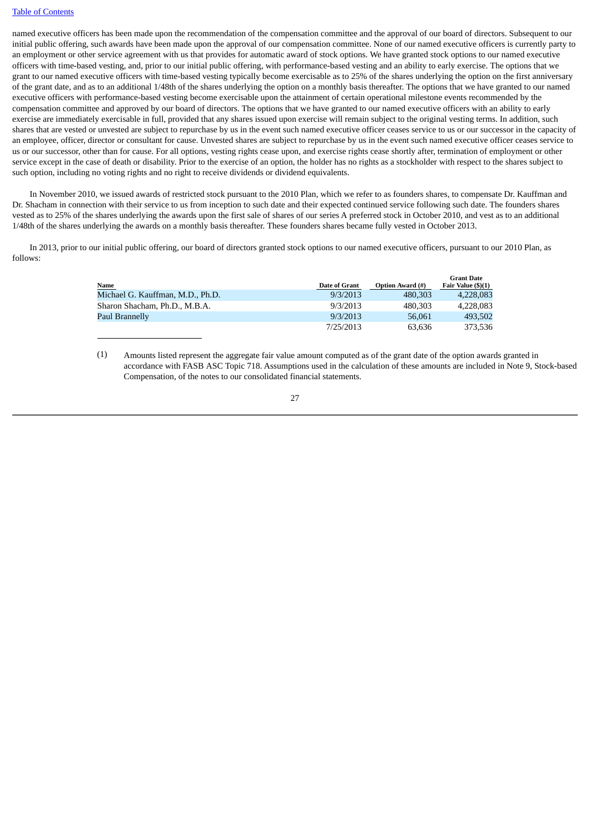# [Table of Contents](#page-3-0)

named executive officers has been made upon the recommendation of the compensation committee and the approval of our board of directors. Subsequent to our initial public offering, such awards have been made upon the approval of our compensation committee. None of our named executive officers is currently party to an employment or other service agreement with us that provides for automatic award of stock options. We have granted stock options to our named executive officers with time-based vesting, and, prior to our initial public offering, with performance-based vesting and an ability to early exercise. The options that we grant to our named executive officers with time-based vesting typically become exercisable as to 25% of the shares underlying the option on the first anniversary of the grant date, and as to an additional 1/48th of the shares underlying the option on a monthly basis thereafter. The options that we have granted to our named executive officers with performance-based vesting become exercisable upon the attainment of certain operational milestone events recommended by the compensation committee and approved by our board of directors. The options that we have granted to our named executive officers with an ability to early exercise are immediately exercisable in full, provided that any shares issued upon exercise will remain subject to the original vesting terms. In addition, such shares that are vested or unvested are subject to repurchase by us in the event such named executive officer ceases service to us or our successor in the capacity of an employee, officer, director or consultant for cause. Unvested shares are subject to repurchase by us in the event such named executive officer ceases service to us or our successor, other than for cause. For all options, vesting rights cease upon, and exercise rights cease shortly after, termination of employment or other service except in the case of death or disability. Prior to the exercise of an option, the holder has no rights as a stockholder with respect to the shares subject to such option, including no voting rights and no right to receive dividends or dividend equivalents.

 In November 2010, we issued awards of restricted stock pursuant to the 2010 Plan, which we refer to as founders shares, to compensate Dr. Kauffman and Dr. Shacham in connection with their service to us from inception to such date and their expected continued service following such date. The founders shares vested as to 25% of the shares underlying the awards upon the first sale of shares of our series A preferred stock in October 2010, and vest as to an additional 1/48th of the shares underlying the awards on a monthly basis thereafter. These founders shares became fully vested in October 2013.

 In 2013, prior to our initial public offering, our board of directors granted stock options to our named executive officers, pursuant to our 2010 Plan, as follows:

|                                  |                      |                         | <b>Grant Date</b>  |
|----------------------------------|----------------------|-------------------------|--------------------|
| Name                             | <b>Date of Grant</b> | <b>Option Award (#)</b> | Fair Value (\$)(1) |
| Michael G. Kauffman, M.D., Ph.D. | 9/3/2013             | 480,303                 | 4,228,083          |
| Sharon Shacham, Ph.D., M.B.A.    | 9/3/2013             | 480,303                 | 4.228.083          |
| Paul Brannelly                   | 9/3/2013             | 56.061                  | 493,502            |
|                                  | 7/25/2013            | 63.636                  | 373.536            |

(1) Amounts listed represent the aggregate fair value amount computed as of the grant date of the option awards granted in accordance with FASB ASC Topic 718. Assumptions used in the calculation of these amounts are included in Note 9, Stock-based Compensation, of the notes to our consolidated financial statements.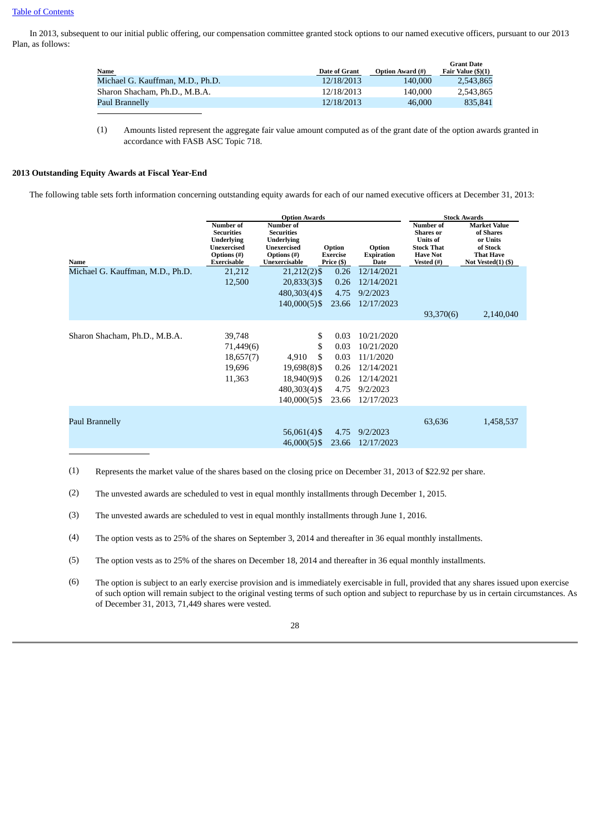In 2013, subsequent to our initial public offering, our compensation committee granted stock options to our named executive officers, pursuant to our 2013 Plan, as follows:

|                                  |               |                         | <b>Grant Date</b>  |
|----------------------------------|---------------|-------------------------|--------------------|
| <b>Name</b>                      | Date of Grant | <b>Option Award (#)</b> | Fair Value (\$)(1) |
| Michael G. Kauffman, M.D., Ph.D. | 12/18/2013    | 140,000                 | 2.543.865          |
| Sharon Shacham, Ph.D., M.B.A.    | 12/18/2013    | 140,000                 | 2.543.865          |
| Paul Brannelly                   | 12/18/2013    | 46,000                  | 835.841            |

(1) Amounts listed represent the aggregate fair value amount computed as of the grant date of the option awards granted in accordance with FASB ASC Topic 718.

# <span id="page-31-0"></span>**2013 Outstanding Equity Awards at Fiscal Year-End**

The following table sets forth information concerning outstanding equity awards for each of our named executive officers at December 31, 2013:

|                                  | <b>Option Awards</b>                                                                                    |                                                                                             |                                         | <b>Stock Awards</b>                 |                                                                                                               |                                                                                                          |
|----------------------------------|---------------------------------------------------------------------------------------------------------|---------------------------------------------------------------------------------------------|-----------------------------------------|-------------------------------------|---------------------------------------------------------------------------------------------------------------|----------------------------------------------------------------------------------------------------------|
| Name                             | Number of<br><b>Securities</b><br><b>Underlying</b><br><b>Unexercised</b><br>Options (#)<br>Exercisable | Number of<br><b>Securities</b><br>Underlying<br>Unexercised<br>Options (#)<br>Unexercisable | Option<br><b>Exercise</b><br>Price (\$) | Option<br><b>Expiration</b><br>Date | <b>Number of</b><br><b>Shares</b> or<br><b>Units of</b><br><b>Stock That</b><br><b>Have Not</b><br>Vested (#) | <b>Market Value</b><br>of Shares<br>or Units<br>of Stock<br><b>That Have</b><br>Not Vested $(1)$ $($ \$) |
| Michael G. Kauffman, M.D., Ph.D. | 21,212                                                                                                  | $21,212(2)$ \$                                                                              | 0.26                                    | 12/14/2021                          |                                                                                                               |                                                                                                          |
|                                  | 12,500                                                                                                  | 20,833(3) \$                                                                                | 0.26                                    | 12/14/2021                          |                                                                                                               |                                                                                                          |
|                                  |                                                                                                         | 480,303(4) \$                                                                               | 4.75                                    | 9/2/2023                            |                                                                                                               |                                                                                                          |
|                                  |                                                                                                         | $140,000(5)$ \$                                                                             | 23.66                                   | 12/17/2023                          |                                                                                                               |                                                                                                          |
|                                  |                                                                                                         |                                                                                             |                                         |                                     | 93,370(6)                                                                                                     | 2,140,040                                                                                                |
|                                  |                                                                                                         |                                                                                             |                                         |                                     |                                                                                                               |                                                                                                          |
| Sharon Shacham, Ph.D., M.B.A.    | 39,748                                                                                                  | \$                                                                                          | 0.03                                    | 10/21/2020                          |                                                                                                               |                                                                                                          |
|                                  | 71,449(6)                                                                                               | \$                                                                                          | 0.03                                    | 10/21/2020                          |                                                                                                               |                                                                                                          |
|                                  | 18,657(7)                                                                                               | \$<br>4,910                                                                                 | 0.03                                    | 11/1/2020                           |                                                                                                               |                                                                                                          |
|                                  | 19,696                                                                                                  | 19,698(8)\$                                                                                 | 0.26                                    | 12/14/2021                          |                                                                                                               |                                                                                                          |
|                                  | 11,363                                                                                                  | 18,940(9)\$                                                                                 | 0.26                                    | 12/14/2021                          |                                                                                                               |                                                                                                          |
|                                  |                                                                                                         | 480,303(4)\$                                                                                | 4.75                                    | 9/2/2023                            |                                                                                                               |                                                                                                          |
|                                  |                                                                                                         | 140,000(5)\$                                                                                | 23.66                                   | 12/17/2023                          |                                                                                                               |                                                                                                          |
| Paul Brannelly                   |                                                                                                         | $56,061(4)$ \$<br>$46,000(5)$ \$                                                            | 4.75<br>23.66                           | 9/2/2023<br>12/17/2023              | 63,636                                                                                                        | 1,458,537                                                                                                |
|                                  |                                                                                                         |                                                                                             |                                         |                                     |                                                                                                               |                                                                                                          |

(1) Represents the market value of the shares based on the closing price on December 31, 2013 of \$22.92 per share.

- (2) The unvested awards are scheduled to vest in equal monthly installments through December 1, 2015.
- (3) The unvested awards are scheduled to vest in equal monthly installments through June 1, 2016.
- (4) The option vests as to 25% of the shares on September 3, 2014 and thereafter in 36 equal monthly installments.
- (5) The option vests as to 25% of the shares on December 18, 2014 and thereafter in 36 equal monthly installments.
- (6) The option is subject to an early exercise provision and is immediately exercisable in full, provided that any shares issued upon exercise of such option will remain subject to the original vesting terms of such option and subject to repurchase by us in certain circumstances. As of December 31, 2013, 71,449 shares were vested.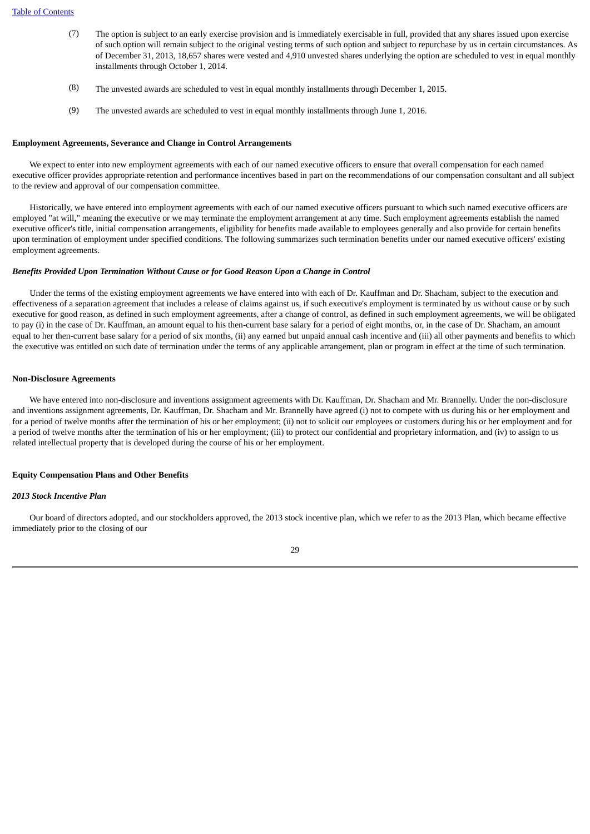- (7) The option is subject to an early exercise provision and is immediately exercisable in full, provided that any shares issued upon exercise of such option will remain subject to the original vesting terms of such option and subject to repurchase by us in certain circumstances. As of December 31, 2013, 18,657 shares were vested and 4,910 unvested shares underlying the option are scheduled to vest in equal monthly installments through October 1, 2014.
- (8) The unvested awards are scheduled to vest in equal monthly installments through December 1, 2015.
- (9) The unvested awards are scheduled to vest in equal monthly installments through June 1, 2016.

# <span id="page-32-0"></span>**Employment Agreements, Severance and Change in Control Arrangements**

 We expect to enter into new employment agreements with each of our named executive officers to ensure that overall compensation for each named executive officer provides appropriate retention and performance incentives based in part on the recommendations of our compensation consultant and all subject to the review and approval of our compensation committee.

 Historically, we have entered into employment agreements with each of our named executive officers pursuant to which such named executive officers are employed "at will," meaning the executive or we may terminate the employment arrangement at any time. Such employment agreements establish the named executive officer's title, initial compensation arrangements, eligibility for benefits made available to employees generally and also provide for certain benefits upon termination of employment under specified conditions. The following summarizes such termination benefits under our named executive officers' existing employment agreements.

# *Benefits Provided Upon Termination Without Cause or for Good Reason Upon a Change in Control*

 Under the terms of the existing employment agreements we have entered into with each of Dr. Kauffman and Dr. Shacham, subject to the execution and effectiveness of a separation agreement that includes a release of claims against us, if such executive's employment is terminated by us without cause or by such executive for good reason, as defined in such employment agreements, after a change of control, as defined in such employment agreements, we will be obligated to pay (i) in the case of Dr. Kauffman, an amount equal to his then-current base salary for a period of eight months, or, in the case of Dr. Shacham, an amount equal to her then-current base salary for a period of six months, (ii) any earned but unpaid annual cash incentive and (iii) all other payments and benefits to which the executive was entitled on such date of termination under the terms of any applicable arrangement, plan or program in effect at the time of such termination.

# **Non-Disclosure Agreements**

 We have entered into non-disclosure and inventions assignment agreements with Dr. Kauffman, Dr. Shacham and Mr. Brannelly. Under the non-disclosure and inventions assignment agreements, Dr. Kauffman, Dr. Shacham and Mr. Brannelly have agreed (i) not to compete with us during his or her employment and for a period of twelve months after the termination of his or her employment; (ii) not to solicit our employees or customers during his or her employment and for a period of twelve months after the termination of his or her employment; (iii) to protect our confidential and proprietary information, and (iv) to assign to us related intellectual property that is developed during the course of his or her employment.

# <span id="page-32-1"></span>**Equity Compensation Plans and Other Benefits**

# *2013 Stock Incentive Plan*

 Our board of directors adopted, and our stockholders approved, the 2013 stock incentive plan, which we refer to as the 2013 Plan, which became effective immediately prior to the closing of our

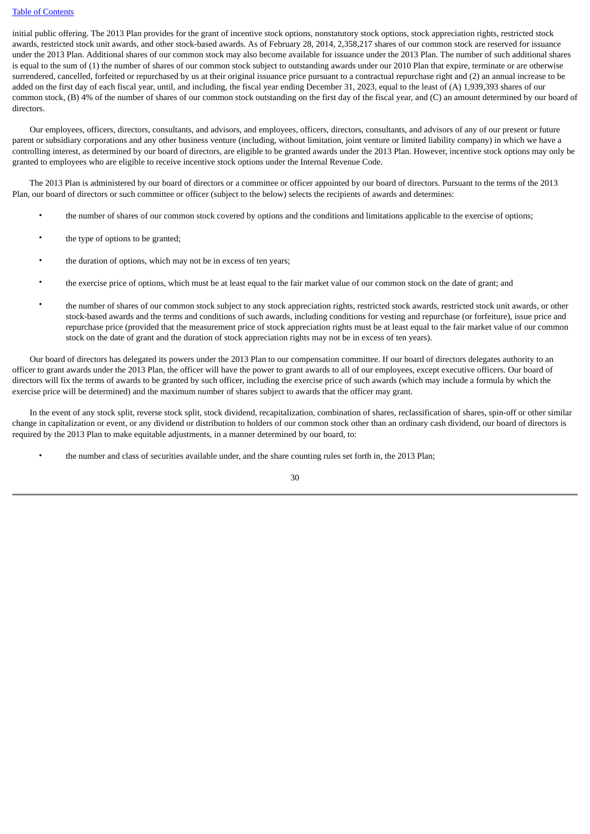initial public offering. The 2013 Plan provides for the grant of incentive stock options, nonstatutory stock options, stock appreciation rights, restricted stock awards, restricted stock unit awards, and other stock-based awards. As of February 28, 2014, 2,358,217 shares of our common stock are reserved for issuance under the 2013 Plan. Additional shares of our common stock may also become available for issuance under the 2013 Plan. The number of such additional shares is equal to the sum of (1) the number of shares of our common stock subject to outstanding awards under our 2010 Plan that expire, terminate or are otherwise surrendered, cancelled, forfeited or repurchased by us at their original issuance price pursuant to a contractual repurchase right and (2) an annual increase to be added on the first day of each fiscal year, until, and including, the fiscal year ending December 31, 2023, equal to the least of (A) 1,939,393 shares of our common stock, (B) 4% of the number of shares of our common stock outstanding on the first day of the fiscal year, and (C) an amount determined by our board of directors.

 Our employees, officers, directors, consultants, and advisors, and employees, officers, directors, consultants, and advisors of any of our present or future parent or subsidiary corporations and any other business venture (including, without limitation, joint venture or limited liability company) in which we have a controlling interest, as determined by our board of directors, are eligible to be granted awards under the 2013 Plan. However, incentive stock options may only be granted to employees who are eligible to receive incentive stock options under the Internal Revenue Code.

 The 2013 Plan is administered by our board of directors or a committee or officer appointed by our board of directors. Pursuant to the terms of the 2013 Plan, our board of directors or such committee or officer (subject to the below) selects the recipients of awards and determines:

- the number of shares of our common stock covered by options and the conditions and limitations applicable to the exercise of options;
- the type of options to be granted;
- the duration of options, which may not be in excess of ten years;
- the exercise price of options, which must be at least equal to the fair market value of our common stock on the date of grant; and
- the number of shares of our common stock subject to any stock appreciation rights, restricted stock awards, restricted stock unit awards, or other stock-based awards and the terms and conditions of such awards, including conditions for vesting and repurchase (or forfeiture), issue price and repurchase price (provided that the measurement price of stock appreciation rights must be at least equal to the fair market value of our common stock on the date of grant and the duration of stock appreciation rights may not be in excess of ten years).

 Our board of directors has delegated its powers under the 2013 Plan to our compensation committee. If our board of directors delegates authority to an officer to grant awards under the 2013 Plan, the officer will have the power to grant awards to all of our employees, except executive officers. Our board of directors will fix the terms of awards to be granted by such officer, including the exercise price of such awards (which may include a formula by which the exercise price will be determined) and the maximum number of shares subject to awards that the officer may grant.

 In the event of any stock split, reverse stock split, stock dividend, recapitalization, combination of shares, reclassification of shares, spin-off or other similar change in capitalization or event, or any dividend or distribution to holders of our common stock other than an ordinary cash dividend, our board of directors is required by the 2013 Plan to make equitable adjustments, in a manner determined by our board, to:

• the number and class of securities available under, and the share counting rules set forth in, the 2013 Plan;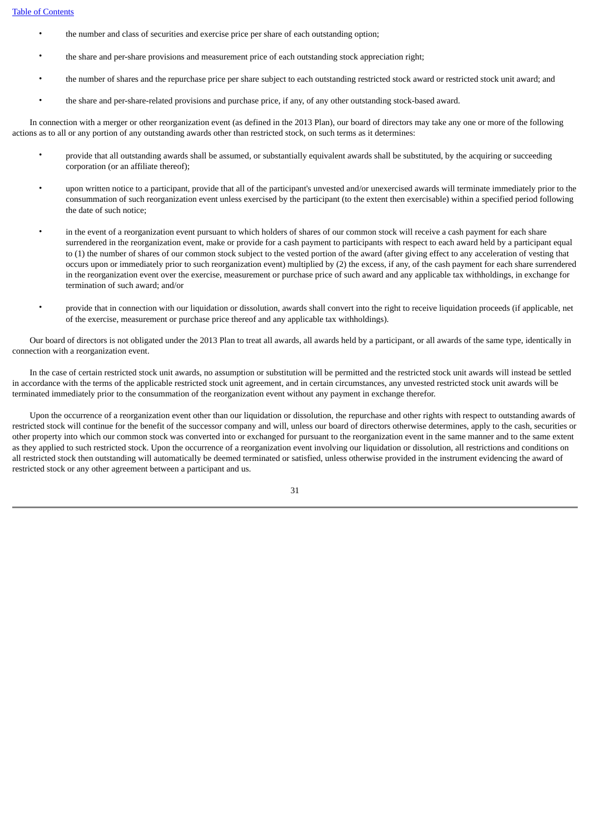- the number and class of securities and exercise price per share of each outstanding option;
- the share and per-share provisions and measurement price of each outstanding stock appreciation right;
- the number of shares and the repurchase price per share subject to each outstanding restricted stock award or restricted stock unit award; and
- the share and per-share-related provisions and purchase price, if any, of any other outstanding stock-based award.

 In connection with a merger or other reorganization event (as defined in the 2013 Plan), our board of directors may take any one or more of the following actions as to all or any portion of any outstanding awards other than restricted stock, on such terms as it determines:

- provide that all outstanding awards shall be assumed, or substantially equivalent awards shall be substituted, by the acquiring or succeeding corporation (or an affiliate thereof);
- upon written notice to a participant, provide that all of the participant's unvested and/or unexercised awards will terminate immediately prior to the consummation of such reorganization event unless exercised by the participant (to the extent then exercisable) within a specified period following the date of such notice;
- in the event of a reorganization event pursuant to which holders of shares of our common stock will receive a cash payment for each share surrendered in the reorganization event, make or provide for a cash payment to participants with respect to each award held by a participant equal to (1) the number of shares of our common stock subject to the vested portion of the award (after giving effect to any acceleration of vesting that occurs upon or immediately prior to such reorganization event) multiplied by (2) the excess, if any, of the cash payment for each share surrendered in the reorganization event over the exercise, measurement or purchase price of such award and any applicable tax withholdings, in exchange for termination of such award; and/or
- provide that in connection with our liquidation or dissolution, awards shall convert into the right to receive liquidation proceeds (if applicable, net of the exercise, measurement or purchase price thereof and any applicable tax withholdings).

 Our board of directors is not obligated under the 2013 Plan to treat all awards, all awards held by a participant, or all awards of the same type, identically in connection with a reorganization event.

 In the case of certain restricted stock unit awards, no assumption or substitution will be permitted and the restricted stock unit awards will instead be settled in accordance with the terms of the applicable restricted stock unit agreement, and in certain circumstances, any unvested restricted stock unit awards will be terminated immediately prior to the consummation of the reorganization event without any payment in exchange therefor.

 Upon the occurrence of a reorganization event other than our liquidation or dissolution, the repurchase and other rights with respect to outstanding awards of restricted stock will continue for the benefit of the successor company and will, unless our board of directors otherwise determines, apply to the cash, securities or other property into which our common stock was converted into or exchanged for pursuant to the reorganization event in the same manner and to the same extent as they applied to such restricted stock. Upon the occurrence of a reorganization event involving our liquidation or dissolution, all restrictions and conditions on all restricted stock then outstanding will automatically be deemed terminated or satisfied, unless otherwise provided in the instrument evidencing the award of restricted stock or any other agreement between a participant and us.

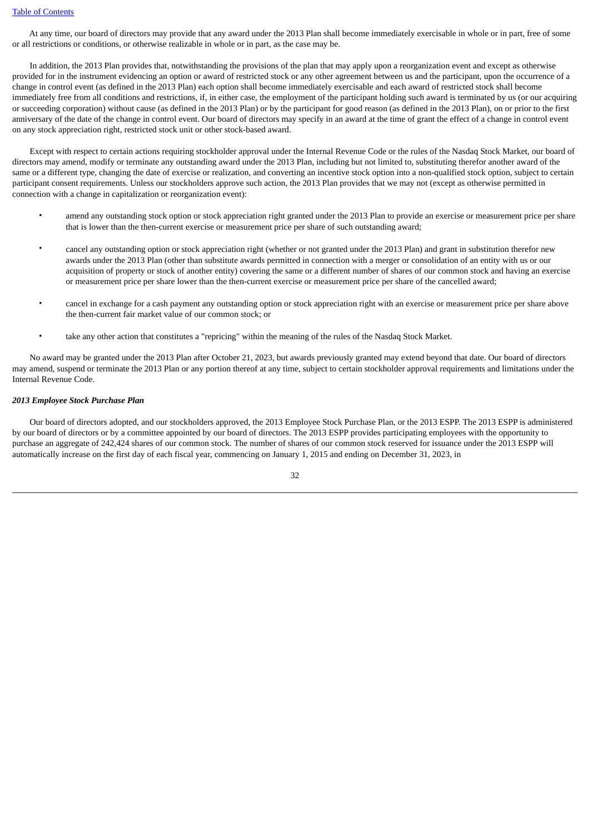At any time, our board of directors may provide that any award under the 2013 Plan shall become immediately exercisable in whole or in part, free of some or all restrictions or conditions, or otherwise realizable in whole or in part, as the case may be.

 In addition, the 2013 Plan provides that, notwithstanding the provisions of the plan that may apply upon a reorganization event and except as otherwise provided for in the instrument evidencing an option or award of restricted stock or any other agreement between us and the participant, upon the occurrence of a change in control event (as defined in the 2013 Plan) each option shall become immediately exercisable and each award of restricted stock shall become immediately free from all conditions and restrictions, if, in either case, the employment of the participant holding such award is terminated by us (or our acquiring or succeeding corporation) without cause (as defined in the 2013 Plan) or by the participant for good reason (as defined in the 2013 Plan), on or prior to the first anniversary of the date of the change in control event. Our board of directors may specify in an award at the time of grant the effect of a change in control event on any stock appreciation right, restricted stock unit or other stock-based award.

 Except with respect to certain actions requiring stockholder approval under the Internal Revenue Code or the rules of the Nasdaq Stock Market, our board of directors may amend, modify or terminate any outstanding award under the 2013 Plan, including but not limited to, substituting therefor another award of the same or a different type, changing the date of exercise or realization, and converting an incentive stock option into a non-qualified stock option, subject to certain participant consent requirements. Unless our stockholders approve such action, the 2013 Plan provides that we may not (except as otherwise permitted in connection with a change in capitalization or reorganization event):

- amend any outstanding stock option or stock appreciation right granted under the 2013 Plan to provide an exercise or measurement price per share that is lower than the then-current exercise or measurement price per share of such outstanding award;
- cancel any outstanding option or stock appreciation right (whether or not granted under the 2013 Plan) and grant in substitution therefor new awards under the 2013 Plan (other than substitute awards permitted in connection with a merger or consolidation of an entity with us or our acquisition of property or stock of another entity) covering the same or a different number of shares of our common stock and having an exercise or measurement price per share lower than the then-current exercise or measurement price per share of the cancelled award;
- cancel in exchange for a cash payment any outstanding option or stock appreciation right with an exercise or measurement price per share above the then-current fair market value of our common stock; or
- take any other action that constitutes a "repricing" within the meaning of the rules of the Nasdaq Stock Market.

 No award may be granted under the 2013 Plan after October 21, 2023, but awards previously granted may extend beyond that date. Our board of directors may amend, suspend or terminate the 2013 Plan or any portion thereof at any time, subject to certain stockholder approval requirements and limitations under the Internal Revenue Code.

# *2013 Employee Stock Purchase Plan*

 Our board of directors adopted, and our stockholders approved, the 2013 Employee Stock Purchase Plan, or the 2013 ESPP. The 2013 ESPP is administered by our board of directors or by a committee appointed by our board of directors. The 2013 ESPP provides participating employees with the opportunity to purchase an aggregate of 242,424 shares of our common stock. The number of shares of our common stock reserved for issuance under the 2013 ESPP will automatically increase on the first day of each fiscal year, commencing on January 1, 2015 and ending on December 31, 2023, in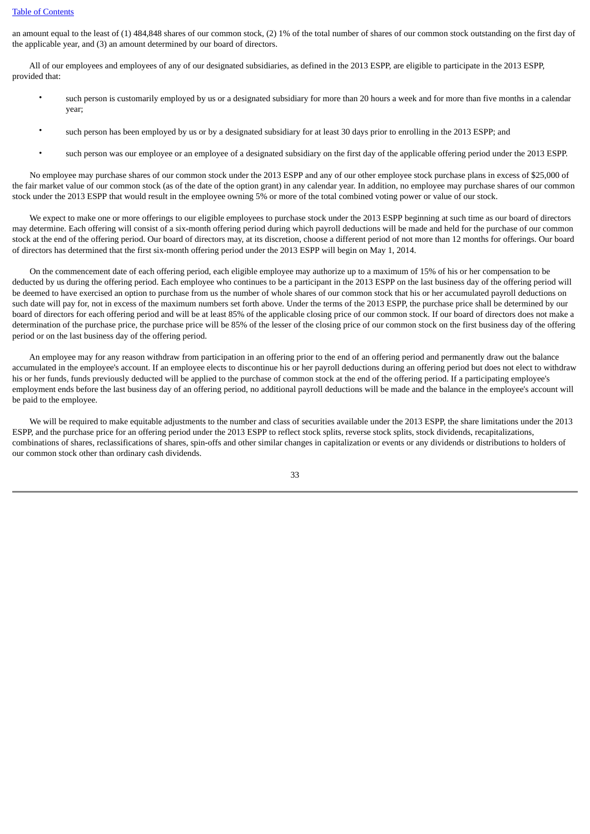# [Table of Contents](#page-3-0)

an amount equal to the least of (1) 484,848 shares of our common stock, (2) 1% of the total number of shares of our common stock outstanding on the first day of the applicable year, and (3) an amount determined by our board of directors.

 All of our employees and employees of any of our designated subsidiaries, as defined in the 2013 ESPP, are eligible to participate in the 2013 ESPP, provided that:

- such person is customarily employed by us or a designated subsidiary for more than 20 hours a week and for more than five months in a calendar year;
- such person has been employed by us or by a designated subsidiary for at least 30 days prior to enrolling in the 2013 ESPP; and
- such person was our employee or an employee of a designated subsidiary on the first day of the applicable offering period under the 2013 ESPP.

 No employee may purchase shares of our common stock under the 2013 ESPP and any of our other employee stock purchase plans in excess of \$25,000 of the fair market value of our common stock (as of the date of the option grant) in any calendar year. In addition, no employee may purchase shares of our common stock under the 2013 ESPP that would result in the employee owning 5% or more of the total combined voting power or value of our stock.

 We expect to make one or more offerings to our eligible employees to purchase stock under the 2013 ESPP beginning at such time as our board of directors may determine. Each offering will consist of a six-month offering period during which payroll deductions will be made and held for the purchase of our common stock at the end of the offering period. Our board of directors may, at its discretion, choose a different period of not more than 12 months for offerings. Our board of directors has determined that the first six-month offering period under the 2013 ESPP will begin on May 1, 2014.

 On the commencement date of each offering period, each eligible employee may authorize up to a maximum of 15% of his or her compensation to be deducted by us during the offering period. Each employee who continues to be a participant in the 2013 ESPP on the last business day of the offering period will be deemed to have exercised an option to purchase from us the number of whole shares of our common stock that his or her accumulated payroll deductions on such date will pay for, not in excess of the maximum numbers set forth above. Under the terms of the 2013 ESPP, the purchase price shall be determined by our board of directors for each offering period and will be at least 85% of the applicable closing price of our common stock. If our board of directors does not make a determination of the purchase price, the purchase price will be 85% of the lesser of the closing price of our common stock on the first business day of the offering period or on the last business day of the offering period.

 An employee may for any reason withdraw from participation in an offering prior to the end of an offering period and permanently draw out the balance accumulated in the employee's account. If an employee elects to discontinue his or her payroll deductions during an offering period but does not elect to withdraw his or her funds, funds previously deducted will be applied to the purchase of common stock at the end of the offering period. If a participating employee's employment ends before the last business day of an offering period, no additional payroll deductions will be made and the balance in the employee's account will be paid to the employee.

 We will be required to make equitable adjustments to the number and class of securities available under the 2013 ESPP, the share limitations under the 2013 ESPP, and the purchase price for an offering period under the 2013 ESPP to reflect stock splits, reverse stock splits, stock dividends, recapitalizations, combinations of shares, reclassifications of shares, spin-offs and other similar changes in capitalization or events or any dividends or distributions to holders of our common stock other than ordinary cash dividends.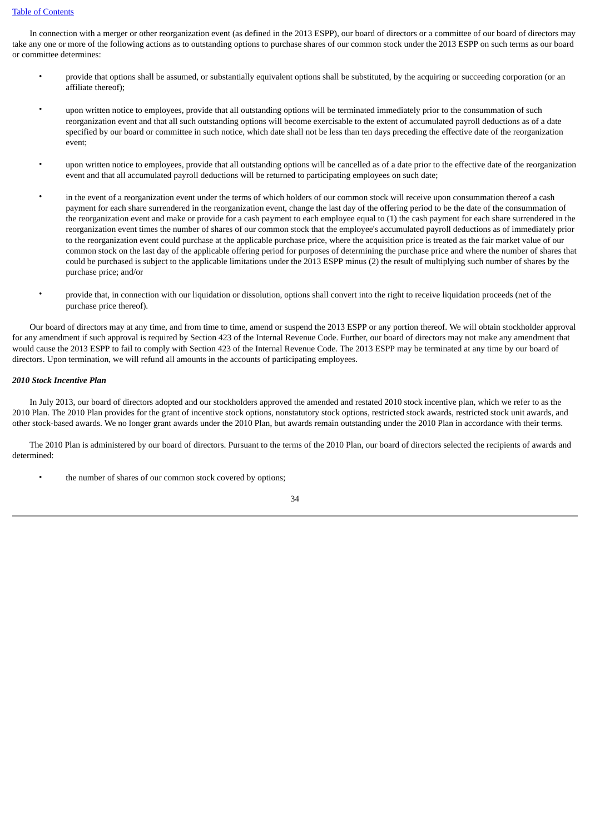# [Table of Contents](#page-3-0)

 In connection with a merger or other reorganization event (as defined in the 2013 ESPP), our board of directors or a committee of our board of directors may take any one or more of the following actions as to outstanding options to purchase shares of our common stock under the 2013 ESPP on such terms as our board or committee determines:

- provide that options shall be assumed, or substantially equivalent options shall be substituted, by the acquiring or succeeding corporation (or an affiliate thereof);
- upon written notice to employees, provide that all outstanding options will be terminated immediately prior to the consummation of such reorganization event and that all such outstanding options will become exercisable to the extent of accumulated payroll deductions as of a date specified by our board or committee in such notice, which date shall not be less than ten days preceding the effective date of the reorganization event;
- upon written notice to employees, provide that all outstanding options will be cancelled as of a date prior to the effective date of the reorganization event and that all accumulated payroll deductions will be returned to participating employees on such date;
- in the event of a reorganization event under the terms of which holders of our common stock will receive upon consummation thereof a cash payment for each share surrendered in the reorganization event, change the last day of the offering period to be the date of the consummation of the reorganization event and make or provide for a cash payment to each employee equal to (1) the cash payment for each share surrendered in the reorganization event times the number of shares of our common stock that the employee's accumulated payroll deductions as of immediately prior to the reorganization event could purchase at the applicable purchase price, where the acquisition price is treated as the fair market value of our common stock on the last day of the applicable offering period for purposes of determining the purchase price and where the number of shares that could be purchased is subject to the applicable limitations under the 2013 ESPP minus (2) the result of multiplying such number of shares by the purchase price; and/or
- provide that, in connection with our liquidation or dissolution, options shall convert into the right to receive liquidation proceeds (net of the purchase price thereof).

 Our board of directors may at any time, and from time to time, amend or suspend the 2013 ESPP or any portion thereof. We will obtain stockholder approval for any amendment if such approval is required by Section 423 of the Internal Revenue Code. Further, our board of directors may not make any amendment that would cause the 2013 ESPP to fail to comply with Section 423 of the Internal Revenue Code. The 2013 ESPP may be terminated at any time by our board of directors. Upon termination, we will refund all amounts in the accounts of participating employees.

# *2010 Stock Incentive Plan*

 In July 2013, our board of directors adopted and our stockholders approved the amended and restated 2010 stock incentive plan, which we refer to as the 2010 Plan. The 2010 Plan provides for the grant of incentive stock options, nonstatutory stock options, restricted stock awards, restricted stock unit awards, and other stock-based awards. We no longer grant awards under the 2010 Plan, but awards remain outstanding under the 2010 Plan in accordance with their terms.

 The 2010 Plan is administered by our board of directors. Pursuant to the terms of the 2010 Plan, our board of directors selected the recipients of awards and determined:

the number of shares of our common stock covered by options;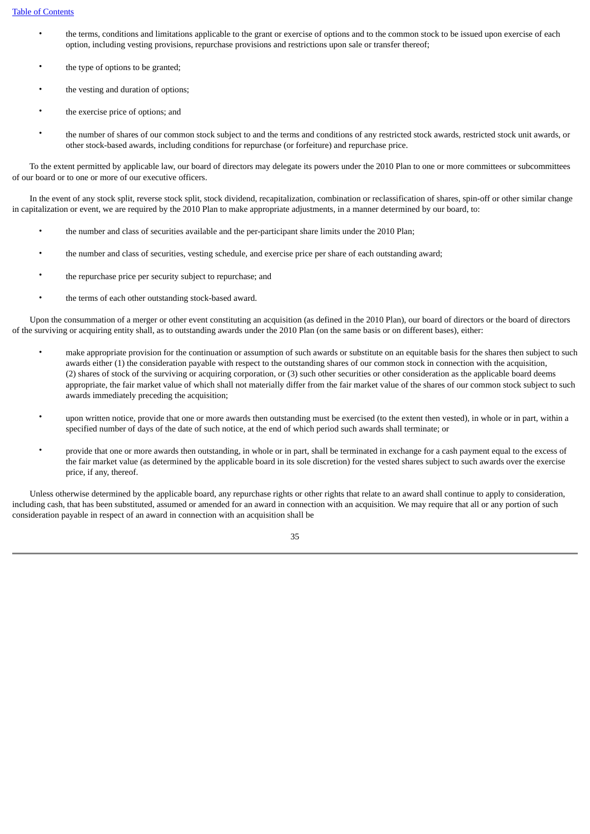- the terms, conditions and limitations applicable to the grant or exercise of options and to the common stock to be issued upon exercise of each option, including vesting provisions, repurchase provisions and restrictions upon sale or transfer thereof;
- the type of options to be granted;
- the vesting and duration of options;
- the exercise price of options; and
- the number of shares of our common stock subject to and the terms and conditions of any restricted stock awards, restricted stock unit awards, or other stock-based awards, including conditions for repurchase (or forfeiture) and repurchase price.

 To the extent permitted by applicable law, our board of directors may delegate its powers under the 2010 Plan to one or more committees or subcommittees of our board or to one or more of our executive officers.

 In the event of any stock split, reverse stock split, stock dividend, recapitalization, combination or reclassification of shares, spin-off or other similar change in capitalization or event, we are required by the 2010 Plan to make appropriate adjustments, in a manner determined by our board, to:

- the number and class of securities available and the per-participant share limits under the 2010 Plan;
- the number and class of securities, vesting schedule, and exercise price per share of each outstanding award;
- the repurchase price per security subject to repurchase; and
- the terms of each other outstanding stock-based award.

 Upon the consummation of a merger or other event constituting an acquisition (as defined in the 2010 Plan), our board of directors or the board of directors of the surviving or acquiring entity shall, as to outstanding awards under the 2010 Plan (on the same basis or on different bases), either:

- make appropriate provision for the continuation or assumption of such awards or substitute on an equitable basis for the shares then subject to such awards either (1) the consideration payable with respect to the outstanding shares of our common stock in connection with the acquisition, (2) shares of stock of the surviving or acquiring corporation, or (3) such other securities or other consideration as the applicable board deems appropriate, the fair market value of which shall not materially differ from the fair market value of the shares of our common stock subject to such awards immediately preceding the acquisition;
- upon written notice, provide that one or more awards then outstanding must be exercised (to the extent then vested), in whole or in part, within a specified number of days of the date of such notice, at the end of which period such awards shall terminate; or
- provide that one or more awards then outstanding, in whole or in part, shall be terminated in exchange for a cash payment equal to the excess of the fair market value (as determined by the applicable board in its sole discretion) for the vested shares subject to such awards over the exercise price, if any, thereof.

 Unless otherwise determined by the applicable board, any repurchase rights or other rights that relate to an award shall continue to apply to consideration, including cash, that has been substituted, assumed or amended for an award in connection with an acquisition. We may require that all or any portion of such consideration payable in respect of an award in connection with an acquisition shall be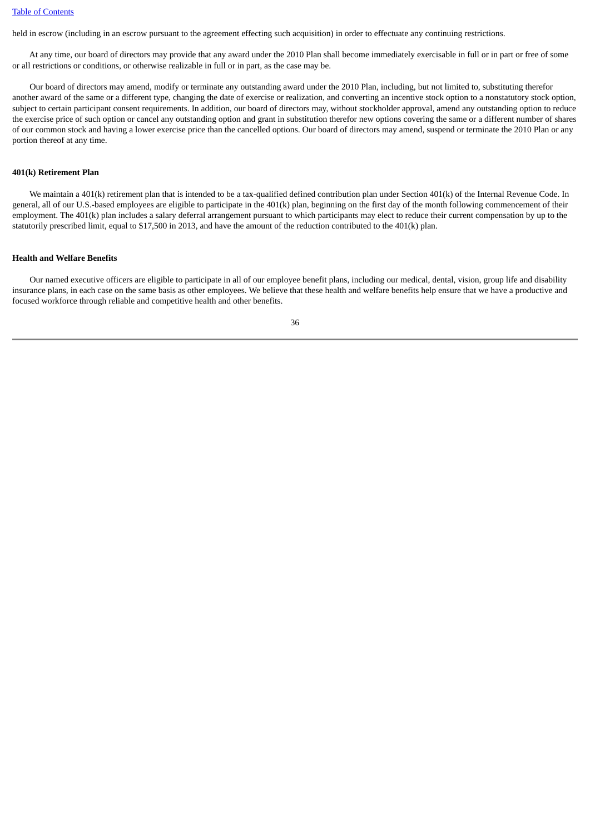held in escrow (including in an escrow pursuant to the agreement effecting such acquisition) in order to effectuate any continuing restrictions.

 At any time, our board of directors may provide that any award under the 2010 Plan shall become immediately exercisable in full or in part or free of some or all restrictions or conditions, or otherwise realizable in full or in part, as the case may be.

 Our board of directors may amend, modify or terminate any outstanding award under the 2010 Plan, including, but not limited to, substituting therefor another award of the same or a different type, changing the date of exercise or realization, and converting an incentive stock option to a nonstatutory stock option, subject to certain participant consent requirements. In addition, our board of directors may, without stockholder approval, amend any outstanding option to reduce the exercise price of such option or cancel any outstanding option and grant in substitution therefor new options covering the same or a different number of shares of our common stock and having a lower exercise price than the cancelled options. Our board of directors may amend, suspend or terminate the 2010 Plan or any portion thereof at any time.

# **401(k) Retirement Plan**

 We maintain a 401(k) retirement plan that is intended to be a tax-qualified defined contribution plan under Section 401(k) of the Internal Revenue Code. In general, all of our U.S.-based employees are eligible to participate in the 401(k) plan, beginning on the first day of the month following commencement of their employment. The 401(k) plan includes a salary deferral arrangement pursuant to which participants may elect to reduce their current compensation by up to the statutorily prescribed limit, equal to \$17,500 in 2013, and have the amount of the reduction contributed to the 401(k) plan.

# **Health and Welfare Benefits**

 Our named executive officers are eligible to participate in all of our employee benefit plans, including our medical, dental, vision, group life and disability insurance plans, in each case on the same basis as other employees. We believe that these health and welfare benefits help ensure that we have a productive and focused workforce through reliable and competitive health and other benefits.

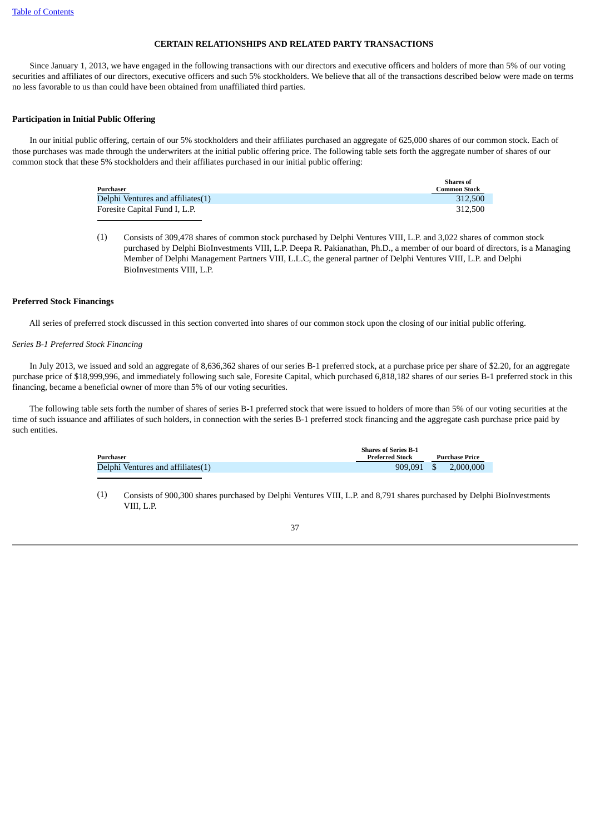# **CERTAIN RELATIONSHIPS AND RELATED PARTY TRANSACTIONS**

<span id="page-40-0"></span> Since January 1, 2013, we have engaged in the following transactions with our directors and executive officers and holders of more than 5% of our voting securities and affiliates of our directors, executive officers and such 5% stockholders. We believe that all of the transactions described below were made on terms no less favorable to us than could have been obtained from unaffiliated third parties.

# **Participation in Initial Public Offering**

 In our initial public offering, certain of our 5% stockholders and their affiliates purchased an aggregate of 625,000 shares of our common stock. Each of those purchases was made through the underwriters at the initial public offering price. The following table sets forth the aggregate number of shares of our common stock that these 5% stockholders and their affiliates purchased in our initial public offering:

| Purchaser                         | <b>Shares of</b><br><b>Common Stock</b> |
|-----------------------------------|-----------------------------------------|
| Delphi Ventures and affiliates(1) | 312.500                                 |
| Foresite Capital Fund I, L.P.     | 312.500                                 |

(1) Consists of 309,478 shares of common stock purchased by Delphi Ventures VIII, L.P. and 3,022 shares of common stock purchased by Delphi BioInvestments VIII, L.P. Deepa R. Pakianathan, Ph.D., a member of our board of directors, is a Managing Member of Delphi Management Partners VIII, L.L.C, the general partner of Delphi Ventures VIII, L.P. and Delphi BioInvestments VIII, L.P.

# **Preferred Stock Financings**

All series of preferred stock discussed in this section converted into shares of our common stock upon the closing of our initial public offering.

# *Series B-1 Preferred Stock Financing*

 In July 2013, we issued and sold an aggregate of 8,636,362 shares of our series B-1 preferred stock, at a purchase price per share of \$2.20, for an aggregate purchase price of \$18,999,996, and immediately following such sale, Foresite Capital, which purchased 6,818,182 shares of our series B-1 preferred stock in this financing, became a beneficial owner of more than 5% of our voting securities.

 The following table sets forth the number of shares of series B-1 preferred stock that were issued to holders of more than 5% of our voting securities at the time of such issuance and affiliates of such holders, in connection with the series B-1 preferred stock financing and the aggregate cash purchase price paid by such entities.

|                                   | <b>Shares of Series B-1</b> |                       |           |
|-----------------------------------|-----------------------------|-----------------------|-----------|
| Purchaser                         | <b>Preferred Stock</b>      | <b>Purchase Price</b> |           |
| Delphi Ventures and affiliates(1) | 909.091 \$                  |                       | 2.000.000 |

(1) Consists of 900,300 shares purchased by Delphi Ventures VIII, L.P. and 8,791 shares purchased by Delphi BioInvestments VIII, L.P.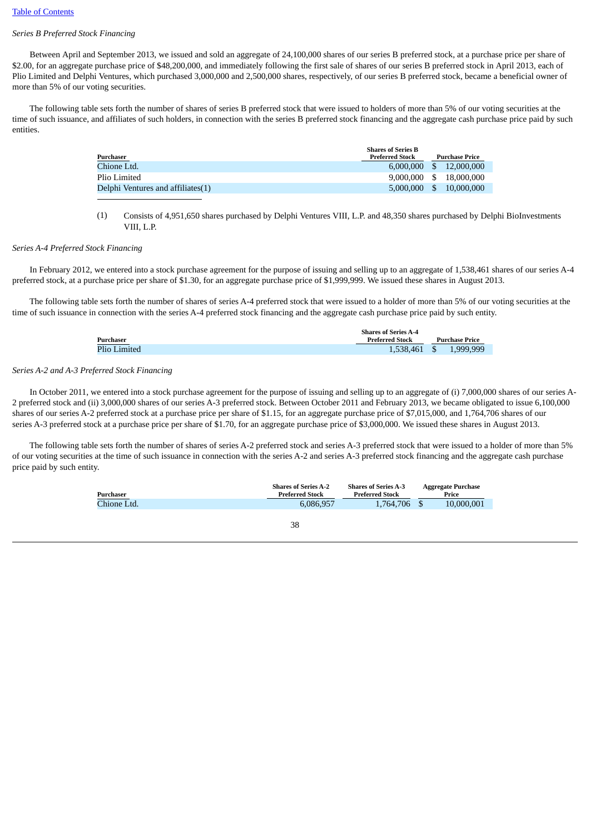# *Series B Preferred Stock Financing*

 Between April and September 2013, we issued and sold an aggregate of 24,100,000 shares of our series B preferred stock, at a purchase price per share of \$2.00, for an aggregate purchase price of \$48,200,000, and immediately following the first sale of shares of our series B preferred stock in April 2013, each of Plio Limited and Delphi Ventures, which purchased 3,000,000 and 2,500,000 shares, respectively, of our series B preferred stock, became a beneficial owner of more than 5% of our voting securities.

 The following table sets forth the number of shares of series B preferred stock that were issued to holders of more than 5% of our voting securities at the time of such issuance, and affiliates of such holders, in connection with the series B preferred stock financing and the aggregate cash purchase price paid by such entities.

|                                                     | Purchase Price                                     |
|-----------------------------------------------------|----------------------------------------------------|
|                                                     | 12,000,000                                         |
|                                                     | 18.000.000                                         |
|                                                     | 10,000,000                                         |
| <b>Shares of Series B</b><br><b>Preferred Stock</b> | $6.000.000$ \$<br>$9,000,000$ \$<br>$5,000,000$ \$ |

# (1) Consists of 4,951,650 shares purchased by Delphi Ventures VIII, L.P. and 48,350 shares purchased by Delphi BioInvestments VIII<sub>I</sub>, p.

# *Series A-4 Preferred Stock Financing*

 In February 2012, we entered into a stock purchase agreement for the purpose of issuing and selling up to an aggregate of 1,538,461 shares of our series A-4 preferred stock, at a purchase price per share of \$1.30, for an aggregate purchase price of \$1,999,999. We issued these shares in August 2013.

The following table sets forth the number of shares of series A-4 preferred stock that were issued to a holder of more than 5% of our voting securities at the time of such issuance in connection with the series A-4 preferred stock financing and the aggregate cash purchase price paid by such entity.

|              | <b>Shares of Series A-4</b> |  |                |
|--------------|-----------------------------|--|----------------|
| Purchaser    | <b>Preferred Stock</b>      |  | Purchase Price |
| Plio Limited | 1,538,461 \$                |  | 1.999.999      |

# *Series A-2 and A-3 Preferred Stock Financing*

 In October 2011, we entered into a stock purchase agreement for the purpose of issuing and selling up to an aggregate of (i) 7,000,000 shares of our series A-2 preferred stock and (ii) 3,000,000 shares of our series A-3 preferred stock. Between October 2011 and February 2013, we became obligated to issue 6,100,000 shares of our series A-2 preferred stock at a purchase price per share of \$1.15, for an aggregate purchase price of \$7,015,000, and 1,764,706 shares of our series A-3 preferred stock at a purchase price per share of \$1.70, for an aggregate purchase price of \$3,000,000. We issued these shares in August 2013.

 The following table sets forth the number of shares of series A-2 preferred stock and series A-3 preferred stock that were issued to a holder of more than 5% of our voting securities at the time of such issuance in connection with the series A-2 and series A-3 preferred stock financing and the aggregate cash purchase price paid by such entity.

| Purchaser   | <b>Shares of Series A-2</b><br><b>Preferred Stock</b> | <b>Shares of Series A-3</b><br><b>Preferred Stock</b> | <b>Aggregate Purchase</b><br>Price |
|-------------|-------------------------------------------------------|-------------------------------------------------------|------------------------------------|
| Chione Ltd. | 6.086.957                                             | 1.764.706 \$                                          | 10.000.001                         |
|             |                                                       |                                                       |                                    |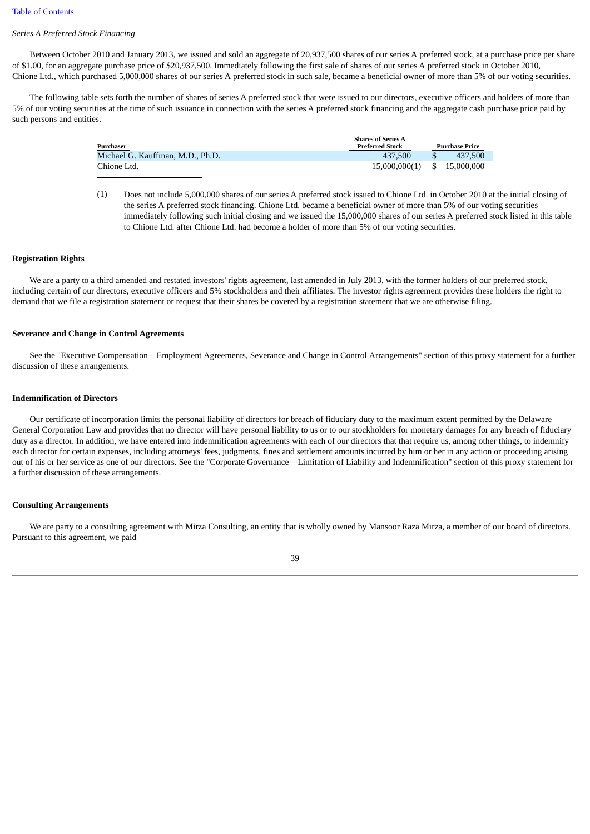# *Series A Preferred Stock Financing*

 Between October 2010 and January 2013, we issued and sold an aggregate of 20,937,500 shares of our series A preferred stock, at a purchase price per share of \$1.00, for an aggregate purchase price of \$20,937,500. Immediately following the first sale of shares of our series A preferred stock in October 2010, Chione Ltd., which purchased 5,000,000 shares of our series A preferred stock in such sale, became a beneficial owner of more than 5% of our voting securities.

 The following table sets forth the number of shares of series A preferred stock that were issued to our directors, executive officers and holders of more than 5% of our voting securities at the time of such issuance in connection with the series A preferred stock financing and the aggregate cash purchase price paid by such persons and entities.

| Purchaser                        | <b>Shares of Series A</b><br><b>Preferred Stock</b> | <b>Purchase Price</b> |
|----------------------------------|-----------------------------------------------------|-----------------------|
| Michael G. Kauffman, M.D., Ph.D. | 437.500                                             | 437.500               |
| Chione Ltd.                      | 15,000,000(1) \$ 15,000,000                         |                       |

(1) Does not include 5,000,000 shares of our series A preferred stock issued to Chione Ltd. in October 2010 at the initial closing of the series A preferred stock financing. Chione Ltd. became a beneficial owner of more than 5% of our voting securities immediately following such initial closing and we issued the 15,000,000 shares of our series A preferred stock listed in this table to Chione Ltd. after Chione Ltd. had become a holder of more than 5% of our voting securities.

# **Registration Rights**

 We are a party to a third amended and restated investors' rights agreement, last amended in July 2013, with the former holders of our preferred stock, including certain of our directors, executive officers and 5% stockholders and their affiliates. The investor rights agreement provides these holders the right to demand that we file a registration statement or request that their shares be covered by a registration statement that we are otherwise filing.

#### **Severance and Change in Control Agreements**

 See the "Executive Compensation—Employment Agreements, Severance and Change in Control Arrangements" section of this proxy statement for a further discussion of these arrangements.

## **Indemnification of Directors**

 Our certificate of incorporation limits the personal liability of directors for breach of fiduciary duty to the maximum extent permitted by the Delaware General Corporation Law and provides that no director will have personal liability to us or to our stockholders for monetary damages for any breach of fiduciary duty as a director. In addition, we have entered into indemnification agreements with each of our directors that that require us, among other things, to indemnify each director for certain expenses, including attorneys' fees, judgments, fines and settlement amounts incurred by him or her in any action or proceeding arising out of his or her service as one of our directors. See the "Corporate Governance—Limitation of Liability and Indemnification" section of this proxy statement for a further discussion of these arrangements.

# **Consulting Arrangements**

 We are party to a consulting agreement with Mirza Consulting, an entity that is wholly owned by Mansoor Raza Mirza, a member of our board of directors. Pursuant to this agreement, we paid

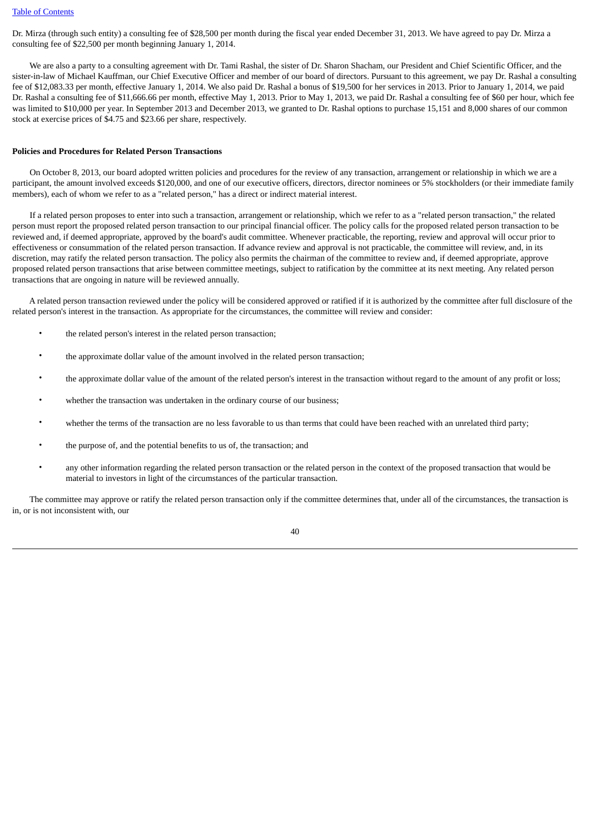Dr. Mirza (through such entity) a consulting fee of \$28,500 per month during the fiscal year ended December 31, 2013. We have agreed to pay Dr. Mirza a consulting fee of \$22,500 per month beginning January 1, 2014.

 We are also a party to a consulting agreement with Dr. Tami Rashal, the sister of Dr. Sharon Shacham, our President and Chief Scientific Officer, and the sister-in-law of Michael Kauffman, our Chief Executive Officer and member of our board of directors. Pursuant to this agreement, we pay Dr. Rashal a consulting fee of \$12,083.33 per month, effective January 1, 2014. We also paid Dr. Rashal a bonus of \$19,500 for her services in 2013. Prior to January 1, 2014, we paid Dr. Rashal a consulting fee of \$11,666.66 per month, effective May 1, 2013. Prior to May 1, 2013, we paid Dr. Rashal a consulting fee of \$60 per hour, which fee was limited to \$10,000 per year. In September 2013 and December 2013, we granted to Dr. Rashal options to purchase 15,151 and 8,000 shares of our common stock at exercise prices of \$4.75 and \$23.66 per share, respectively.

#### <span id="page-43-0"></span>**Policies and Procedures for Related Person Transactions**

 On October 8, 2013, our board adopted written policies and procedures for the review of any transaction, arrangement or relationship in which we are a participant, the amount involved exceeds \$120,000, and one of our executive officers, directors, director nominees or 5% stockholders (or their immediate family members), each of whom we refer to as a "related person," has a direct or indirect material interest.

 If a related person proposes to enter into such a transaction, arrangement or relationship, which we refer to as a "related person transaction," the related person must report the proposed related person transaction to our principal financial officer. The policy calls for the proposed related person transaction to be reviewed and, if deemed appropriate, approved by the board's audit committee. Whenever practicable, the reporting, review and approval will occur prior to effectiveness or consummation of the related person transaction. If advance review and approval is not practicable, the committee will review, and, in its discretion, may ratify the related person transaction. The policy also permits the chairman of the committee to review and, if deemed appropriate, approve proposed related person transactions that arise between committee meetings, subject to ratification by the committee at its next meeting. Any related person transactions that are ongoing in nature will be reviewed annually.

 A related person transaction reviewed under the policy will be considered approved or ratified if it is authorized by the committee after full disclosure of the related person's interest in the transaction. As appropriate for the circumstances, the committee will review and consider:

- the related person's interest in the related person transaction;
- the approximate dollar value of the amount involved in the related person transaction;
- the approximate dollar value of the amount of the related person's interest in the transaction without regard to the amount of any profit or loss;
- whether the transaction was undertaken in the ordinary course of our business:
- whether the terms of the transaction are no less favorable to us than terms that could have been reached with an unrelated third party;
- the purpose of, and the potential benefits to us of, the transaction; and
- any other information regarding the related person transaction or the related person in the context of the proposed transaction that would be material to investors in light of the circumstances of the particular transaction.

 The committee may approve or ratify the related person transaction only if the committee determines that, under all of the circumstances, the transaction is in, or is not inconsistent with, our

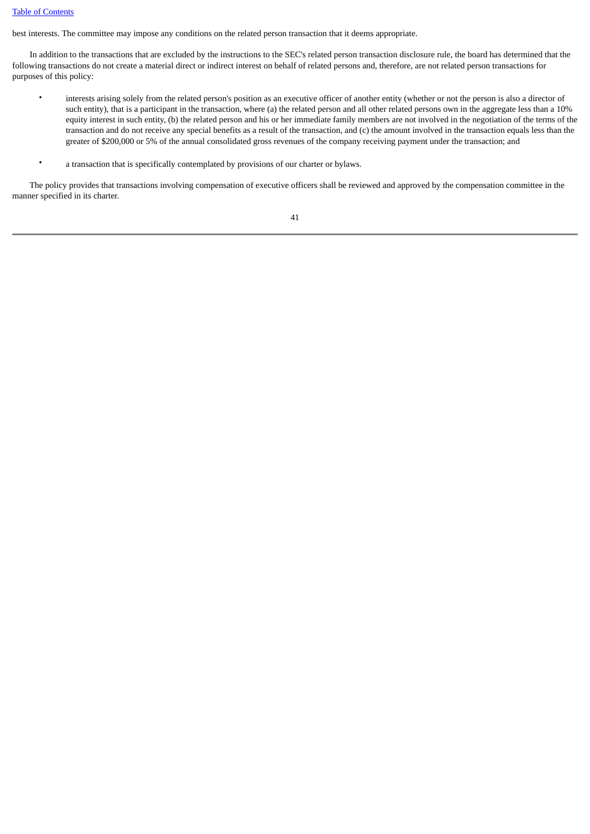# [Table of Contents](#page-3-0)

best interests. The committee may impose any conditions on the related person transaction that it deems appropriate.

 In addition to the transactions that are excluded by the instructions to the SEC's related person transaction disclosure rule, the board has determined that the following transactions do not create a material direct or indirect interest on behalf of related persons and, therefore, are not related person transactions for purposes of this policy:

- interests arising solely from the related person's position as an executive officer of another entity (whether or not the person is also a director of such entity), that is a participant in the transaction, where (a) the related person and all other related persons own in the aggregate less than a 10% equity interest in such entity, (b) the related person and his or her immediate family members are not involved in the negotiation of the terms of the transaction and do not receive any special benefits as a result of the transaction, and (c) the amount involved in the transaction equals less than the greater of \$200,000 or 5% of the annual consolidated gross revenues of the company receiving payment under the transaction; and
- a transaction that is specifically contemplated by provisions of our charter or bylaws.

 The policy provides that transactions involving compensation of executive officers shall be reviewed and approved by the compensation committee in the manner specified in its charter.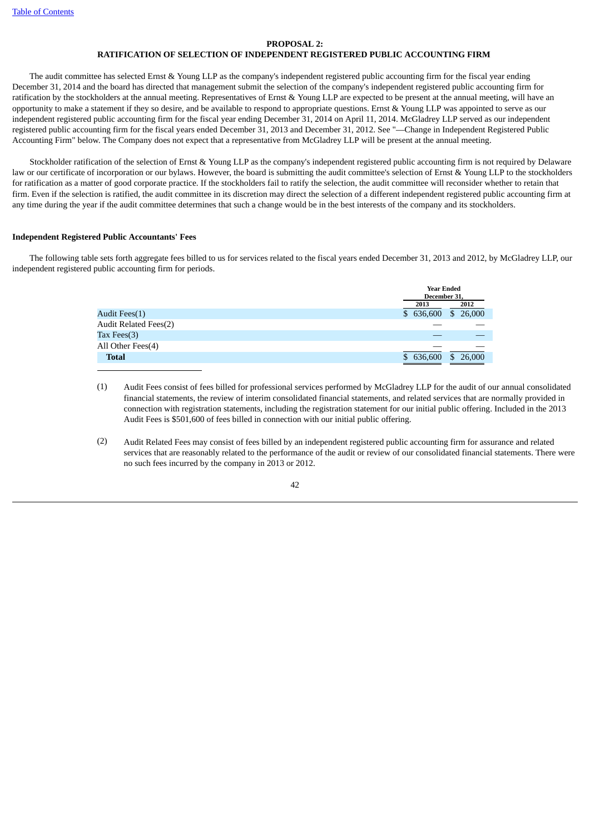# **PROPOSAL 2:**

# **RATIFICATION OF SELECTION OF INDEPENDENT REGISTERED PUBLIC ACCOUNTING FIRM**

<span id="page-45-0"></span> The audit committee has selected Ernst & Young LLP as the company's independent registered public accounting firm for the fiscal year ending December 31, 2014 and the board has directed that management submit the selection of the company's independent registered public accounting firm for ratification by the stockholders at the annual meeting. Representatives of Ernst & Young LLP are expected to be present at the annual meeting, will have an opportunity to make a statement if they so desire, and be available to respond to appropriate questions. Ernst & Young LLP was appointed to serve as our independent registered public accounting firm for the fiscal year ending December 31, 2014 on April 11, 2014. McGladrey LLP served as our independent registered public accounting firm for the fiscal years ended December 31, 2013 and December 31, 2012. See "—Change in Independent Registered Public Accounting Firm" below. The Company does not expect that a representative from McGladrey LLP will be present at the annual meeting.

 Stockholder ratification of the selection of Ernst & Young LLP as the company's independent registered public accounting firm is not required by Delaware law or our certificate of incorporation or our bylaws. However, the board is submitting the audit committee's selection of Ernst & Young LLP to the stockholders for ratification as a matter of good corporate practice. If the stockholders fail to ratify the selection, the audit committee will reconsider whether to retain that firm. Even if the selection is ratified, the audit committee in its discretion may direct the selection of a different independent registered public accounting firm at any time during the year if the audit committee determines that such a change would be in the best interests of the company and its stockholders.

# **Independent Registered Public Accountants' Fees**

 The following table sets forth aggregate fees billed to us for services related to the fiscal years ended December 31, 2013 and 2012, by McGladrey LLP, our independent registered public accounting firm for periods.

|                              |              | <b>Year Ended</b>      |  |
|------------------------------|--------------|------------------------|--|
|                              | December 31. |                        |  |
|                              | 2013         | 2012                   |  |
| Audit Fees(1)                | \$636,600    | \$26,000               |  |
| <b>Audit Related Fees(2)</b> |              |                        |  |
| Tax Fees $(3)$               |              |                        |  |
| All Other Fees(4)            |              |                        |  |
| <b>Total</b>                 | 636,600      | 26,000<br>$\mathbb{S}$ |  |
|                              |              |                        |  |

- (1) Audit Fees consist of fees billed for professional services performed by McGladrey LLP for the audit of our annual consolidated financial statements, the review of interim consolidated financial statements, and related services that are normally provided in connection with registration statements, including the registration statement for our initial public offering. Included in the 2013 Audit Fees is \$501,600 of fees billed in connection with our initial public offering.
- (2) Audit Related Fees may consist of fees billed by an independent registered public accounting firm for assurance and related services that are reasonably related to the performance of the audit or review of our consolidated financial statements. There were no such fees incurred by the company in 2013 or 2012.

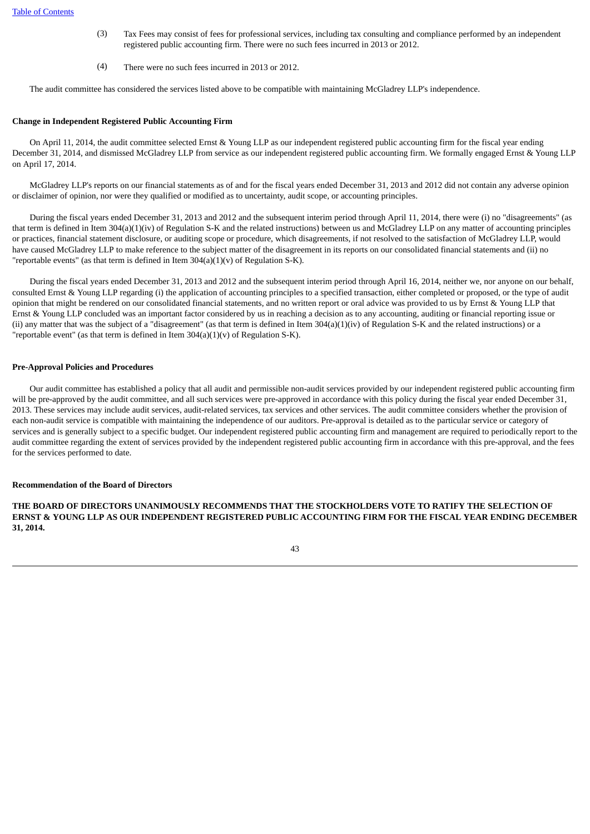- (3) Tax Fees may consist of fees for professional services, including tax consulting and compliance performed by an independent registered public accounting firm. There were no such fees incurred in 2013 or 2012.
- (4) There were no such fees incurred in 2013 or 2012.

The audit committee has considered the services listed above to be compatible with maintaining McGladrey LLP's independence.

# **Change in Independent Registered Public Accounting Firm**

 On April 11, 2014, the audit committee selected Ernst & Young LLP as our independent registered public accounting firm for the fiscal year ending December 31, 2014, and dismissed McGladrey LLP from service as our independent registered public accounting firm. We formally engaged Ernst & Young LLP on April 17, 2014.

 McGladrey LLP's reports on our financial statements as of and for the fiscal years ended December 31, 2013 and 2012 did not contain any adverse opinion or disclaimer of opinion, nor were they qualified or modified as to uncertainty, audit scope, or accounting principles.

 During the fiscal years ended December 31, 2013 and 2012 and the subsequent interim period through April 11, 2014, there were (i) no "disagreements" (as that term is defined in Item 304(a)(1)(iv) of Regulation S-K and the related instructions) between us and McGladrey LLP on any matter of accounting principles or practices, financial statement disclosure, or auditing scope or procedure, which disagreements, if not resolved to the satisfaction of McGladrey LLP, would have caused McGladrey LLP to make reference to the subject matter of the disagreement in its reports on our consolidated financial statements and (ii) no "reportable events" (as that term is defined in Item  $304(a)(1)(v)$  of Regulation S-K).

 During the fiscal years ended December 31, 2013 and 2012 and the subsequent interim period through April 16, 2014, neither we, nor anyone on our behalf, consulted Ernst & Young LLP regarding (i) the application of accounting principles to a specified transaction, either completed or proposed, or the type of audit opinion that might be rendered on our consolidated financial statements, and no written report or oral advice was provided to us by Ernst & Young LLP that Ernst & Young LLP concluded was an important factor considered by us in reaching a decision as to any accounting, auditing or financial reporting issue or (ii) any matter that was the subject of a "disagreement" (as that term is defined in Item  $304(a)(1)(iv)$  of Regulation S-K and the related instructions) or a "reportable event" (as that term is defined in Item  $304(a)(1)(v)$  of Regulation S-K).

# **Pre-Approval Policies and Procedures**

 Our audit committee has established a policy that all audit and permissible non-audit services provided by our independent registered public accounting firm will be pre-approved by the audit committee, and all such services were pre-approved in accordance with this policy during the fiscal year ended December 31, 2013. These services may include audit services, audit-related services, tax services and other services. The audit committee considers whether the provision of each non-audit service is compatible with maintaining the independence of our auditors. Pre-approval is detailed as to the particular service or category of services and is generally subject to a specific budget. Our independent registered public accounting firm and management are required to periodically report to the audit committee regarding the extent of services provided by the independent registered public accounting firm in accordance with this pre-approval, and the fees for the services performed to date.

# **Recommendation of the Board of Directors**

**THE BOARD OF DIRECTORS UNANIMOUSLY RECOMMENDS THAT THE STOCKHOLDERS VOTE TO RATIFY THE SELECTION OF ERNST & YOUNG LLP AS OUR INDEPENDENT REGISTERED PUBLIC ACCOUNTING FIRM FOR THE FISCAL YEAR ENDING DECEMBER 31, 2014.**

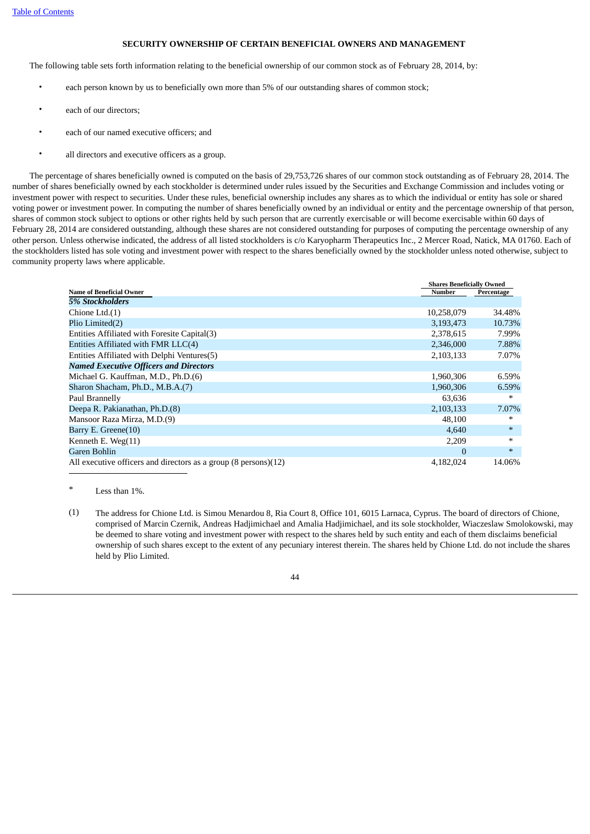# **SECURITY OWNERSHIP OF CERTAIN BENEFICIAL OWNERS AND MANAGEMENT**

<span id="page-47-0"></span>The following table sets forth information relating to the beneficial ownership of our common stock as of February 28, 2014, by:

- each person known by us to beneficially own more than 5% of our outstanding shares of common stock;
- each of our directors;
- each of our named executive officers; and
- all directors and executive officers as a group.

 The percentage of shares beneficially owned is computed on the basis of 29,753,726 shares of our common stock outstanding as of February 28, 2014. The number of shares beneficially owned by each stockholder is determined under rules issued by the Securities and Exchange Commission and includes voting or investment power with respect to securities. Under these rules, beneficial ownership includes any shares as to which the individual or entity has sole or shared voting power or investment power. In computing the number of shares beneficially owned by an individual or entity and the percentage ownership of that person, shares of common stock subject to options or other rights held by such person that are currently exercisable or will become exercisable within 60 days of February 28, 2014 are considered outstanding, although these shares are not considered outstanding for purposes of computing the percentage ownership of any other person. Unless otherwise indicated, the address of all listed stockholders is c/o Karyopharm Therapeutics Inc., 2 Mercer Road, Natick, MA 01760. Each of the stockholders listed has sole voting and investment power with respect to the shares beneficially owned by the stockholder unless noted otherwise, subject to community property laws where applicable.

|                                                                 | <b>Shares Beneficially Owned</b> |            |  |
|-----------------------------------------------------------------|----------------------------------|------------|--|
| <b>Name of Beneficial Owner</b>                                 | <b>Number</b>                    | Percentage |  |
| 5% Stockholders                                                 |                                  |            |  |
| Chione Ltd.(1)                                                  | 10,258,079                       | 34.48%     |  |
| Plio Limited(2)                                                 | 3,193,473                        | 10.73%     |  |
| Entities Affiliated with Foresite Capital(3)                    | 2,378,615                        | 7.99%      |  |
| Entities Affiliated with FMR LLC(4)                             | 2,346,000                        | 7.88%      |  |
| Entities Affiliated with Delphi Ventures(5)                     | 2,103,133                        | 7.07%      |  |
| <b>Named Executive Officers and Directors</b>                   |                                  |            |  |
| Michael G. Kauffman, M.D., Ph.D.(6)                             | 1,960,306                        | 6.59%      |  |
| Sharon Shacham, Ph.D., M.B.A.(7)                                | 1,960,306                        | 6.59%      |  |
| Paul Brannelly                                                  | 63,636                           | ∗          |  |
| Deepa R. Pakianathan, Ph.D.(8)                                  | 2,103,133                        | 7.07%      |  |
| Mansoor Raza Mirza, M.D.(9)                                     | 48.100                           | *          |  |
| Barry E. Greene(10)                                             | 4,640                            | $\ast$     |  |
| Kenneth E. Weg(11)                                              | 2,209                            | $\ast$     |  |
| Garen Bohlin                                                    | $\Omega$                         | $*$        |  |
| All executive officers and directors as a group (8 persons)(12) | 4,182,024                        | 14.06%     |  |

Less than 1%.

(1) The address for Chione Ltd. is Simou Menardou 8, Ria Court 8, Office 101, 6015 Larnaca, Cyprus. The board of directors of Chione, comprised of Marcin Czernik, Andreas Hadjimichael and Amalia Hadjimichael, and its sole stockholder, Wiaczeslaw Smolokowski, may be deemed to share voting and investment power with respect to the shares held by such entity and each of them disclaims beneficial ownership of such shares except to the extent of any pecuniary interest therein. The shares held by Chione Ltd. do not include the shares held by Plio Limited.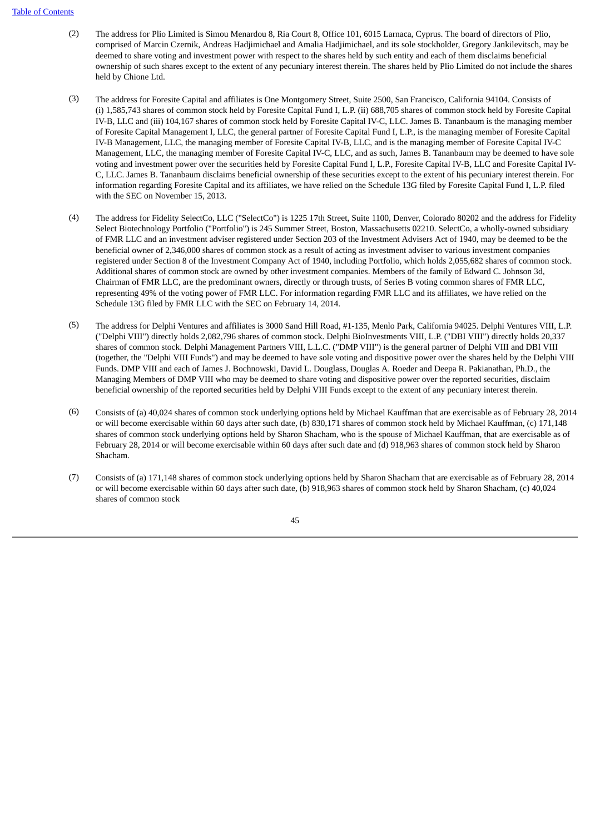- (2) The address for Plio Limited is Simou Menardou 8, Ria Court 8, Office 101, 6015 Larnaca, Cyprus. The board of directors of Plio, comprised of Marcin Czernik, Andreas Hadjimichael and Amalia Hadjimichael, and its sole stockholder, Gregory Jankilevitsch, may be deemed to share voting and investment power with respect to the shares held by such entity and each of them disclaims beneficial ownership of such shares except to the extent of any pecuniary interest therein. The shares held by Plio Limited do not include the shares held by Chione Ltd.
- (3) The address for Foresite Capital and affiliates is One Montgomery Street, Suite 2500, San Francisco, California 94104. Consists of (i) 1,585,743 shares of common stock held by Foresite Capital Fund I, L.P. (ii) 688,705 shares of common stock held by Foresite Capital IV-B, LLC and (iii) 104,167 shares of common stock held by Foresite Capital IV-C, LLC. James B. Tananbaum is the managing member of Foresite Capital Management I, LLC, the general partner of Foresite Capital Fund I, L.P., is the managing member of Foresite Capital IV-B Management, LLC, the managing member of Foresite Capital IV-B, LLC, and is the managing member of Foresite Capital IV-C Management, LLC, the managing member of Foresite Capital IV-C, LLC, and as such, James B. Tananbaum may be deemed to have sole voting and investment power over the securities held by Foresite Capital Fund I, L.P., Foresite Capital IV-B, LLC and Foresite Capital IV-C, LLC. James B. Tananbaum disclaims beneficial ownership of these securities except to the extent of his pecuniary interest therein. For information regarding Foresite Capital and its affiliates, we have relied on the Schedule 13G filed by Foresite Capital Fund I, L.P. filed with the SEC on November 15, 2013.
- (4) The address for Fidelity SelectCo, LLC ("SelectCo") is 1225 17th Street, Suite 1100, Denver, Colorado 80202 and the address for Fidelity Select Biotechnology Portfolio ("Portfolio") is 245 Summer Street, Boston, Massachusetts 02210. SelectCo, a wholly-owned subsidiary of FMR LLC and an investment adviser registered under Section 203 of the Investment Advisers Act of 1940, may be deemed to be the beneficial owner of 2,346,000 shares of common stock as a result of acting as investment adviser to various investment companies registered under Section 8 of the Investment Company Act of 1940, including Portfolio, which holds 2,055,682 shares of common stock. Additional shares of common stock are owned by other investment companies. Members of the family of Edward C. Johnson 3d, Chairman of FMR LLC, are the predominant owners, directly or through trusts, of Series B voting common shares of FMR LLC, representing 49% of the voting power of FMR LLC. For information regarding FMR LLC and its affiliates, we have relied on the Schedule 13G filed by FMR LLC with the SEC on February 14, 2014.
- (5) The address for Delphi Ventures and affiliates is 3000 Sand Hill Road, #1-135, Menlo Park, California 94025. Delphi Ventures VIII, L.P. ("Delphi VIII") directly holds 2,082,796 shares of common stock. Delphi BioInvestments VIII, L.P. ("DBI VIII") directly holds 20,337 shares of common stock. Delphi Management Partners VIII, L.L.C. ("DMP VIII") is the general partner of Delphi VIII and DBI VIII (together, the "Delphi VIII Funds") and may be deemed to have sole voting and dispositive power over the shares held by the Delphi VIII Funds. DMP VIII and each of James J. Bochnowski, David L. Douglass, Douglas A. Roeder and Deepa R. Pakianathan, Ph.D., the Managing Members of DMP VIII who may be deemed to share voting and dispositive power over the reported securities, disclaim beneficial ownership of the reported securities held by Delphi VIII Funds except to the extent of any pecuniary interest therein.
- (6) Consists of (a) 40,024 shares of common stock underlying options held by Michael Kauffman that are exercisable as of February 28, 2014 or will become exercisable within 60 days after such date, (b) 830,171 shares of common stock held by Michael Kauffman, (c) 171,148 shares of common stock underlying options held by Sharon Shacham, who is the spouse of Michael Kauffman, that are exercisable as of February 28, 2014 or will become exercisable within 60 days after such date and (d) 918,963 shares of common stock held by Sharon Shacham.
- (7) Consists of (a) 171,148 shares of common stock underlying options held by Sharon Shacham that are exercisable as of February 28, 2014 or will become exercisable within 60 days after such date, (b) 918,963 shares of common stock held by Sharon Shacham, (c) 40,024 shares of common stock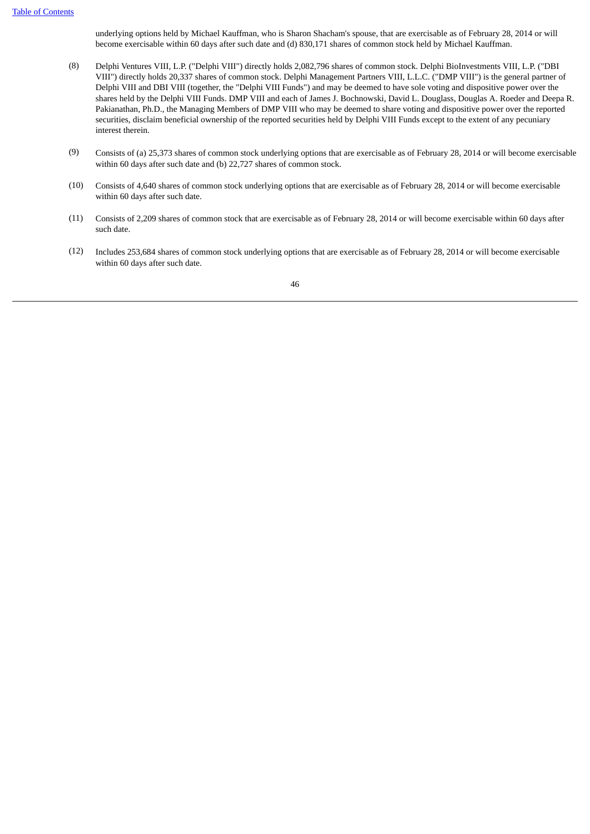underlying options held by Michael Kauffman, who is Sharon Shacham's spouse, that are exercisable as of February 28, 2014 or will become exercisable within 60 days after such date and (d) 830,171 shares of common stock held by Michael Kauffman.

- (8) Delphi Ventures VIII, L.P. ("Delphi VIII") directly holds 2,082,796 shares of common stock. Delphi BioInvestments VIII, L.P. ("DBI VIII") directly holds 20,337 shares of common stock. Delphi Management Partners VIII, L.L.C. ("DMP VIII") is the general partner of Delphi VIII and DBI VIII (together, the "Delphi VIII Funds") and may be deemed to have sole voting and dispositive power over the shares held by the Delphi VIII Funds. DMP VIII and each of James J. Bochnowski, David L. Douglass, Douglas A. Roeder and Deepa R. Pakianathan, Ph.D., the Managing Members of DMP VIII who may be deemed to share voting and dispositive power over the reported securities, disclaim beneficial ownership of the reported securities held by Delphi VIII Funds except to the extent of any pecuniary interest therein.
- (9) Consists of (a) 25,373 shares of common stock underlying options that are exercisable as of February 28, 2014 or will become exercisable within 60 days after such date and (b) 22,727 shares of common stock.
- (10) Consists of 4,640 shares of common stock underlying options that are exercisable as of February 28, 2014 or will become exercisable within 60 days after such date.
- (11) Consists of 2,209 shares of common stock that are exercisable as of February 28, 2014 or will become exercisable within 60 days after such date.
- (12) Includes 253,684 shares of common stock underlying options that are exercisable as of February 28, 2014 or will become exercisable within 60 days after such date.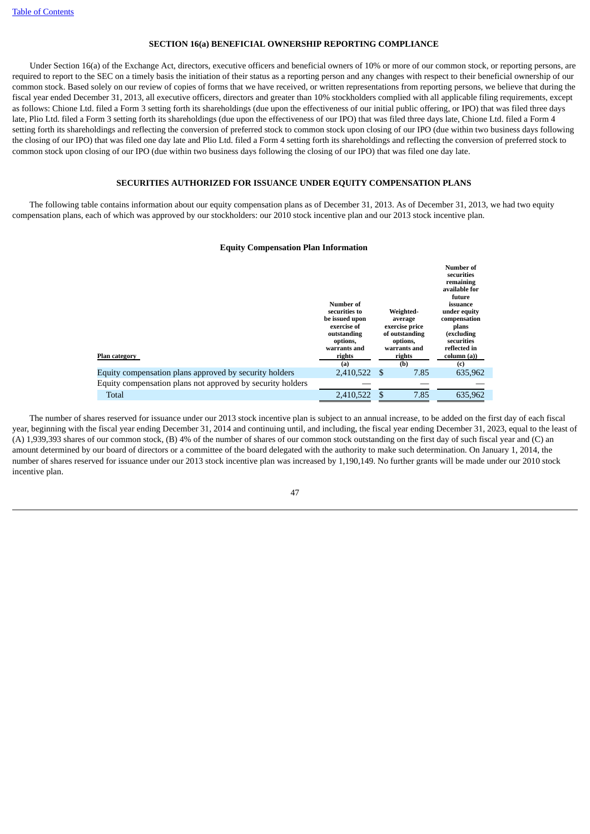# **SECTION 16(a) BENEFICIAL OWNERSHIP REPORTING COMPLIANCE**

<span id="page-50-0"></span> Under Section 16(a) of the Exchange Act, directors, executive officers and beneficial owners of 10% or more of our common stock, or reporting persons, are required to report to the SEC on a timely basis the initiation of their status as a reporting person and any changes with respect to their beneficial ownership of our common stock. Based solely on our review of copies of forms that we have received, or written representations from reporting persons, we believe that during the fiscal year ended December 31, 2013, all executive officers, directors and greater than 10% stockholders complied with all applicable filing requirements, except as follows: Chione Ltd. filed a Form 3 setting forth its shareholdings (due upon the effectiveness of our initial public offering, or IPO) that was filed three days late, Plio Ltd. filed a Form 3 setting forth its shareholdings (due upon the effectiveness of our IPO) that was filed three days late, Chione Ltd. filed a Form 4 setting forth its shareholdings and reflecting the conversion of preferred stock to common stock upon closing of our IPO (due within two business days following the closing of our IPO) that was filed one day late and Plio Ltd. filed a Form 4 setting forth its shareholdings and reflecting the conversion of preferred stock to common stock upon closing of our IPO (due within two business days following the closing of our IPO) that was filed one day late.

# **SECURITIES AUTHORIZED FOR ISSUANCE UNDER EQUITY COMPENSATION PLANS**

<span id="page-50-1"></span> The following table contains information about our equity compensation plans as of December 31, 2013. As of December 31, 2013, we had two equity compensation plans, each of which was approved by our stockholders: our 2010 stock incentive plan and our 2013 stock incentive plan.

# **Equity Compensation Plan Information**

| <b>Plan category</b><br>Equity compensation plans approved by security holders | Number of<br>securities to<br>be issued upon<br>exercise of<br>outstanding<br>options,<br>warrants and<br>rights<br>(a)<br>2,410,522 | Weighted-<br>average<br>exercise price<br>of outstanding<br>options,<br>warrants and<br>rights<br>(b)<br>7.85<br>-S | Number of<br>securities<br>remaining<br>available for<br>future<br>issuance<br>under equity<br>compensation<br>plans<br>(excluding<br>securities<br>reflected in<br>column (a))<br>(c)<br>635.962 |
|--------------------------------------------------------------------------------|--------------------------------------------------------------------------------------------------------------------------------------|---------------------------------------------------------------------------------------------------------------------|---------------------------------------------------------------------------------------------------------------------------------------------------------------------------------------------------|
|                                                                                |                                                                                                                                      |                                                                                                                     |                                                                                                                                                                                                   |
| Equity compensation plans not approved by security holders                     |                                                                                                                                      |                                                                                                                     |                                                                                                                                                                                                   |
| Total                                                                          | 2,410,522                                                                                                                            | 7.85<br>\$.                                                                                                         | 635.962                                                                                                                                                                                           |

 The number of shares reserved for issuance under our 2013 stock incentive plan is subject to an annual increase, to be added on the first day of each fiscal year, beginning with the fiscal year ending December 31, 2014 and continuing until, and including, the fiscal year ending December 31, 2023, equal to the least of (A) 1,939,393 shares of our common stock, (B) 4% of the number of shares of our common stock outstanding on the first day of such fiscal year and (C) an amount determined by our board of directors or a committee of the board delegated with the authority to make such determination. On January 1, 2014, the number of shares reserved for issuance under our 2013 stock incentive plan was increased by 1,190,149. No further grants will be made under our 2010 stock incentive plan.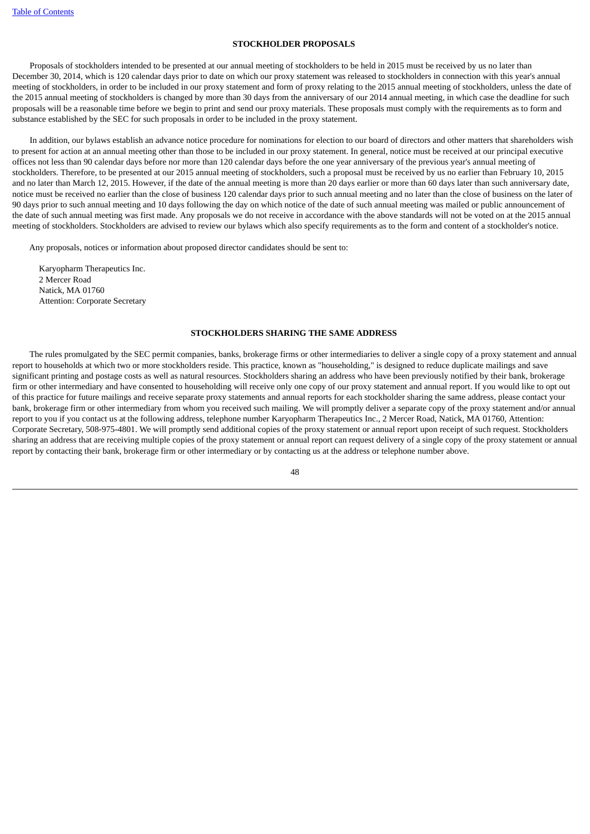# **STOCKHOLDER PROPOSALS**

<span id="page-51-0"></span> Proposals of stockholders intended to be presented at our annual meeting of stockholders to be held in 2015 must be received by us no later than December 30, 2014, which is 120 calendar days prior to date on which our proxy statement was released to stockholders in connection with this year's annual meeting of stockholders, in order to be included in our proxy statement and form of proxy relating to the 2015 annual meeting of stockholders, unless the date of the 2015 annual meeting of stockholders is changed by more than 30 days from the anniversary of our 2014 annual meeting, in which case the deadline for such proposals will be a reasonable time before we begin to print and send our proxy materials. These proposals must comply with the requirements as to form and substance established by the SEC for such proposals in order to be included in the proxy statement.

 In addition, our bylaws establish an advance notice procedure for nominations for election to our board of directors and other matters that shareholders wish to present for action at an annual meeting other than those to be included in our proxy statement. In general, notice must be received at our principal executive offices not less than 90 calendar days before nor more than 120 calendar days before the one year anniversary of the previous year's annual meeting of stockholders. Therefore, to be presented at our 2015 annual meeting of stockholders, such a proposal must be received by us no earlier than February 10, 2015 and no later than March 12, 2015. However, if the date of the annual meeting is more than 20 days earlier or more than 60 days later than such anniversary date, notice must be received no earlier than the close of business 120 calendar days prior to such annual meeting and no later than the close of business on the later of 90 days prior to such annual meeting and 10 days following the day on which notice of the date of such annual meeting was mailed or public announcement of the date of such annual meeting was first made. Any proposals we do not receive in accordance with the above standards will not be voted on at the 2015 annual meeting of stockholders. Stockholders are advised to review our bylaws which also specify requirements as to the form and content of a stockholder's notice.

Any proposals, notices or information about proposed director candidates should be sent to:

Karyopharm Therapeutics Inc. 2 Mercer Road Natick, MA 01760 Attention: Corporate Secretary

### **STOCKHOLDERS SHARING THE SAME ADDRESS**

<span id="page-51-1"></span> The rules promulgated by the SEC permit companies, banks, brokerage firms or other intermediaries to deliver a single copy of a proxy statement and annual report to households at which two or more stockholders reside. This practice, known as "householding," is designed to reduce duplicate mailings and save significant printing and postage costs as well as natural resources. Stockholders sharing an address who have been previously notified by their bank, brokerage firm or other intermediary and have consented to householding will receive only one copy of our proxy statement and annual report. If you would like to opt out of this practice for future mailings and receive separate proxy statements and annual reports for each stockholder sharing the same address, please contact your bank, brokerage firm or other intermediary from whom you received such mailing. We will promptly deliver a separate copy of the proxy statement and/or annual report to you if you contact us at the following address, telephone number Karyopharm Therapeutics Inc., 2 Mercer Road, Natick, MA 01760, Attention: Corporate Secretary, 508-975-4801. We will promptly send additional copies of the proxy statement or annual report upon receipt of such request. Stockholders sharing an address that are receiving multiple copies of the proxy statement or annual report can request delivery of a single copy of the proxy statement or annual report by contacting their bank, brokerage firm or other intermediary or by contacting us at the address or telephone number above.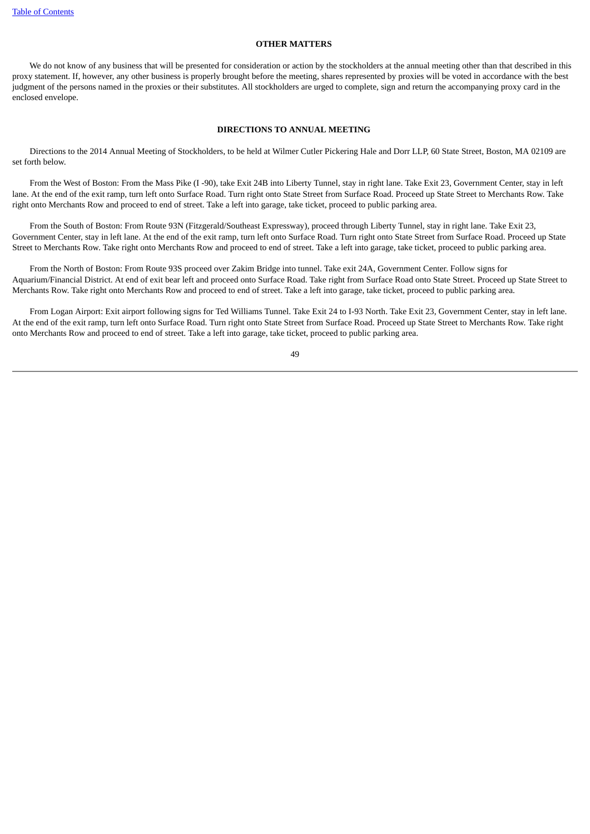#### **OTHER MATTERS**

<span id="page-52-0"></span>We do not know of any business that will be presented for consideration or action by the stockholders at the annual meeting other than that described in this proxy statement. If, however, any other business is properly brought before the meeting, shares represented by proxies will be voted in accordance with the best judgment of the persons named in the proxies or their substitutes. All stockholders are urged to complete, sign and return the accompanying proxy card in the enclosed envelope.

# **DIRECTIONS TO ANNUAL MEETING**

<span id="page-52-1"></span> Directions to the 2014 Annual Meeting of Stockholders, to be held at Wilmer Cutler Pickering Hale and Dorr LLP, 60 State Street, Boston, MA 02109 are set forth below.

 From the West of Boston: From the Mass Pike (I -90), take Exit 24B into Liberty Tunnel, stay in right lane. Take Exit 23, Government Center, stay in left lane. At the end of the exit ramp, turn left onto Surface Road. Turn right onto State Street from Surface Road. Proceed up State Street to Merchants Row. Take right onto Merchants Row and proceed to end of street. Take a left into garage, take ticket, proceed to public parking area.

 From the South of Boston: From Route 93N (Fitzgerald/Southeast Expressway), proceed through Liberty Tunnel, stay in right lane. Take Exit 23, Government Center, stay in left lane. At the end of the exit ramp, turn left onto Surface Road. Turn right onto State Street from Surface Road. Proceed up State Street to Merchants Row. Take right onto Merchants Row and proceed to end of street. Take a left into garage, take ticket, proceed to public parking area.

 From the North of Boston: From Route 93S proceed over Zakim Bridge into tunnel. Take exit 24A, Government Center. Follow signs for Aquarium/Financial District. At end of exit bear left and proceed onto Surface Road. Take right from Surface Road onto State Street. Proceed up State Street to Merchants Row. Take right onto Merchants Row and proceed to end of street. Take a left into garage, take ticket, proceed to public parking area.

From Logan Airport: Exit airport following signs for Ted Williams Tunnel. Take Exit 24 to I-93 North. Take Exit 23, Government Center, stav in left lane. At the end of the exit ramp, turn left onto Surface Road. Turn right onto State Street from Surface Road. Proceed up State Street to Merchants Row. Take right onto Merchants Row and proceed to end of street. Take a left into garage, take ticket, proceed to public parking area.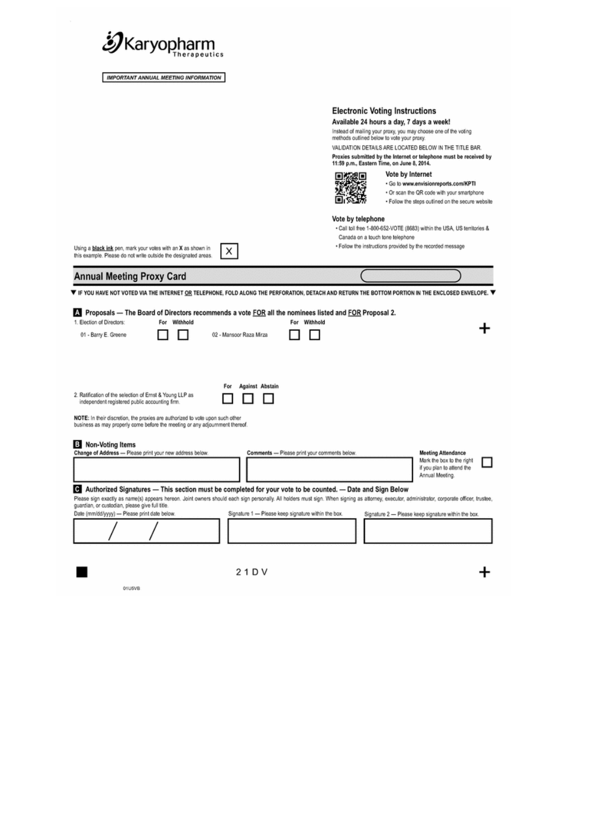

**IMPORTANT ANNUAL MEETING INFORMATION** 

**Electronic Voting Instructions** Available 24 hours a day, 7 days a week! Instead of mailing your proxy, you may choose one of the voting<br>methods outlined below to vote your proxy. VALIDATION DETAILS ARE LOCATED BELOW IN THE TITLE BAR. Proxies submitted by the Internet or telephone must be received by<br>11:59 p.m., Eastern Time, on June 8, 2014. Vote by Internet 回路观 · Go to www.envisionreports.com/KPTI ÿ . Or scan the QR code with your smartphone 面 . Follow the steps outlined on the secure website Vote by telephone Call toll free 1-800-652-VOTE (8683) within the USA, US territories & Canada on a touch tone telephone . Follow the instructions provided by the recorded message Using a black ink pen, mark your votes with an X as shown in X this example. Please do not write outside the designated areas **Annual Meeting Proxy Card** V IF YOU HAVE NOT VOTED VIA THE INTERNET OR TELEPHONE, FOLD ALONG THE PERFORATION, DETACH AND RETURN THE BOTTOM PORTION IN THE ENCLOSED ENVELOPE. V Proposals - The Board of Directors recommends a vote FOR all the nominees listed and FOR Proposal 2. For Withhold For Withhold + 0 O 02 - Mansoor Raza Mirza  $\Box$   $\Box$ For Against Abstain 2. Ratification of the selection of Ernst & Young LLP as  $\Box$  $\Box$   $\Box$ 

NOTE: In their discretion, the proxies are authorized to vote upon such other business as may properly come before the meeting or any adjoumment thereof.

independent registered public accounting firm.

1. Election of Directors:

01 - Barry E. Greene

| Non-Voting Items<br>в<br>Change of Address - Please print your new address below.                                                                                                                                                                                                                                                                                                                                       | Comments - Please print your comments below.        | <b>Meeting Attendance</b><br>Mark the box to the right<br>if you plan to attend the<br>Annual Meeting. |
|-------------------------------------------------------------------------------------------------------------------------------------------------------------------------------------------------------------------------------------------------------------------------------------------------------------------------------------------------------------------------------------------------------------------------|-----------------------------------------------------|--------------------------------------------------------------------------------------------------------|
| <b>C</b> Authorized Signatures — This section must be completed for your vote to be counted. — Date and Sign Below<br>Please sign exactly as name(s) appears hereon. Joint owners should each sign personally. All holders must sign. When signing as attorney, executor, administrator, corporate officer, trustee,<br>guardian, or custodian, please give full title.<br>Date (mm/dd/yyyy) - Please print date below. | Signature 1 - Please keep signature within the box. | Signature 2 - Please keep signature within the box.                                                    |
|                                                                                                                                                                                                                                                                                                                                                                                                                         | 21DV                                                |                                                                                                        |
| 01U5VB                                                                                                                                                                                                                                                                                                                                                                                                                  |                                                     |                                                                                                        |